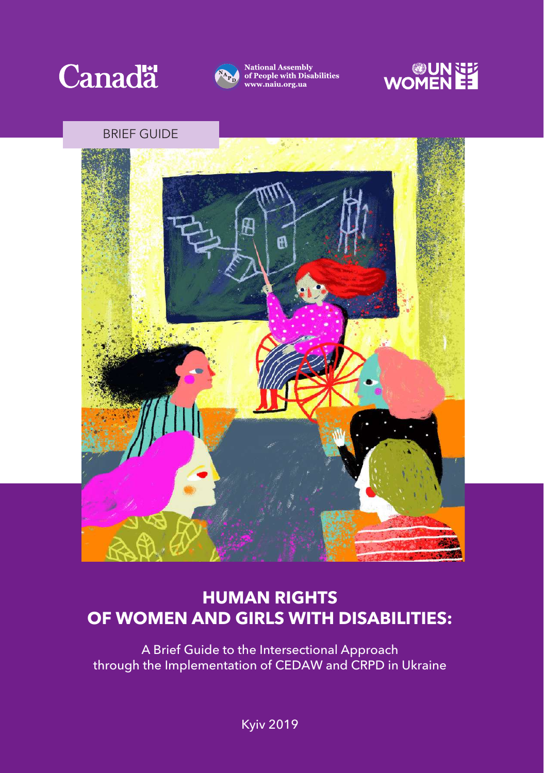



**National Assembly<br>of People with Disabilities** www.naiu.org.ua



#### BRIEF GUIDE



## **HUMAN RIGHTS OF WOMEN AND GIRLS WITH DISABILITIES:**

A Brief Guide to the Intersectional Approach through the Implementation of CEDAW and CRPD in Ukraine

Kyiv 2019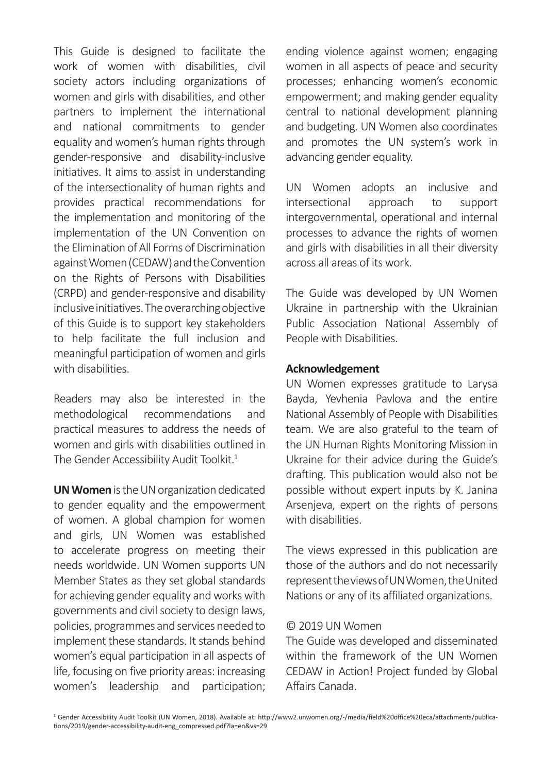This Guide is designed to facilitate the work of women with disabilities, civil society actors including organizations of women and girls with disabilities, and other partners to implement the international and national commitments to gender equality and women's human rights through gender-responsive and disability-inclusive initiatives. It aims to assist in understanding of the intersectionality of human rights and provides practical recommendations for the implementation and monitoring of the implementation of the UN Convention on the Elimination of All Forms of Discrimination against Women (CEDAW) and the Convention on the Rights of Persons with Disabilities (CRPD) and gender-responsive and disability inclusive initiatives. The overarching objective of this Guide is to support key stakeholders to help facilitate the full inclusion and meaningful participation of women and girls with disabilities.

Readers may also be interested in the methodological recommendations and practical measures to address the needs of women and girls with disabilities outlined in The Gender Accessibility Audit Toolkit.<sup>1</sup>

**UN Women** is the UN organization dedicated to gender equality and the empowerment of women. A global champion for women and girls, UN Women was established to accelerate progress on meeting their needs worldwide. UN Women supports UN Member States as they set global standards for achieving gender equality and works with governments and civil society to design laws, policies, programmes and services needed to implement these standards. It stands behind women's equal participation in all aspects of life, focusing on five priority areas: increasing women's leadership and participation; ending violence against women; engaging women in all aspects of peace and security processes; enhancing women's economic empowerment; and making gender equality central to national development planning and budgeting. UN Women also coordinates and promotes the UN system's work in advancing gender equality.

UN Women adopts an inclusive and intersectional approach to support intergovernmental, operational and internal processes to advance the rights of women and girls with disabilities in all their diversity across all areas of its work.

The Guide was developed by UN Women Ukraine in partnership with the Ukrainian Public Association National Assembly of People with Disabilities.

#### **Acknowledgement**

UN Women expresses gratitude to Larysa Bayda, Yevhenia Pavlova and the entire National Assembly of People with Disabilities team. We are also grateful to the team of the UN Human Rights Monitoring Mission in Ukraine for their advice during the Guide's drafting. This publication would also not be possible without expert inputs by K. Janina Arsenjeva, expert on the rights of persons with disabilities.

The views expressed in this publication are those of the authors and do not necessarily represent the views of UN Women, the United Nations or any of its affiliated organizations.

#### © 2019 UN Women

The Guide was developed and disseminated within the framework of the UN Women CEDAW in Action! Project funded by Global Affairs Canada.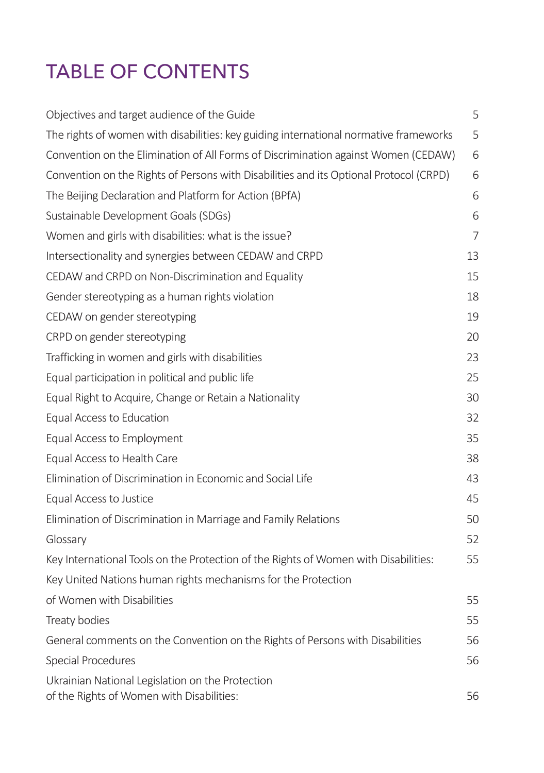# TABLE OF CONTENTS

| Objectives and target audience of the Guide                                                   | 5  |
|-----------------------------------------------------------------------------------------------|----|
| The rights of women with disabilities: key guiding international normative frameworks         | 5  |
| Convention on the Elimination of All Forms of Discrimination against Women (CEDAW)            | 6  |
| Convention on the Rights of Persons with Disabilities and its Optional Protocol (CRPD)        | 6  |
| The Beijing Declaration and Platform for Action (BPfA)                                        | 6  |
| Sustainable Development Goals (SDGs)                                                          | 6  |
| Women and girls with disabilities: what is the issue?                                         | 7  |
| Intersectionality and synergies between CEDAW and CRPD                                        | 13 |
| CEDAW and CRPD on Non-Discrimination and Equality                                             | 15 |
| Gender stereotyping as a human rights violation                                               | 18 |
| CEDAW on gender stereotyping                                                                  | 19 |
| CRPD on gender stereotyping                                                                   | 20 |
| Trafficking in women and girls with disabilities                                              | 23 |
| Equal participation in political and public life                                              | 25 |
| Equal Right to Acquire, Change or Retain a Nationality                                        | 30 |
| Equal Access to Education                                                                     | 32 |
| Equal Access to Employment                                                                    | 35 |
| Equal Access to Health Care                                                                   | 38 |
| Elimination of Discrimination in Economic and Social Life                                     | 43 |
| Equal Access to Justice                                                                       | 45 |
| Elimination of Discrimination in Marriage and Family Relations                                | 50 |
| Glossary                                                                                      | 52 |
| Key International Tools on the Protection of the Rights of Women with Disabilities:           | 55 |
| Key United Nations human rights mechanisms for the Protection                                 |    |
| of Women with Disabilities                                                                    | 55 |
| Treaty bodies                                                                                 | 55 |
| General comments on the Convention on the Rights of Persons with Disabilities                 | 56 |
| <b>Special Procedures</b>                                                                     | 56 |
| Ukrainian National Legislation on the Protection<br>of the Rights of Women with Disabilities: | 56 |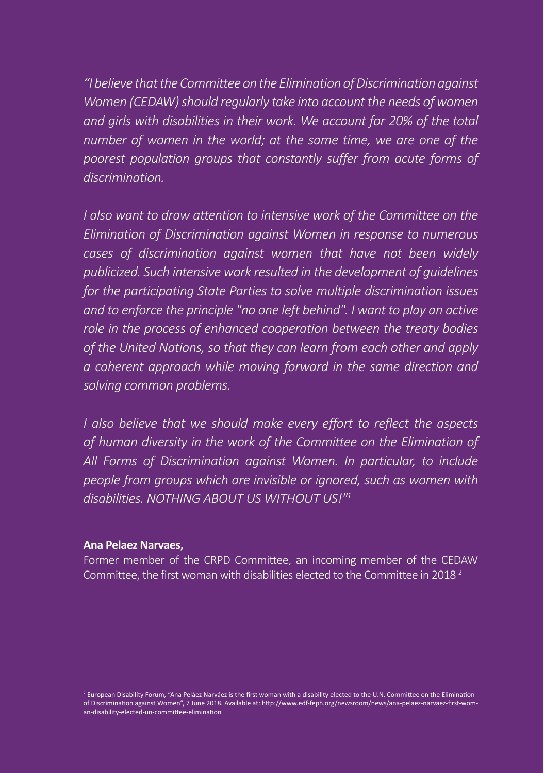*"I believe that the Committee on the Elimination of Discrimination against Women (CEDAW) should regularly take into account the needs of women and girls with disabilities in their work. We account for 20% of the total number of women in the world; at the same time, we are one of the poorest population groups that constantly suffer from acute forms of discrimination.*

*I also want to draw attention to intensive work of the Committee on the Elimination of Discrimination against Women in response to numerous cases of discrimination against women that have not been widely publicized. Such intensive work resulted in the development of guidelines for the participating State Parties to solve multiple discrimination issues and to enforce the principle "no one left behind". I want to play an active role in the process of enhanced cooperation between the treaty bodies of the United Nations, so that they can learn from each other and apply a coherent approach while moving forward in the same direction and solving common problems.*

*I also believe that we should make every effort to reflect the aspects of human diversity in the work of the Committee on the Elimination of All Forms of Discrimination against Women. In particular, to include people from groups which are invisible or ignored, such as women with disabilities. NOTHING ABOUT US WITHOUT US!"1*

#### **Ana Pelaez Narvaes,**

Former member of the CRPD Committee, an incoming member of the CEDAW Committee, the first woman with disabilities elected to the Committee in 2018 2

<sup>&</sup>lt;sup>2</sup> European Disability Forum, "Ana Peláez Narváez is the first woman with a disability elected to the U.N. Committee on the Elimination of Discrimination against Women", 7 June 2018. Available at: http://www.edf-feph.org/newsroom/news/ana-pelaez-narvaez-first-woman-disability-elected-un-committee-elimination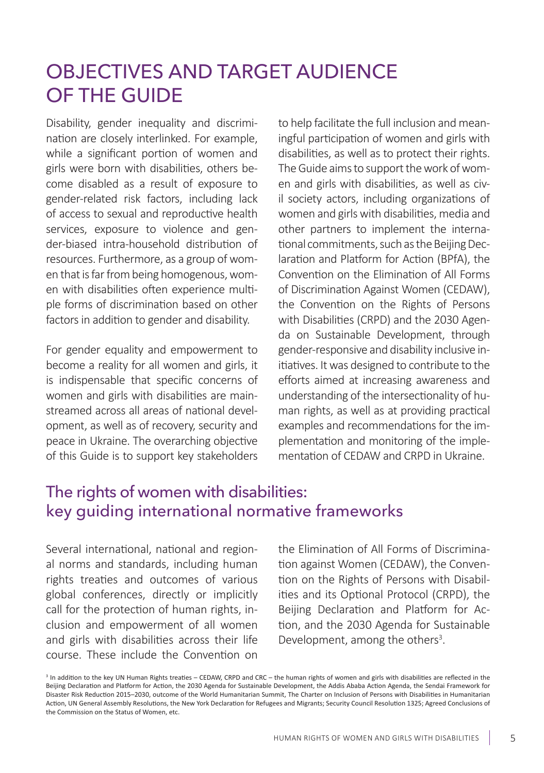## OBJECTIVES AND TARGET AUDIENCE OF THE GUIDE

Disability, gender inequality and discrimination are closely interlinked. For example, while a significant portion of women and girls were born with disabilities, others become disabled as a result of exposure to gender-related risk factors, including lack of access to sexual and reproductive health services, exposure to violence and gender-biased intra-household distribution of resources. Furthermore, as a group of women that is far from being homogenous, women with disabilities often experience multiple forms of discrimination based on other factors in addition to gender and disability.

For gender equality and empowerment to become a reality for all women and girls, it is indispensable that specific concerns of women and girls with disabilities are mainstreamed across all areas of national development, as well as of recovery, security and peace in Ukraine. The overarching objective of this Guide is to support key stakeholders

to help facilitate the full inclusion and meaningful participation of women and girls with disabilities, as well as to protect their rights. The Guide aims to support the work of women and girls with disabilities, as well as civil society actors, including organizations of women and girls with disabilities, media and other partners to implement the international commitments, such as the Beijing Declaration and Platform for Action (BPfA), the Convention on the Elimination of All Forms of Discrimination Against Women (CEDAW), the Convention on the Rights of Persons with Disabilities (CRPD) and the 2030 Agenda on Sustainable Development, through gender-responsive and disability inclusive initiatives. It was designed to contribute to the efforts aimed at increasing awareness and understanding of the intersectionality of human rights, as well as at providing practical examples and recommendations for the implementation and monitoring of the implementation of CEDAW and CRPD in Ukraine.

### The rights of women with disabilities: key guiding international normative frameworks

Several international, national and regional norms and standards, including human rights treaties and outcomes of various global conferences, directly or implicitly call for the protection of human rights, inclusion and empowerment of all women and girls with disabilities across their life course. These include the Convention on the Elimination of All Forms of Discrimination against Women (CEDAW), the Convention on the Rights of Persons with Disabilities and its Optional Protocol (CRPD), the Beijing Declaration and Platform for Action, and the 2030 Agenda for Sustainable Development, among the others<sup>3</sup>.

<sup>3</sup> In addition to the key UN Human Rights treaties – CEDAW, CRPD and CRC – the human rights of women and girls with disabilities are reflected in the Beijing Declaration and Platform for Action, the 2030 Agenda for Sustainable Development, the Addis Ababa Action Agenda, the Sendai Framework for Disaster Risk Reduction 2015–2030, outcome of the World Humanitarian Summit, The Charter on Inclusion of Persons with Disabilities in Humanitarian Action, UN General Assembly Resolutions, the New York Declaration for Refugees and Migrants; Security Council Resolution 1325; Agreed Conclusions of the Commission on the Status of Women, etc.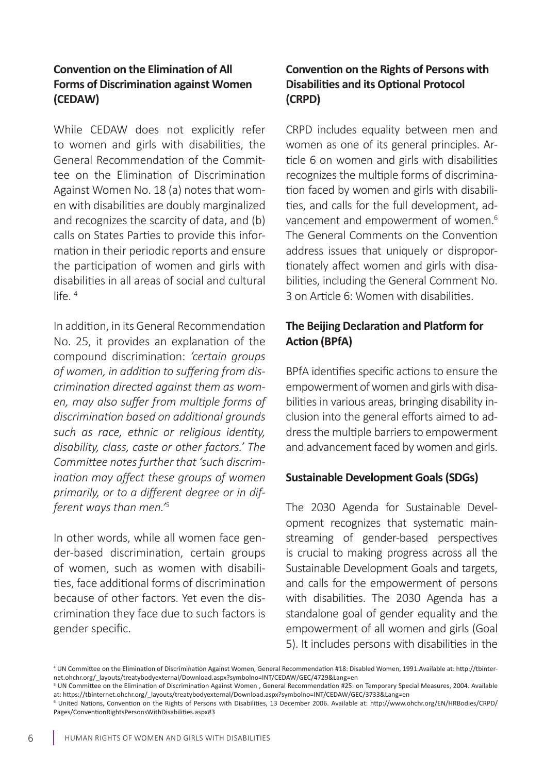#### **Convention on the Elimination of All Forms of Discrimination against Women (CEDAW)**

While CEDAW does not explicitly refer to women and girls with disabilities, the General Recommendation of the Committee on the Elimination of Discrimination Against Women No. 18 (a) notes that women with disabilities are doubly marginalized and recognizes the scarcity of data, and (b) calls on States Parties to provide this information in their periodic reports and ensure the participation of women and girls with disabilities in all areas of social and cultural life.<sup>4</sup>

In addition, in its General Recommendation No. 25, it provides an explanation of the compound discrimination: *'certain groups of women, in addition to suffering from discrimination directed against them as women, may also suffer from multiple forms of discrimination based on additional grounds such as race, ethnic or religious identity, disability, class, caste or other factors.' The Committee notes further that 'such discrimination may affect these groups of women primarily, or to a different degree or in different ways than men.'5*

In other words, while all women face gender-based discrimination, certain groups of women, such as women with disabilities, face additional forms of discrimination because of other factors. Yet even the discrimination they face due to such factors is gender specific.

#### **Convention on the Rights of Persons with Disabilities and its Optional Protocol (CRPD)**

CRPD includes equality between men and women as one of its general principles. Article 6 on women and girls with disabilities recognizes the multiple forms of discrimination faced by women and girls with disabilities, and calls for the full development, advancement and empowerment of women.<sup>6</sup> The General Comments on the Convention address issues that uniquely or disproportionately affect women and girls with disabilities, including the General Comment No. 3 on Article 6: Women with disabilities.

#### **The Beijing Declaration and Platform for Action (BPfA)**

BPfA identifies specific actions to ensure the empowerment of women and girls with disabilities in various areas, bringing disability inclusion into the general efforts aimed to address the multiple barriers to empowerment and advancement faced by women and girls.

#### **Sustainable Development Goals (SDGs)**

The 2030 Agenda for Sustainable Development recognizes that systematic mainstreaming of gender-based perspectives is crucial to making progress across all the Sustainable Development Goals and targets, and calls for the empowerment of persons with disabilities. The 2030 Agenda has a standalone goal of gender equality and the empowerment of all women and girls (Goal 5). It includes persons with disabilities in the

<sup>4</sup> UN Committee on the Elimination of Discrimination Against Women, General Recommendation #18: Disabled Women, 1991.Available at: http://tbinternet.ohchr.org/\_layouts/treatybodyexternal/Download.aspx?symbolno=INT/CEDAW/GEC/4729&Lang=en

<sup>5</sup> UN Committee on the Elimination of Discrimination Against Women , General Recommendation #25: on Temporary Special Measures, 2004. Available at: https://tbinternet.ohchr.org/\_layouts/treatybodyexternal/Download.aspx?symbolno=INT/CEDAW/GEC/3733&Lang=en

<sup>6</sup> United Nations, Convention on the Rights of Persons with Disabilities, 13 December 2006. Available at: http://www.ohchr.org/EN/HRBodies/CRPD/ Pages/ConventionRightsPersonsWithDisabilities.aspx#3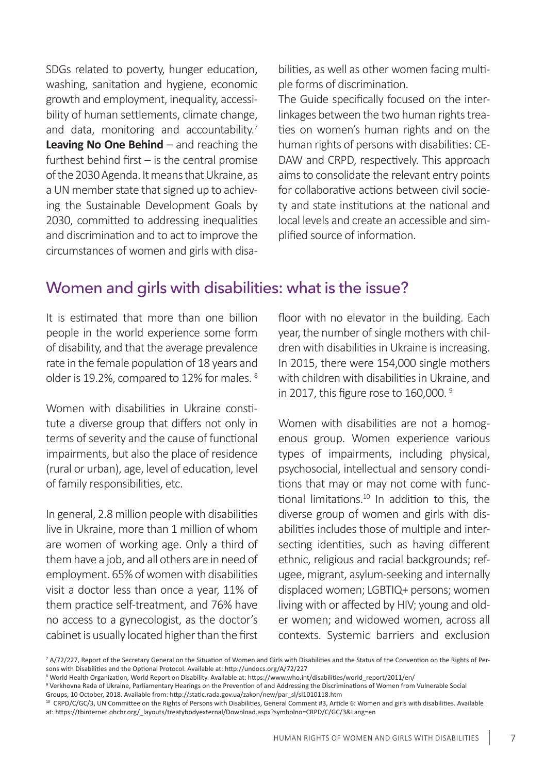SDGs related to poverty, hunger education, washing, sanitation and hygiene, economic growth and employment, inequality, accessibility of human settlements, climate change, and data, monitoring and accountability.<sup>7</sup> **Leaving No One Behind** – and reaching the furthest behind first – is the central promise of the 2030 Agenda. It means that Ukraine, as a UN member state that signed up to achieving the Sustainable Development Goals by 2030, committed to addressing inequalities and discrimination and to act to improve the circumstances of women and girls with disabilities, as well as other women facing multiple forms of discrimination.

The Guide specifically focused on the interlinkages between the two human rights treaties on women's human rights and on the human rights of persons with disabilities: CE-DAW and CRPD, respectively. This approach aims to consolidate the relevant entry points for collaborative actions between civil society and state institutions at the national and local levels and create an accessible and simplified source of information.

### Women and girls with disabilities: what is the issue?

It is estimated that more than one billion people in the world experience some form of disability, and that the average prevalence rate in the female population of 18 years and older is 19.2%, compared to 12% for males. 8

Women with disabilities in Ukraine constitute a diverse group that differs not only in terms of severity and the cause of functional impairments, but also the place of residence (rural or urban), age, level of education, level of family responsibilities, etc.

In general, 2.8 million people with disabilities live in Ukraine, more than 1 million of whom are women of working age. Only a third of them have a job, and all others are in need of employment. 65% of women with disabilities visit a doctor less than once a year, 11% of them practice self-treatment, and 76% have no access to a gynecologist, as the doctor's cabinet is usually located higher than the first floor with no elevator in the building. Each year, the number of single mothers with children with disabilities in Ukraine is increasing. In 2015, there were 154,000 single mothers with children with disabilities in Ukraine, and in 2017, this figure rose to 160,000.<sup>9</sup>

Women with disabilities are not a homogenous group. Women experience various types of impairments, including physical, psychosocial, intellectual and sensory conditions that may or may not come with functional limitations.<sup>10</sup> In addition to this, the diverse group of women and girls with disabilities includes those of multiple and intersecting identities, such as having different ethnic, religious and racial backgrounds; refugee, migrant, asylum-seeking and internally displaced women; LGBTIQ+ persons; women living with or affected by HIV; young and older women; and widowed women, across all contexts. Systemic barriers and exclusion

<sup>&</sup>lt;sup>7</sup> A/72/227, Report of the Secretary General on the Situation of Women and Girls with Disabilities and the Status of the Convention on the Rights of Persons with Disabilities and the Optional Protocol. Available at: http://undocs.org/A/72/227

<sup>8</sup> World Health Organization, World Report on Disability. Available at: https://www.who.int/disabilities/world\_report/2011/en/

<sup>9</sup> Verkhovna Rada of Ukraine, Parliamentary Hearings on the Prevention of and Addressing the Discriminations of Women from Vulnerable Social Groups, 10 October, 2018. Available from: http://static.rada.gov.ua/zakon/new/par\_sl/sl1010118.htm

<sup>&</sup>lt;sup>10</sup> CRPD/C/GC/3, UN Committee on the Rights of Persons with Disabilities, General Comment #3, Article 6: Women and girls with disabilities. Available at: https://tbinternet.ohchr.org/\_layouts/treatybodyexternal/Download.aspx?symbolno=CRPD/C/GC/3&Lang=en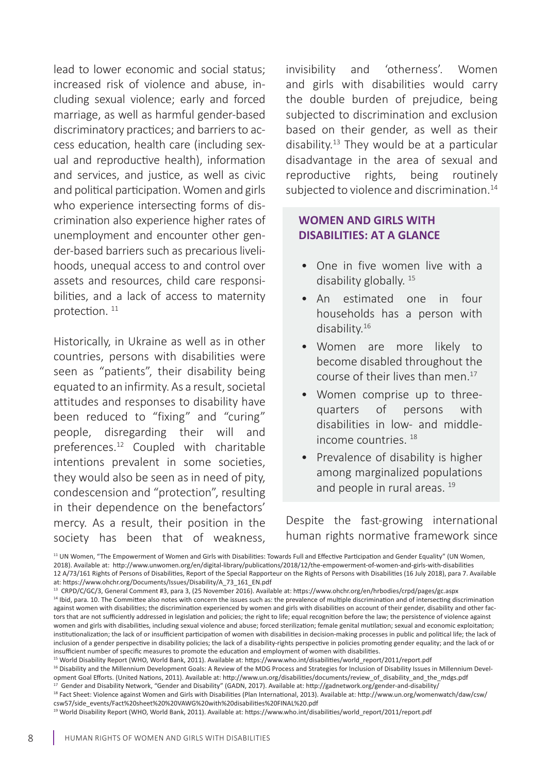lead to lower economic and social status; increased risk of violence and abuse, including sexual violence; early and forced marriage, as well as harmful gender-based discriminatory practices; and barriers to access education, health care (including sexual and reproductive health), information and services, and justice, as well as civic and political participation. Women and girls who experience intersecting forms of discrimination also experience higher rates of unemployment and encounter other gender-based barriers such as precarious livelihoods, unequal access to and control over assets and resources, child care responsibilities, and a lack of access to maternity protection. <sup>11</sup>

Historically, in Ukraine as well as in other countries, persons with disabilities were seen as "patients", their disability being equated to an infirmity. As a result, societal attitudes and responses to disability have been reduced to "fixing" and "curing" people, disregarding their will and preferences.12 Coupled with charitable intentions prevalent in some societies, they would also be seen as in need of pity, condescension and "protection", resulting in their dependence on the benefactors' mercy. As a result, their position in the society has been that of weakness,

invisibility and 'otherness'. Women and girls with disabilities would carry the double burden of prejudice, being subjected to discrimination and exclusion based on their gender, as well as their disability. $13$  They would be at a particular disadvantage in the area of sexual and reproductive rights, being routinely subjected to violence and discrimination.<sup>14</sup>

#### **WOMEN AND GIRLS WITH DISABILITIES: AT A GLANCE**

- One in five women live with a disability globally.<sup>15</sup>
- An estimated one in four households has a person with disability.16
- Women are more likely to become disabled throughout the course of their lives than men.17
- Women comprise up to threequarters of persons with disabilities in low- and middleincome countries. 18
- Prevalence of disability is higher among marginalized populations and people in rural areas.<sup>19</sup>

Despite the fast-growing international human rights normative framework since

<sup>&</sup>lt;sup>11</sup> UN Women, "The Empowerment of Women and Girls with Disabilities: Towards Full and Effective Participation and Gender Equality" (UN Women, 2018). Available at: http://www.unwomen.org/en/digital-library/publications/2018/12/the-empowerment-of-women-and-girls-with-disabilities 12 A/73/161 Rights of Persons of Disabilities, Report of the Special Rapporteur on the Rights of Persons with Disabilities (16 July 2018), para 7. Available at: https://www.ohchr.org/Documents/Issues/Disability/A\_73\_161\_EN.pdf

<sup>13</sup> CRPD/C/GC/3, General Comment #3, para 3, (25 November 2016). Available at: https://www.ohchr.org/en/hrbodies/crpd/pages/gc.aspx

<sup>&</sup>lt;sup>14</sup> Ibid, para. 10. The Committee also notes with concern the issues such as: the prevalence of multiple discrimination and of intersecting discrimination against women with disabilities; the discrimination experienced by women and girls with disabilities on account of their gender, disability and other factors that are not sufficiently addressed in legislation and policies; the right to life; equal recognition before the law; the persistence of violence against women and girls with disabilities, including sexual violence and abuse; forced sterilization; female genital mutilation; sexual and economic exploitation; institutionalization; the lack of or insufficient participation of women with disabilities in decision-making processes in public and political life; the lack of inclusion of a gender perspective in disability policies; the lack of a disability-rights perspective in policies promoting gender equality; and the lack of or insufficient number of specific measures to promote the education and employment of women with disabilities.

<sup>15</sup> World Disability Report (WHO, World Bank, 2011). Available at: https://www.who.int/disabilities/world\_report/2011/report.pdf

<sup>16</sup> Disability and the Millennium Development Goals: A Review of the MDG Process and Strategies for Inclusion of Disability Issues in Millennium Development Goal Efforts. (United Nations, 2011). Available at: http://www.un.org/disabilities/documents/review\_of\_disability\_and\_the\_mdgs.pdf 17 Gender and Disability Network, "Gender and Disability" (GADN, 2017). Available at: http://gadnetwork.org/gender-and-disability/

<sup>18</sup> Fact Sheet: Violence against Women and Girls with Disabilities (Plan International, 2013). Available at: http://www.un.org/womenwatch/daw/csw/

csw57/side\_events/Fact%20sheet%20%20VAWG%20with%20disabilities%20FINAL%20.pdf

<sup>19</sup> World Disability Report (WHO, World Bank, 2011). Available at: https://www.who.int/disabilities/world\_report/2011/report.pdf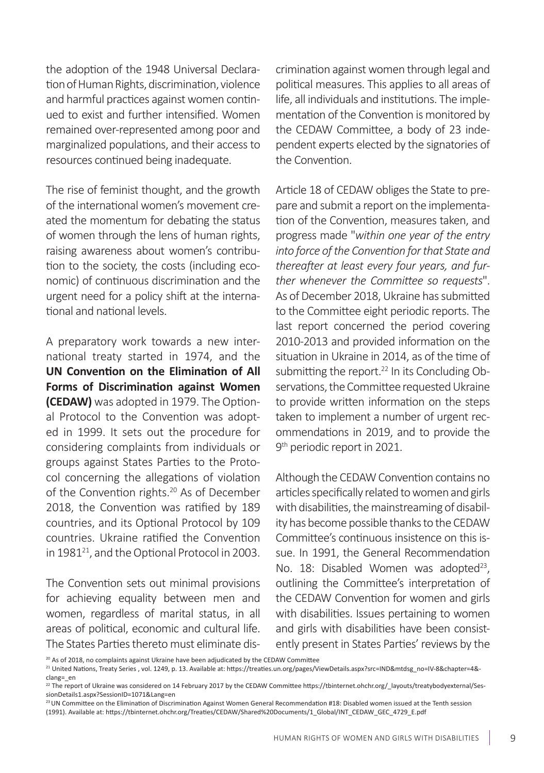the adoption of the 1948 Universal Declaration of Human Rights, discrimination, violence and harmful practices against women continued to exist and further intensified. Women remained over-represented among poor and marginalized populations, and their access to resources continued being inadequate.

The rise of feminist thought, and the growth of the international women's movement created the momentum for debating the status of women through the lens of human rights, raising awareness about women's contribution to the society, the costs (including economic) of continuous discrimination and the urgent need for a policy shift at the international and national levels.

A preparatory work towards a new international treaty started in 1974, and the **UN Convention on the Elimination of All Forms of Discrimination against Women (CEDAW)** was adopted in 1979. The Optional Protocol to the Convention was adopted in 1999. It sets out the procedure for considering complaints from individuals or groups against States Parties to the Protocol concerning the allegations of violation of the Convention rights.<sup>20</sup> As of December 2018, the Convention was ratified by 189 countries, and its Optional Protocol by 109 countries. Ukraine ratified the Convention in 1981<sup>21</sup>, and the Optional Protocol in 2003.

The Convention sets out minimal provisions for achieving equality between men and women, regardless of marital status, in all areas of political, economic and cultural life. The States Parties thereto must eliminate discrimination against women through legal and political measures. This applies to all areas of life, all individuals and institutions. The implementation of the Convention is monitored by the CEDAW Committee, a body of 23 independent experts elected by the signatories of the Convention.

Article 18 of CEDAW obliges the State to prepare and submit a report on the implementation of the Convention, measures taken, and progress made "*within one year of the entry into force of the Convention for that State and thereafter at least every four years, and further whenever the Committee so requests*". As of December 2018, Ukraine has submitted to the Committee eight periodic reports. The last report concerned the period covering 2010-2013 and provided information on the situation in Ukraine in 2014, as of the time of submitting the report.<sup>22</sup> In its Concluding Observations, the Committee requested Ukraine to provide written information on the steps taken to implement a number of urgent recommendations in 2019, and to provide the 9<sup>th</sup> periodic report in 2021.

Although the CEDAW Convention contains no articles specifically related to women and girls with disabilities, the mainstreaming of disability has become possible thanks to the CEDAW Committee's continuous insistence on this issue. In 1991, the General Recommendation No. 18: Disabled Women was adopted<sup>23</sup>, outlining the Committee's interpretation of the CEDAW Convention for women and girls with disabilities. Issues pertaining to women and girls with disabilities have been consistently present in States Parties' reviews by the

<sup>&</sup>lt;sup>20</sup> As of 2018, no complaints against Ukraine have been adjudicated by the CEDAW Committee

<sup>21</sup> United Nations, Treaty Series , vol. 1249, p. 13. Available at: https://treaties.un.org/pages/ViewDetails.aspx?src=IND&mtdsg\_no=IV-8&chapter=4& clang=\_en

<sup>&</sup>lt;sup>22</sup> The report of Ukraine was considered on 14 February 2017 by the CEDAW Committee https://tbinternet.ohchr.org/\_layouts/treatybodyexternal/SessionDetails1.aspx?SessionID=1071&Lang=en

<sup>&</sup>lt;sup>23</sup> UN Committee on the Elimination of Discrimination Against Women General Recommendation #18: Disabled women issued at the Tenth session (1991). Available at: https://tbinternet.ohchr.org/Treaties/CEDAW/Shared%20Documents/1\_Global/INT\_CEDAW\_GEC\_4729\_E.pdf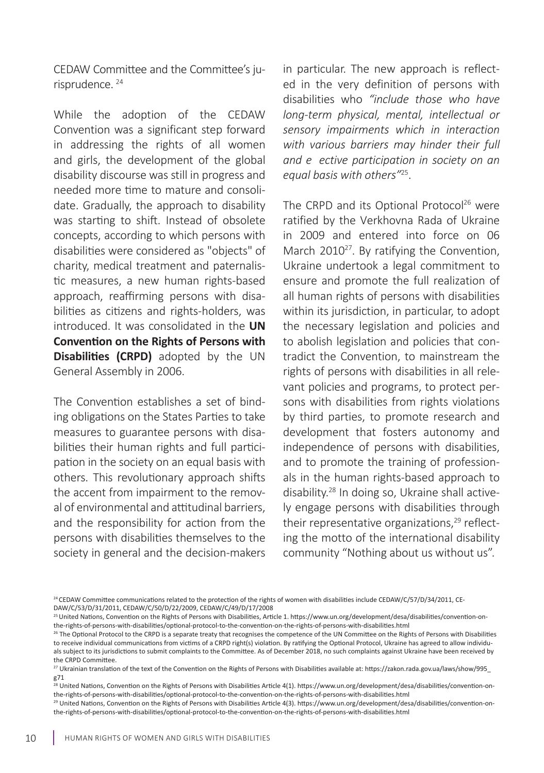CEDAW Committee and the Committee's jurisprudence. 24

While the adoption of the CEDAW Convention was a significant step forward in addressing the rights of all women and girls, the development of the global disability discourse was still in progress and needed more time to mature and consolidate. Gradually, the approach to disability was starting to shift. Instead of obsolete concepts, according to which persons with disabilities were considered as "objects" of charity, medical treatment and paternalistic measures, a new human rights-based approach, reaffirming persons with disabilities as citizens and rights-holders, was introduced. It was consolidated in the **UN Convention on the Rights of Persons with Disabilities (CRPD)** adopted by the UN General Assembly in 2006.

The Convention establishes a set of binding obligations on the States Parties to take measures to guarantee persons with disabilities their human rights and full participation in the society on an equal basis with others. This revolutionary approach shifts the accent from impairment to the removal of environmental and attitudinal barriers, and the responsibility for action from the persons with disabilities themselves to the society in general and the decision-makers in particular. The new approach is reflected in the very definition of persons with disabilities who *"include those who have long-term physical, mental, intellectual or sensory impairments which in interaction with various barriers may hinder their full and e ective participation in society on an equal basis with others"*<sup>25</sup> .

The CRPD and its Optional Protocol<sup>26</sup> were ratified by the Verkhovna Rada of Ukraine in 2009 and entered into force on 06 March 2010<sup>27</sup>. By ratifying the Convention, Ukraine undertook a legal commitment to ensure and promote the full realization of all human rights of persons with disabilities within its jurisdiction, in particular, to adopt the necessary legislation and policies and to abolish legislation and policies that contradict the Convention, to mainstream the rights of persons with disabilities in all relevant policies and programs, to protect persons with disabilities from rights violations by third parties, to promote research and development that fosters autonomy and independence of persons with disabilities, and to promote the training of professionals in the human rights-based approach to disability. 28 In doing so, Ukraine shall actively engage persons with disabilities through their representative organizations, $29$  reflecting the motto of the international disability community "Nothing about us without us".

<sup>&</sup>lt;sup>24</sup> CEDAW Committee communications related to the protection of the rights of women with disabilities include CEDAW/C/57/D/34/2011, CE-DAW/C/53/D/31/2011, CEDAW/C/50/D/22/2009, CEDAW/C/49/D/17/2008

<sup>&</sup>lt;sup>25</sup> United Nations, Convention on the Rights of Persons with Disabilities, Article 1. https://www.un.org/development/desa/disabilities/convention-onthe-rights-of-persons-with-disabilities/optional-protocol-to-the-convention-on-the-rights-of-persons-with-disabilities.html

<sup>&</sup>lt;sup>26</sup> The Optional Protocol to the CRPD is a separate treaty that recognises the competence of the UN Committee on the Rights of Persons with Disabilities to receive individual communications from victims of a CRPD right(s) violation. By ratifying the Optional Protocol, Ukraine has agreed to allow individuals subject to its jurisdictions to submit complaints to the Committee. As of December 2018, no such complaints against Ukraine have been received by the CRPD Committee.

<sup>&</sup>lt;sup>27</sup> Ukrainian translation of the text of the Convention on the Rights of Persons with Disabilities available at: https://zakon.rada.gov.ua/laws/show/995\_ g71

<sup>&</sup>lt;sup>28</sup> United Nations, Convention on the Rights of Persons with Disabilities Article 4(1). https://www.un.org/development/desa/disabilities/convention-onthe-rights-of-persons-with-disabilities/optional-protocol-to-the-convention-on-the-rights-of-persons-with-disabilities.html

<sup>&</sup>lt;sup>29</sup> United Nations, Convention on the Rights of Persons with Disabilities Article 4(3). https://www.un.org/development/desa/disabilities/convention-onthe-rights-of-persons-with-disabilities/optional-protocol-to-the-convention-on-the-rights-of-persons-with-disabilities.html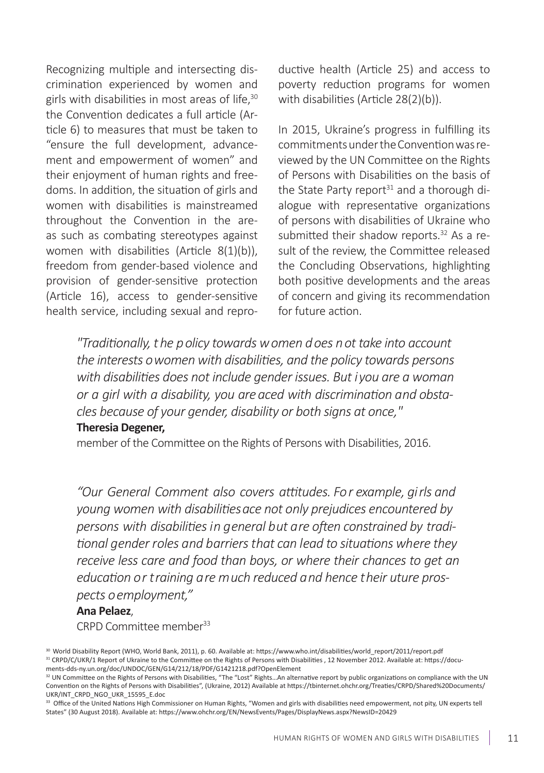Recognizing multiple and intersecting discrimination experienced by women and girls with disabilities in most areas of life,<sup>30</sup> the Convention dedicates a full article (Article 6) to measures that must be taken to "ensure the full development, advancement and empowerment of women" and their enjoyment of human rights and freedoms. In addition, the situation of girls and women with disabilities is mainstreamed throughout the Convention in the areas such as combating stereotypes against women with disabilities (Article 8(1)(b)), freedom from gender-based violence and provision of gender-sensitive protection (Article 16), access to gender-sensitive health service, including sexual and reproductive health (Article 25) and access to poverty reduction programs for women with disabilities (Article 28(2)(b)).

In 2015, Ukraine's progress in fulfilling its commitments under the Convention was reviewed by the UN Committee on the Rights of Persons with Disabilities on the basis of the State Party report<sup>31</sup> and a thorough dialogue with representative organizations of persons with disabilities of Ukraine who submitted their shadow reports.<sup>32</sup> As a result of the review, the Committee released the Concluding Observations, highlighting both positive developments and the areas of concern and giving its recommendation for future action.

*"Traditionally, the policy towards women does not take into account the interests o women with disabilities, and the policy towards persons with disabilities does not include gender issues. But i you are a woman or a girl with a disability, you are aced with discrimination and obstacles because of your gender, disability or both signs at once,"*

#### **Theresia Degener,**

member of the Committee on the Rights of Persons with Disabilities, 2016.

*"Our General Comment also covers attitudes. For example, girls and young women with disabilities ace not only prejudices encountered by persons with disabilities in general but are often constrained by traditional gender roles and barriers that can lead to situations where they receive less care and food than boys, or where their chances to get an education or training are much reduced and hence their uture prospects o employment,"*

#### **Ana Pelaez**,

CRPD Committee member33

<sup>30</sup> World Disability Report (WHO, World Bank, 2011), p. 60. Available at: https://www.who.int/disabilities/world\_report/2011/report.pdf <sup>31</sup> CRPD/C/UKR/1 Report of Ukraine to the Committee on the Rights of Persons with Disabilities , 12 November 2012. Available at: https://documents-dds-ny.un.org/doc/UNDOC/GEN/G14/212/18/PDF/G1421218.pdf?OpenElement

<sup>32</sup> UN Committee on the Rights of Persons with Disabilities, "The "Lost" Rights...An alternative report by public organizations on compliance with the UN Convention on the Rights of Persons with Disabilities", (Ukraine, 2012) Available at https://tbinternet.ohchr.org/Treaties/CRPD/Shared%20Documents/ UKR/INT\_CRPD\_NGO\_UKR\_15595\_E.doc

<sup>&</sup>lt;sup>33</sup> Office of the United Nations High Commissioner on Human Rights, "Women and girls with disabilities need empowerment, not pity, UN experts tell States" (30 August 2018). Available at: https://www.ohchr.org/EN/NewsEvents/Pages/DisplayNews.aspx?NewsID=20429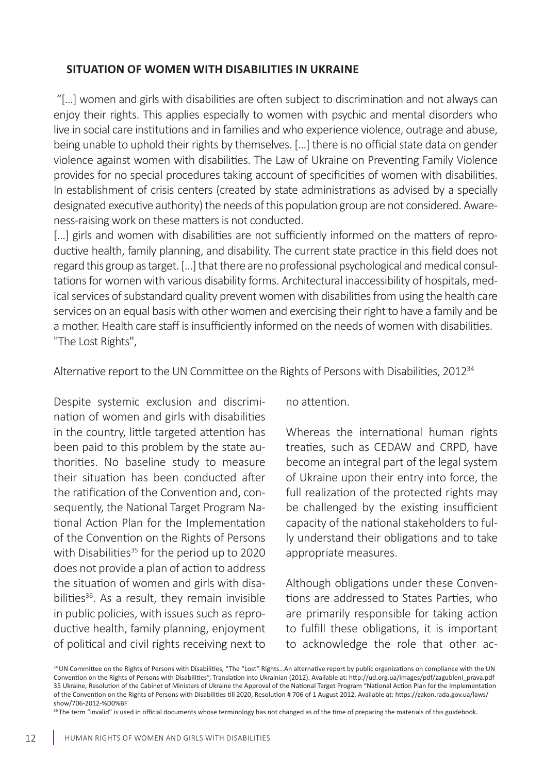#### **SITUATION OF WOMEN WITH DISABILITIES IN UKRAINE**

 "[…] women and girls with disabilities are often subject to discrimination and not always can enjoy their rights. This applies especially to women with psychic and mental disorders who live in social care institutions and in families and who experience violence, outrage and abuse, being unable to uphold their rights by themselves. […] there is no official state data on gender violence against women with disabilities. The Law of Ukraine on Preventing Family Violence provides for no special procedures taking account of specificities of women with disabilities. In establishment of crisis centers (created by state administrations as advised by a specially designated executive authority) the needs of this population group are not considered. Awareness-raising work on these matters is not conducted.

[...] girls and women with disabilities are not sufficiently informed on the matters of reproductive health, family planning, and disability. The current state practice in this field does not regard this group as target. […] that there are no professional psychological and medical consultations for women with various disability forms. Architectural inaccessibility of hospitals, medical services of substandard quality prevent women with disabilities from using the health care services on an equal basis with other women and exercising their right to have a family and be a mother. Health care staff is insufficiently informed on the needs of women with disabilities. "The Lost Rights",

Alternative report to the UN Committee on the Rights of Persons with Disabilities, 2012<sup>34</sup>

Despite systemic exclusion and discrimination of women and girls with disabilities in the country, little targeted attention has been paid to this problem by the state authorities. No baseline study to measure their situation has been conducted after the ratification of the Convention and, consequently, the National Target Program National Action Plan for the Implementation of the Convention on the Rights of Persons with Disabilities $35$  for the period up to 2020 does not provide a plan of action to address the situation of women and girls with disabilities $36$ . As a result, they remain invisible in public policies, with issues such as reproductive health, family planning, enjoyment of political and civil rights receiving next to

no attention.

Whereas the international human rights treaties, such as CEDAW and CRPD, have become an integral part of the legal system of Ukraine upon their entry into force, the full realization of the protected rights may be challenged by the existing insufficient capacity of the national stakeholders to fully understand their obligations and to take appropriate measures.

Although obligations under these Conventions are addressed to States Parties, who are primarily responsible for taking action to fulfill these obligations, it is important to acknowledge the role that other ac-

34 UN Committee on the Rights of Persons with Disabilities, "The "Lost" Rights...An alternative report by public organizations on compliance with the UN Convention on the Rights of Persons with Disabilities", Translation into Ukrainian (2012). Available at: http://ud.org.ua/images/pdf/zagubleni\_prava.pdf 35 Ukraine, Resolution of the Cabinet of Ministers of Ukraine the Approval of the National Target Program "National Action Plan for the Implementation of the Convention on the Rights of Persons with Disabilities till 2020, Resolution # 706 of 1 August 2012. Available at: https://zakon.rada.gov.ua/laws/ show/706-2012-%D0%BF

<sup>36</sup>The term "invalid" is used in official documents whose terminology has not changed as of the time of preparing the materials of this guidebook.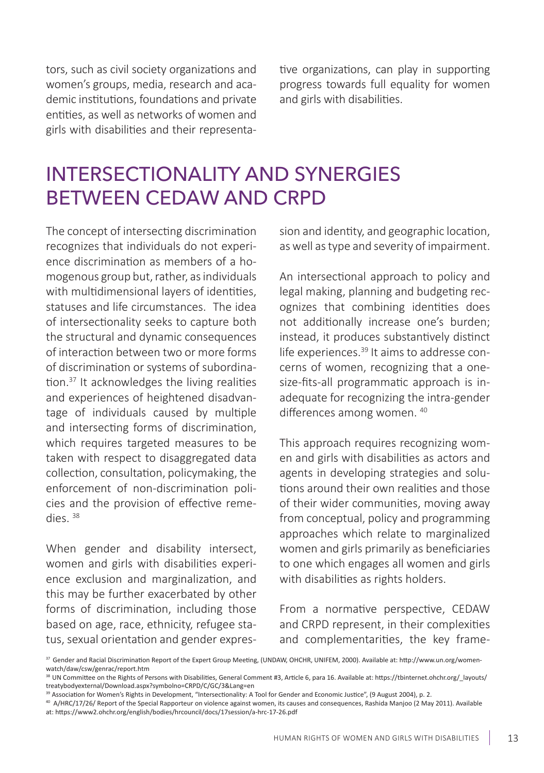tors, such as civil society organizations and women's groups, media, research and academic institutions, foundations and private entities, as well as networks of women and girls with disabilities and their representative organizations, can play in supporting progress towards full equality for women and girls with disabilities.

## INTERSECTIONALITY AND SYNERGIES BETWEEN CEDAW AND CRPD

The concept of intersecting discrimination recognizes that individuals do not experience discrimination as members of a homogenous group but, rather, as individuals with multidimensional layers of identities, statuses and life circumstances. The idea of intersectionality seeks to capture both the structural and dynamic consequences of interaction between two or more forms of discrimination or systems of subordination.<sup>37</sup> It acknowledges the living realities and experiences of heightened disadvantage of individuals caused by multiple and intersecting forms of discrimination, which requires targeted measures to be taken with respect to disaggregated data collection, consultation, policymaking, the enforcement of non-discrimination policies and the provision of effective remedies. 38

When gender and disability intersect, women and girls with disabilities experience exclusion and marginalization, and this may be further exacerbated by other forms of discrimination, including those based on age, race, ethnicity, refugee status, sexual orientation and gender expression and identity, and geographic location, as well as type and severity of impairment.

An intersectional approach to policy and legal making, planning and budgeting recognizes that combining identities does not additionally increase one's burden; instead, it produces substantively distinct life experiences.<sup>39</sup> It aims to addresse concerns of women, recognizing that a onesize-fits-all programmatic approach is inadequate for recognizing the intra-gender differences among women. <sup>40</sup>

This approach requires recognizing women and girls with disabilities as actors and agents in developing strategies and solutions around their own realities and those of their wider communities, moving away from conceptual, policy and programming approaches which relate to marginalized women and girls primarily as beneficiaries to one which engages all women and girls with disabilities as rights holders.

From a normative perspective, CEDAW and CRPD represent, in their complexities and complementarities, the key frame-

<sup>37</sup> Gender and Racial Discrimination Report of the Expert Group Meeting, (UNDAW, OHCHR, UNIFEM, 2000). Available at: http://www.un.org/womenwatch/daw/csw/genrac/report.htm

<sup>&</sup>lt;sup>38</sup> UN Committee on the Rights of Persons with Disabilities, General Comment #3, Article 6, para 16. Available at: https://tbinternet.ohchr.org/\_layouts/ treatybodyexternal/Download.aspx?symbolno=CRPD/C/GC/3&Lang=en

<sup>&</sup>lt;sup>39</sup> Association for Women's Rights in Development, "Intersectionality: A Tool for Gender and Economic Justice", (9 August 2004), p. 2.

<sup>&</sup>lt;sup>40</sup> A/HRC/17/26/ Report of the Special Rapporteur on violence against women, its causes and consequences, Rashida Manjoo (2 May 2011). Available

at: https://www2.ohchr.org/english/bodies/hrcouncil/docs/17session/a-hrc-17-26.pdf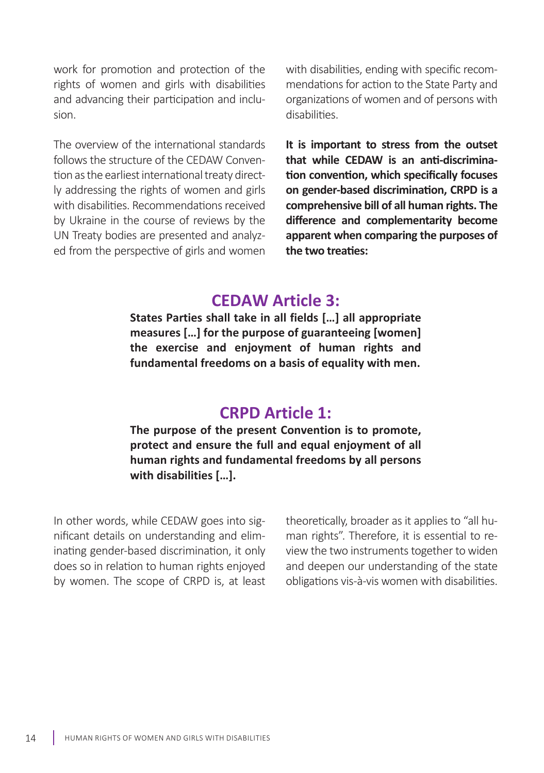work for promotion and protection of the rights of women and girls with disabilities and advancing their participation and inclusion.

The overview of the international standards follows the structure of the CEDAW Convention as the earliest international treaty directly addressing the rights of women and girls with disabilities. Recommendations received by Ukraine in the course of reviews by the UN Treaty bodies are presented and analyzed from the perspective of girls and women with disabilities, ending with specific recommendations for action to the State Party and organizations of women and of persons with disabilities.

**It is important to stress from the outset that while CEDAW is an anti-discrimination convention, which specifically focuses on gender-based discrimination, CRPD is a comprehensive bill of all human rights. The difference and complementarity become apparent when comparing the purposes of the two treaties:**

#### **CEDAW Article 3:**

**States Parties shall take in all fields […] all appropriate measures […] for the purpose of guaranteeing [women] the exercise and enjoyment of human rights and fundamental freedoms on a basis of equality with men.**

### **CRPD Article 1:**

**The purpose of the present Convention is to promote, protect and ensure the full and equal enjoyment of all human rights and fundamental freedoms by all persons with disabilities […].**

In other words, while CEDAW goes into significant details on understanding and eliminating gender-based discrimination, it only does so in relation to human rights enjoyed by women. The scope of CRPD is, at least theoretically, broader as it applies to "all human rights". Therefore, it is essential to review the two instruments together to widen and deepen our understanding of the state obligations vis-à-vis women with disabilities.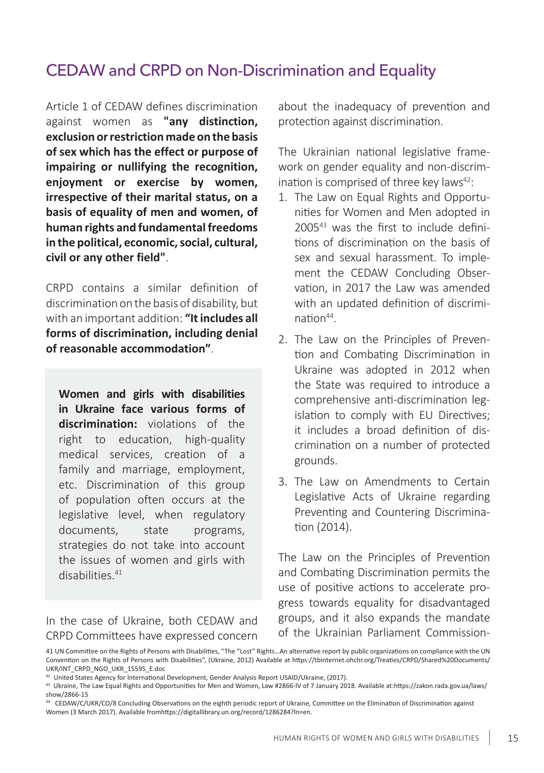## CEDAW and CRPD on Non-Discrimination and Equality

Article 1 of CEDAW defines discrimination against women as **"any distinction, exclusion or restriction made on the basis of sex which has the effect or purpose of impairing or nullifying the recognition, enjoyment or exercise by women, irrespective of their marital status, on a basis of equality of men and women, of human rights and fundamental freedoms in the political, economic, social, cultural, civil or any other field"**.

CRPD contains a similar definition of discrimination on the basis of disability, but with an important addition: **"It includes all forms of discrimination, including denial of reasonable accommodation"**.

**Women and girls with disabilities in Ukraine face various forms of discrimination:** violations of the right to education, high-quality medical services, creation of a family and marriage, employment, etc. Discrimination of this group of population often occurs at the legislative level, when regulatory documents, state programs, strategies do not take into account the issues of women and girls with  $disabilities.<sup>41</sup>$ 

In the case of Ukraine, both CEDAW and CRPD Committees have expressed concern about the inadequacy of prevention and protection against discrimination.

The Ukrainian national legislative framework on gender equality and non-discrimination is comprised of three key laws $42$ :

- 1. The Law on Equal Rights and Opportunities for Women and Men adopted in 200543 was the first to include definitions of discrimination on the basis of sex and sexual harassment. To implement the CEDAW Concluding Observation, in 2017 the Law was amended with an updated definition of discrimination<sup>44</sup>.
- 2. The Law on the Principles of Prevention and Combating Discrimination in Ukraine was adopted in 2012 when the State was required to introduce a comprehensive anti-discrimination legislation to comply with EU Directives; it includes a broad definition of discrimination on a number of protected grounds.
- 3. The Law on Amendments to Certain Legislative Acts of Ukraine regarding Preventing and Countering Discrimination (2014).

The Law on the Principles of Prevention and Combating Discrimination permits the use of positive actions to accelerate progress towards equality for disadvantaged groups, and it also expands the mandate of the Ukrainian Parliament Commission-

<sup>44</sup> CEDAW/C/UKR/CO/8 Concluding Observations on the eighth periodic report of Ukraine, Committee on the Elimination of Discrimination against Women (3 March 2017). Available fromhttps://digitallibrary.un.org/record/1286284?ln=en.

<sup>41</sup> UN Committee on the Rights of Persons with Disabilities, "The "Lost" Rights…An alternative report by public organizations on compliance with the UN Convention on the Rights of Persons with Disabilities", (Ukraine, 2012) Available at https://tbinternet.ohchr.org/Treaties/CRPD/Shared%20Documents/ UKR/INT\_CRPD\_NGO\_UKR\_15595\_E.doc

<sup>42</sup> United States Agency for International Development, Gender Analysis Report USAID/Ukraine, (2017).

<sup>43</sup> Ukraine, The Law Equal Rights and Opportunities for Men and Women, Law #2866-IV of 7 January 2018. Available at:https://zakon.rada.gov.ua/laws/ show/2866-15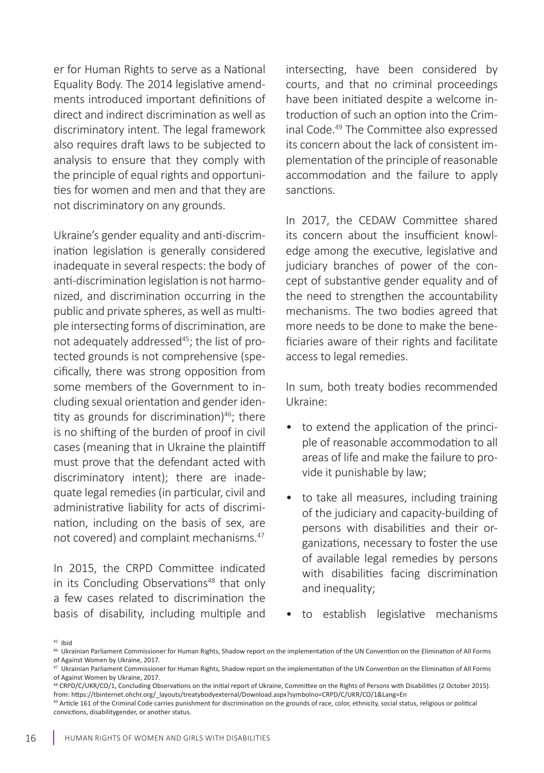er for Human Rights to serve as a National Equality Body. The 2014 legislative amendments introduced important definitions of direct and indirect discrimination as well as discriminatory intent. The legal framework also requires draft laws to be subjected to analysis to ensure that they comply with the principle of equal rights and opportunities for women and men and that they are not discriminatory on any grounds.

Ukraine's gender equality and anti-discrimination legislation is generally considered inadequate in several respects: the body of anti-discrimination legislation is not harmonized, and discrimination occurring in the public and private spheres, as well as multiple intersecting forms of discrimination, are not adequately addressed<sup>45</sup>; the list of protected grounds is not comprehensive (specifically, there was strong opposition from some members of the Government to including sexual orientation and gender identity as grounds for discrimination) $46$ ; there is no shifting of the burden of proof in civil cases (meaning that in Ukraine the plaintiff must prove that the defendant acted with discriminatory intent); there are inadequate legal remedies (in particular, civil and administrative liability for acts of discrimination, including on the basis of sex, are not covered) and complaint mechanisms.47

In 2015, the CRPD Committee indicated in its Concluding Observations<sup>48</sup> that only a few cases related to discrimination the basis of disability, including multiple and intersecting, have been considered by courts, and that no criminal proceedings have been initiated despite a welcome introduction of such an option into the Criminal Code.49 The Committee also expressed its concern about the lack of consistent implementation of the principle of reasonable accommodation and the failure to apply sanctions.

In 2017, the CEDAW Committee shared its concern about the insufficient knowledge among the executive, legislative and judiciary branches of power of the concept of substantive gender equality and of the need to strengthen the accountability mechanisms. The two bodies agreed that more needs to be done to make the beneficiaries aware of their rights and facilitate access to legal remedies.

In sum, both treaty bodies recommended Ukraine:

- to extend the application of the principle of reasonable accommodation to all areas of life and make the failure to provide it punishable by law;
- to take all measures, including training of the judiciary and capacity-building of persons with disabilities and their organizations, necessary to foster the use of available legal remedies by persons with disabilities facing discrimination and inequality;
- to establish legislative mechanisms

<sup>45</sup> Ibid

<sup>&</sup>lt;sup>46</sup> Ukrainian Parliament Commissioner for Human Rights, Shadow report on the implementation of the UN Convention on the Elimination of All Forms of Against Women by Ukraine, 2017.

<sup>&</sup>lt;sup>47</sup> Ukrainian Parliament Commissioner for Human Rights, Shadow report on the implementation of the UN Convention on the Elimination of All Forms of Against Women by Ukraine, 2017.

<sup>48</sup> CRPD/C/UKR/CO/1, Concluding Observations on the initial report of Ukraine, Committee on the Rights of Persons with Disabilities (2 October 2015). from: https://tbinternet.ohchr.org/\_layouts/treatybodyexternal/Download.aspx?symbolno=CRPD/C/UKR/CO/1&Lang=En

<sup>&</sup>lt;sup>49</sup> Article 161 of the Criminal Code carries punishment for discrimination on the grounds of race, color, ethnicity, social status, religious or political convictions, disabilitygender, or another status.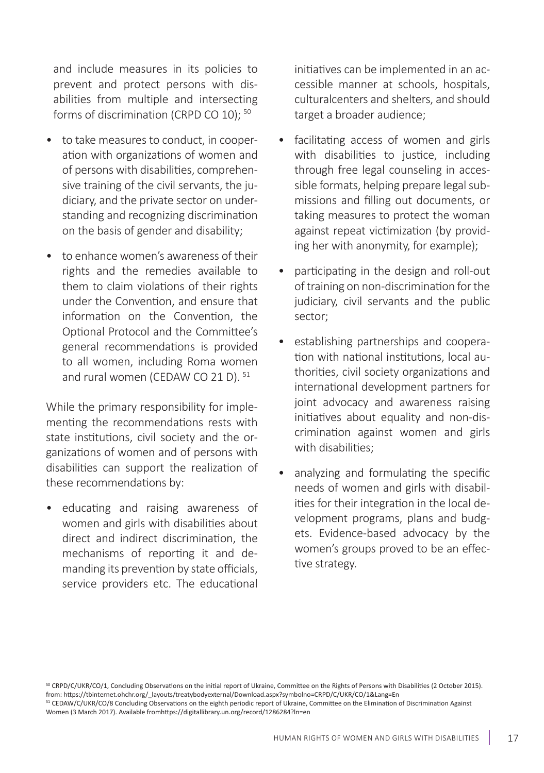and include measures in its policies to prevent and protect persons with disabilities from multiple and intersecting forms of discrimination (CRPD CO 10); <sup>50</sup>

- to take measures to conduct, in cooperation with organizations of women and of persons with disabilities, comprehensive training of the civil servants, the judiciary, and the private sector on understanding and recognizing discrimination on the basis of gender and disability;
- to enhance women's awareness of their rights and the remedies available to them to claim violations of their rights under the Convention, and ensure that information on the Convention, the Optional Protocol and the Committee's general recommendations is provided to all women, including Roma women and rural women (CEDAW CO 21 D). <sup>51</sup>

While the primary responsibility for implementing the recommendations rests with state institutions, civil society and the organizations of women and of persons with disabilities can support the realization of these recommendations by:

• educating and raising awareness of women and girls with disabilities about direct and indirect discrimination, the mechanisms of reporting it and demanding its prevention by state officials, service providers etc. The educational

initiatives can be implemented in an accessible manner at schools, hospitals, culturalcenters and shelters, and should target a broader audience;

- facilitating access of women and girls with disabilities to justice, including through free legal counseling in accessible formats, helping prepare legal submissions and filling out documents, or taking measures to protect the woman against repeat victimization (by providing her with anonymity, for example);
- participating in the design and roll-out of training on non-discrimination for the judiciary, civil servants and the public sector;
- establishing partnerships and cooperation with national institutions, local authorities, civil society organizations and international development partners for joint advocacy and awareness raising initiatives about equality and non-discrimination against women and girls with disabilities;
- analyzing and formulating the specific needs of women and girls with disabilities for their integration in the local development programs, plans and budgets. Evidence-based advocacy by the women's groups proved to be an effective strategy.

<sup>50</sup> CRPD/C/UKR/CO/1, Concluding Observations on the initial report of Ukraine, Committee on the Rights of Persons with Disabilities (2 October 2015). from: https://tbinternet.ohchr.org/\_layouts/treatybodyexternal/Download.aspx?symbolno=CRPD/C/UKR/CO/1&Lang=En <sup>51</sup> CEDAW/C/UKR/CO/8 Concluding Observations on the eighth periodic report of Ukraine, Committee on the Elimination of Discrimination Against Women (3 March 2017). Available fromhttps://digitallibrary.un.org/record/1286284?ln=en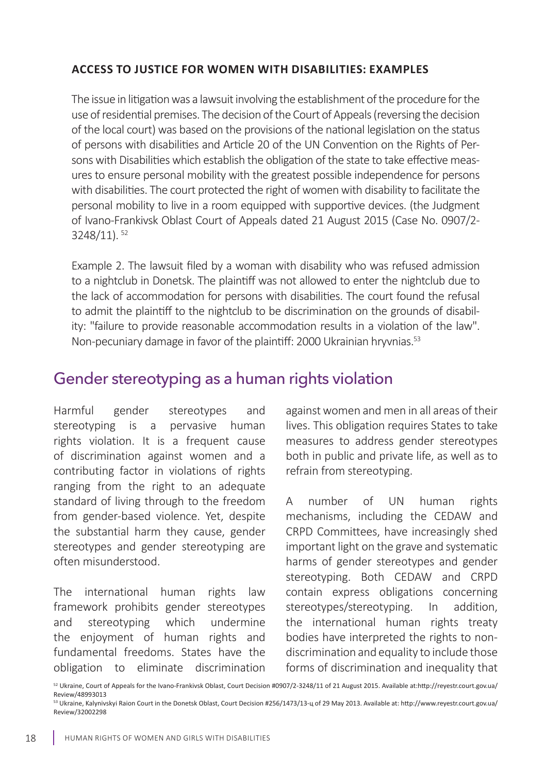#### **ACCESS TO JUSTICE FOR WOMEN WITH DISABILITIES: EXAMPLES**

The issue in litigation was a lawsuit involving the establishment of the procedure for the use of residential premises. The decision of the Court of Appeals (reversing the decision of the local court) was based on the provisions of the national legislation on the status of persons with disabilities and Article 20 of the UN Convention on the Rights of Persons with Disabilities which establish the obligation of the state to take effective measures to ensure personal mobility with the greatest possible independence for persons with disabilities. The court protected the right of women with disability to facilitate the personal mobility to live in a room equipped with supportive devices. (the Judgment of Ivano-Frankivsk Oblast Court of Appeals dated 21 August 2015 (Case No. 0907/2- 3248/11). 52

Example 2. The lawsuit filed by a woman with disability who was refused admission to a nightclub in Donetsk. The plaintiff was not allowed to enter the nightclub due to the lack of accommodation for persons with disabilities. The court found the refusal to admit the plaintiff to the nightclub to be discrimination on the grounds of disability: "failure to provide reasonable accommodation results in a violation of the law". Non-pecuniary damage in favor of the plaintiff: 2000 Ukrainian hryvnias.<sup>53</sup>

### Gender stereotyping as a human rights violation

Harmful gender stereotypes and stereotyping is a pervasive human rights violation. It is a frequent cause of discrimination against women and a contributing factor in violations of rights ranging from the right to an adequate standard of living through to the freedom from gender-based violence. Yet, despite the substantial harm they cause, gender stereotypes and gender stereotyping are often misunderstood.

The international human rights law framework prohibits gender stereotypes and stereotyping which undermine the enjoyment of human rights and fundamental freedoms. States have the obligation to eliminate discrimination against women and men in all areas of their lives. This obligation requires States to take measures to address gender stereotypes both in public and private life, as well as to refrain from stereotyping.

A number of UN human rights mechanisms, including the CEDAW and CRPD Committees, have increasingly shed important light on the grave and systematic harms of gender stereotypes and gender stereotyping. Both CEDAW and CRPD contain express obligations concerning stereotypes/stereotyping. In addition, the international human rights treaty bodies have interpreted the rights to nondiscrimination and equality to include those forms of discrimination and inequality that

<sup>52</sup> Ukraine, Court of Appeals for the Ivano-Frankivsk Oblast, Court Decision #0907/2-3248/11 of 21 August 2015. Available at:http://reyestr.court.gov.ua/ Review/48993013

<sup>53</sup> Ukraine, Kalynivskyi Raion Court in the Donetsk Oblast, Court Decision #256/1473/13-ц of 29 May 2013. Available at: http://www.reyestr.court.gov.ua/ Review/32002298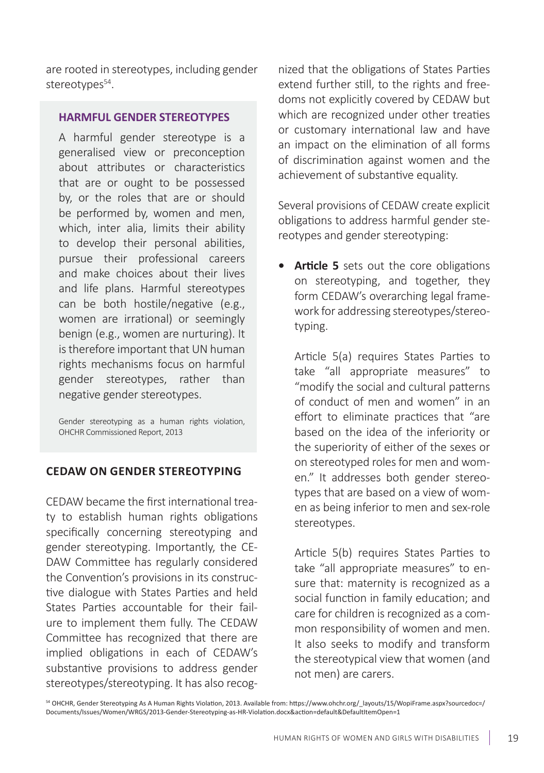are rooted in stereotypes, including gender stereotypes<sup>54</sup>.

#### **HARMFUL GENDER STEREOTYPES**

A harmful gender stereotype is a generalised view or preconception about attributes or characteristics that are or ought to be possessed by, or the roles that are or should be performed by, women and men, which, inter alia, limits their ability to develop their personal abilities, pursue their professional careers and make choices about their lives and life plans. Harmful stereotypes can be both hostile/negative (e.g., women are irrational) or seemingly benign (e.g., women are nurturing). It is therefore important that UN human rights mechanisms focus on harmful gender stereotypes, rather than negative gender stereotypes.

Gender stereotyping as a human rights violation, OHCHR Commissioned Report, 2013

#### **CEDAW ON GENDER STEREOTYPING**

CEDAW became the first international treaty to establish human rights obligations specifically concerning stereotyping and gender stereotyping. Importantly, the CE-DAW Committee has regularly considered the Convention's provisions in its constructive dialogue with States Parties and held States Parties accountable for their failure to implement them fully. The CEDAW Committee has recognized that there are implied obligations in each of CEDAW's substantive provisions to address gender stereotypes/stereotyping. It has also recognized that the obligations of States Parties extend further still, to the rights and freedoms not explicitly covered by CEDAW but which are recognized under other treaties or customary international law and have an impact on the elimination of all forms of discrimination against women and the achievement of substantive equality.

Several provisions of CEDAW create explicit obligations to address harmful gender stereotypes and gender stereotyping:

**Article 5** sets out the core obligations on stereotyping, and together, they form CEDAW's overarching legal framework for addressing stereotypes/stereotyping.

Article 5(a) requires States Parties to take "all appropriate measures" to "modify the social and cultural patterns of conduct of men and women" in an effort to eliminate practices that "are based on the idea of the inferiority or the superiority of either of the sexes or on stereotyped roles for men and women." It addresses both gender stereotypes that are based on a view of women as being inferior to men and sex-role stereotypes.

Article 5(b) requires States Parties to take "all appropriate measures" to ensure that: maternity is recognized as a social function in family education; and care for children is recognized as a common responsibility of women and men. It also seeks to modify and transform the stereotypical view that women (and not men) are carers.

54 OHCHR, Gender Stereotyping As A Human Rights Violation, 2013. Available from: https://www.ohchr.org/\_layouts/15/WopiFrame.aspx?sourcedoc=/ Documents/Issues/Women/WRGS/2013-Gender-Stereotyping-as-HR-Violation.docx&action=default&DefaultItemOpen=1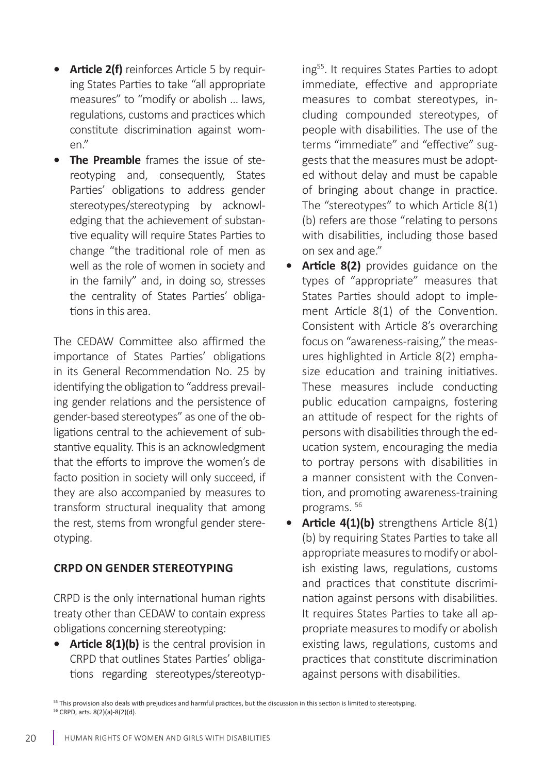- **• Article 2(f)** reinforces Article 5 by requiring States Parties to take "all appropriate measures" to "modify or abolish … laws, regulations, customs and practices which constitute discrimination against women."
- **• The Preamble** frames the issue of stereotyping and, consequently, States Parties' obligations to address gender stereotypes/stereotyping by acknowledging that the achievement of substantive equality will require States Parties to change "the traditional role of men as well as the role of women in society and in the family" and, in doing so, stresses the centrality of States Parties' obligations in this area.

The CEDAW Committee also affirmed the importance of States Parties' obligations in its General Recommendation No. 25 by identifying the obligation to "address prevailing gender relations and the persistence of gender-based stereotypes" as one of the obligations central to the achievement of substantive equality. This is an acknowledgment that the efforts to improve the women's de facto position in society will only succeed, if they are also accompanied by measures to transform structural inequality that among the rest, stems from wrongful gender stereotyping.

#### **CRPD ON GENDER STEREOTYPING**

CRPD is the only international human rights treaty other than CEDAW to contain express obligations concerning stereotyping:

**• Article 8(1)(b)** is the central provision in CRPD that outlines States Parties' obligations regarding stereotypes/stereotyping55. It requires States Parties to adopt immediate, effective and appropriate measures to combat stereotypes, including compounded stereotypes, of people with disabilities. The use of the terms "immediate" and "effective" suggests that the measures must be adopted without delay and must be capable of bringing about change in practice. The "stereotypes" to which Article 8(1) (b) refers are those "relating to persons with disabilities, including those based on sex and age."

- **• Article 8(2)** provides guidance on the types of "appropriate" measures that States Parties should adopt to implement Article 8(1) of the Convention. Consistent with Article 8's overarching focus on "awareness-raising," the measures highlighted in Article 8(2) emphasize education and training initiatives. These measures include conducting public education campaigns, fostering an attitude of respect for the rights of persons with disabilities through the education system, encouraging the media to portray persons with disabilities in a manner consistent with the Convention, and promoting awareness-training programs. 56
- **• Article 4(1)(b)** strengthens Article 8(1) (b) by requiring States Parties to take all appropriate measures to modify or abolish existing laws, regulations, customs and practices that constitute discrimination against persons with disabilities. It requires States Parties to take all appropriate measures to modify or abolish existing laws, regulations, customs and practices that constitute discrimination against persons with disabilities.
- <sup>55</sup> This provision also deals with prejudices and harmful practices, but the discussion in this section is limited to stereotyping. 56 CRPD, arts. 8(2)(a)-8(2)(d).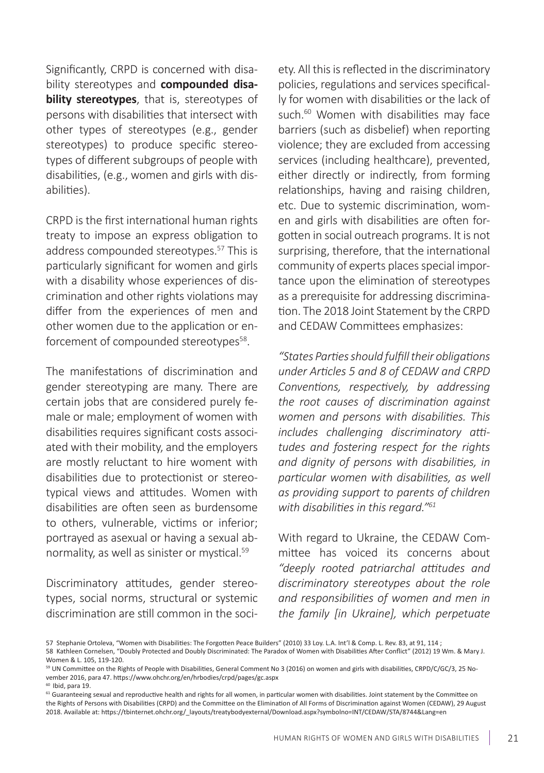Significantly, CRPD is concerned with disability stereotypes and **compounded disability stereotypes**, that is, stereotypes of persons with disabilities that intersect with other types of stereotypes (e.g., gender stereotypes) to produce specific stereotypes of different subgroups of people with disabilities, (e.g., women and girls with disabilities).

CRPD is the first international human rights treaty to impose an express obligation to address compounded stereotypes.<sup>57</sup> This is particularly significant for women and girls with a disability whose experiences of discrimination and other rights violations may differ from the experiences of men and other women due to the application or enforcement of compounded stereotypes<sup>58</sup>.

The manifestations of discrimination and gender stereotyping are many. There are certain jobs that are considered purely female or male; employment of women with disabilities requires significant costs associated with their mobility, and the employers are mostly reluctant to hire woment with disabilities due to protectionist or stereotypical views and attitudes. Women with disabilities are often seen as burdensome to others, vulnerable, victims or inferior; portrayed as asexual or having a sexual abnormality, as well as sinister or mystical.<sup>59</sup>

Discriminatory attitudes, gender stereotypes, social norms, structural or systemic discrimination are still common in the society. All this is reflected in the discriminatory policies, regulations and services specifically for women with disabilities or the lack of such.<sup>60</sup> Women with disabilities may face barriers (such as disbelief) when reporting violence; they are excluded from accessing services (including healthcare), prevented, either directly or indirectly, from forming relationships, having and raising children, etc. Due to systemic discrimination, women and girls with disabilities are often forgotten in social outreach programs. It is not surprising, therefore, that the international community of experts places special importance upon the elimination of stereotypes as a prerequisite for addressing discrimination. The 2018 Joint Statement by the CRPD and CEDAW Committees emphasizes:

*"States Parties should fulfill their obligations under Articles 5 and 8 of CEDAW and CRPD Conventions, respectively, by addressing the root causes of discrimination against women and persons with disabilities. This includes challenging discriminatory attitudes and fostering respect for the rights and dignity of persons with disabilities, in particular women with disabilities, as well as providing support to parents of children with disabilities in this regard."<sup>61</sup>*

With regard to Ukraine, the CEDAW Committee has voiced its concerns about *"deeply rooted patriarchal attitudes and discriminatory stereotypes about the role and responsibilities of women and men in the family [in Ukraine], which perpetuate* 

 $60$  Ibid, para 19.

<sup>57</sup> Stephanie Ortoleva, "Women with Disabilities: The Forgotten Peace Builders" (2010) 33 Loy. L.A. Int'l & Comp. L. Rev. 83, at 91, 114 ; 58 Kathleen Cornelsen, "Doubly Protected and Doubly Discriminated: The Paradox of Women with Disabilities After Conflict" (2012) 19 Wm. & Mary J. Women & L. 105, 119-120.

<sup>59</sup> UN Committee on the Rights of People with Disabilities, General Comment No 3 (2016) on women and girls with disabilities, CRPD/C/GC/3, 25 November 2016, para 47. https://www.ohchr.org/en/hrbodies/crpd/pages/gc.aspx

<sup>&</sup>lt;sup>61</sup> Guaranteeing sexual and reproductive health and rights for all women, in particular women with disabilities. Joint statement by the Committee on the Rights of Persons with Disabilities (CRPD) and the Committee on the Elimination of All Forms of Discrimination against Women (CEDAW), 29 August 2018. Available at: https://tbinternet.ohchr.org/\_layouts/treatybodyexternal/Download.aspx?symbolno=INT/CEDAW/STA/8744&Lang=en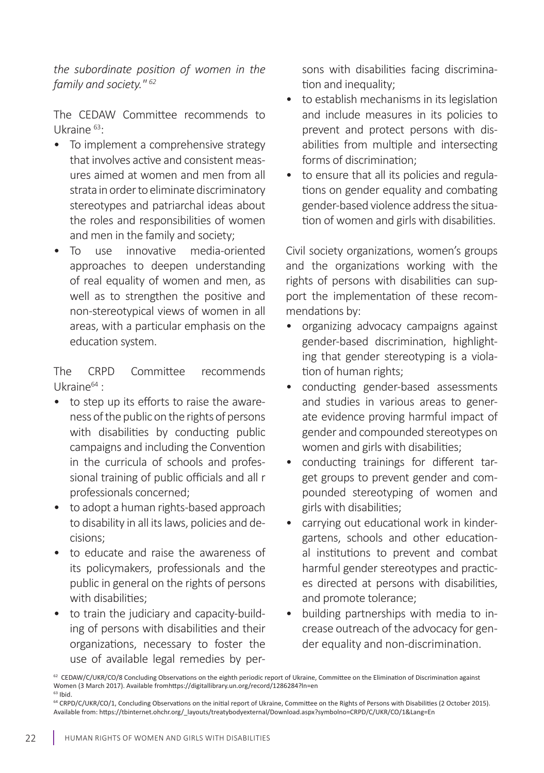*the subordinate position of women in the family and society." 62*

The CEDAW Committee recommends to Ukraine 63:

- To implement a comprehensive strategy that involves active and consistent measures aimed at women and men from all strata in order to eliminate discriminatory stereotypes and patriarchal ideas about the roles and responsibilities of women and men in the family and society;
- To use innovative media-oriented approaches to deepen understanding of real equality of women and men, as well as to strengthen the positive and non-stereotypical views of women in all areas, with a particular emphasis on the education system.

The CRPD Committee recommends Ukraine64 :

- to step up its efforts to raise the awareness of the public on the rights of persons with disabilities by conducting public campaigns and including the Convention in the curricula of schools and professional training of public officials and all r professionals concerned;
- to adopt a human rights-based approach to disability in all its laws, policies and decisions;
- to educate and raise the awareness of its policymakers, professionals and the public in general on the rights of persons with disabilities;
- to train the judiciary and capacity-building of persons with disabilities and their organizations, necessary to foster the use of available legal remedies by per-

sons with disabilities facing discrimination and inequality;

- to establish mechanisms in its legislation and include measures in its policies to prevent and protect persons with disabilities from multiple and intersecting forms of discrimination;
- to ensure that all its policies and regulations on gender equality and combating gender-based violence address the situation of women and girls with disabilities.

Civil society organizations, women's groups and the organizations working with the rights of persons with disabilities can support the implementation of these recommendations by:

- organizing advocacy campaigns against gender-based discrimination, highlighting that gender stereotyping is a violation of human rights;
- conducting gender-based assessments and studies in various areas to generate evidence proving harmful impact of gender and compounded stereotypes on women and girls with disabilities;
- conducting trainings for different target groups to prevent gender and compounded stereotyping of women and girls with disabilities;
- carrying out educational work in kindergartens, schools and other educational institutions to prevent and combat harmful gender stereotypes and practices directed at persons with disabilities, and promote tolerance;
- building partnerships with media to increase outreach of the advocacy for gender equality and non-discrimination.

<sup>&</sup>lt;sup>62</sup> CEDAW/C/UKR/CO/8 Concluding Observations on the eighth periodic report of Ukraine, Committee on the Elimination of Discrimination against Women (3 March 2017). Available fromhttps://digitallibrary.un.org/record/1286284?ln=en  $63$  Ibid.

<sup>&</sup>lt;sup>64</sup> CRPD/C/UKR/CO/1, Concluding Observations on the initial report of Ukraine, Committee on the Rights of Persons with Disabilities (2 October 2015). Available from: https://tbinternet.ohchr.org/\_layouts/treatybodyexternal/Download.aspx?symbolno=CRPD/C/UKR/CO/1&Lang=En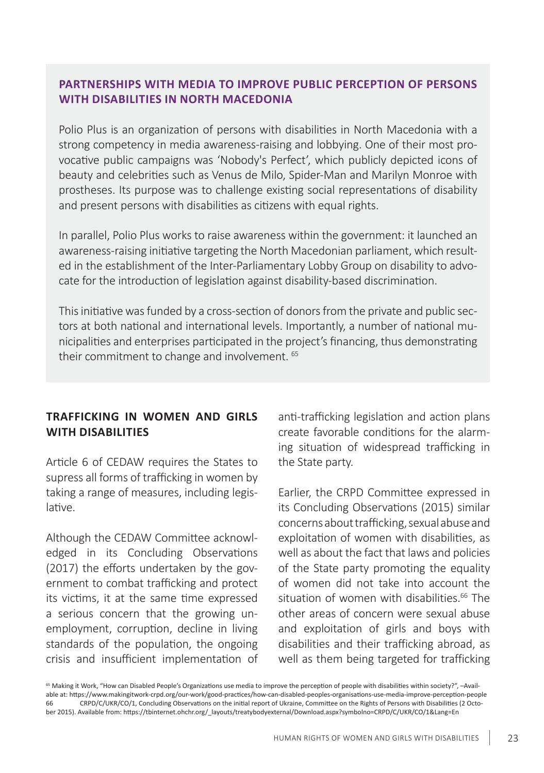#### **PARTNERSHIPS WITH MEDIA TO IMPROVE PUBLIC PERCEPTION OF PERSONS WITH DISABILITIES IN NORTH MACEDONIA**

Polio Plus is an organization of persons with disabilities in North Macedonia with a strong competency in media awareness-raising and lobbying. One of their most provocative public campaigns was 'Nobody's Perfect', which publicly depicted icons of beauty and celebrities such as Venus de Milo, Spider-Man and Marilyn Monroe with prostheses. Its purpose was to challenge existing social representations of disability and present persons with disabilities as citizens with equal rights.

In parallel, Polio Plus works to raise awareness within the government: it launched an awareness-raising initiative targeting the North Macedonian parliament, which resulted in the establishment of the Inter-Parliamentary Lobby Group on disability to advocate for the introduction of legislation against disability-based discrimination.

This initiative was funded by a cross-section of donors from the private and public sectors at both national and international levels. Importantly, a number of national municipalities and enterprises participated in the project's financing, thus demonstrating their commitment to change and involvement. 65

#### **TRAFFICKING IN WOMEN AND GIRLS WITH DISABILITIES**

Article 6 of CEDAW requires the States to supress all forms of trafficking in women by taking a range of measures, including legislative.

Although the CEDAW Committee acknowledged in its Concluding Observations (2017) the efforts undertaken by the government to combat trafficking and protect its victims, it at the same time expressed a serious concern that the growing unemployment, corruption, decline in living standards of the population, the ongoing crisis and insufficient implementation of

anti-trafficking legislation and action plans create favorable conditions for the alarming situation of widespread trafficking in the State party.

Earlier, the CRPD Committee expressed in its Concluding Observations (2015) similar concerns about trafficking, sexual abuse and exploitation of women with disabilities, as well as about the fact that laws and policies of the State party promoting the equality of women did not take into account the situation of women with disabilities.<sup>66</sup> The other areas of concern were sexual abuse and exploitation of girls and boys with disabilities and their trafficking abroad, as well as them being targeted for trafficking

<sup>65</sup> Making it Work, "How can Disabled People's Organizations use media to improve the perception of people with disabilities within society?", -Available at: https://www.makingitwork-crpd.org/our-work/good-practices/how-can-disabled-peoples-organisations-use-media-improve-perception-people 66 CRPD/C/UKR/CO/1, Concluding Observations on the initial report of Ukraine, Committee on the Rights of Persons with Disabilities (2 October 2015). Available from: https://tbinternet.ohchr.org/\_layouts/treatybodyexternal/Download.aspx?symbolno=CRPD/C/UKR/CO/1&Lang=En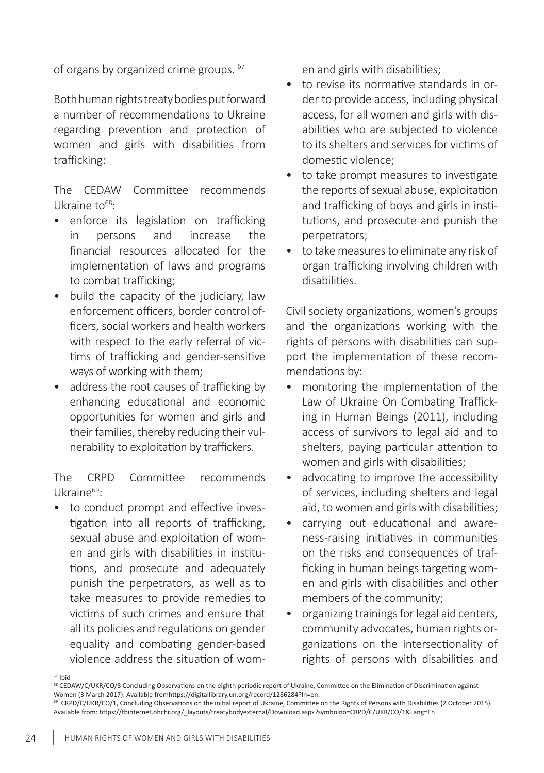of organs by organized crime groups. 67

Both human rights treaty bodies put forward a number of recommendations to Ukraine regarding prevention and protection of women and girls with disabilities from trafficking:

The CEDAW Committee recommends Ukraine to $68$ :

- enforce its legislation on trafficking in persons and increase the financial resources allocated for the implementation of laws and programs to combat trafficking;
- build the capacity of the judiciary, law enforcement officers, border control officers, social workers and health workers with respect to the early referral of victims of trafficking and gender-sensitive ways of working with them;
- address the root causes of trafficking by enhancing educational and economic opportunities for women and girls and their families, thereby reducing their vulnerability to exploitation by traffickers.

The CRPD Committee recommends  $Uk$ raine $^{69}$ :

• to conduct prompt and effective investigation into all reports of trafficking, sexual abuse and exploitation of women and girls with disabilities in institutions, and prosecute and adequately punish the perpetrators, as well as to take measures to provide remedies to victims of such crimes and ensure that all its policies and regulations on gender equality and combating gender-based violence address the situation of women and girls with disabilities;

- to revise its normative standards in order to provide access, including physical access, for all women and girls with disabilities who are subjected to violence to its shelters and services for victims of domestic violence;
- to take prompt measures to investigate the reports of sexual abuse, exploitation and trafficking of boys and girls in institutions, and prosecute and punish the perpetrators;
- to take measures to eliminate any risk of organ trafficking involving children with disabilities.

Civil society organizations, women's groups and the organizations working with the rights of persons with disabilities can support the implementation of these recommendations by:

- monitoring the implementation of the Law of Ukraine On Combating Trafficking in Human Beings (2011), including access of survivors to legal aid and to shelters, paying particular attention to women and girls with disabilities;
- advocating to improve the accessibility of services, including shelters and legal aid, to women and girls with disabilities;
- carrying out educational and awareness-raising initiatives in communities on the risks and consequences of trafficking in human beings targeting women and girls with disabilities and other members of the community;
- organizing trainings for legal aid centers, community advocates, human rights organizations on the intersectionality of rights of persons with disabilities and

 $67$  Ibid

<sup>&</sup>lt;sup>68</sup> CEDAW/C/UKR/CO/8 Concluding Observations on the eighth periodic report of Ukraine, Committee on the Elimination of Discrimination against Women (3 March 2017). Available fromhttps://digitallibrary.un.org/record/1286284?ln=en.

<sup>&</sup>lt;sup>69</sup> CRPD/C/UKR/CO/1, Concluding Observations on the initial report of Ukraine, Committee on the Rights of Persons with Disabilities (2 October 2015). Available from: https://tbinternet.ohchr.org/\_layouts/treatybodyexternal/Download.aspx?symbolno=CRPD/C/UKR/CO/1&Lang=En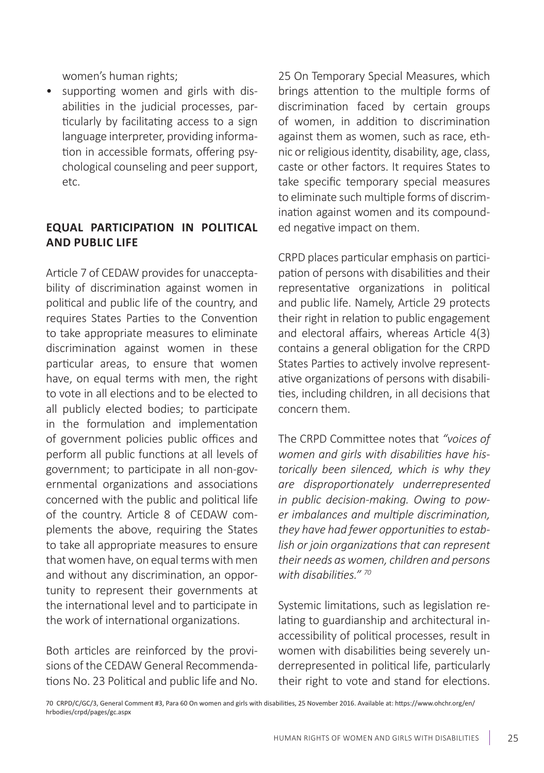women's human rights;

• supporting women and girls with disabilities in the judicial processes, particularly by facilitating access to a sign language interpreter, providing information in accessible formats, offering psychological counseling and peer support, etc.

#### **EQUAL PARTICIPATION IN POLITICAL AND PUBLIC LIFE**

Article 7 of CEDAW provides for unacceptability of discrimination against women in political and public life of the country, and requires States Parties to the Convention to take appropriate measures to eliminate discrimination against women in these particular areas, to ensure that women have, on equal terms with men, the right to vote in all elections and to be elected to all publicly elected bodies; to participate in the formulation and implementation of government policies public offices and perform all public functions at all levels of government; to participate in all non-governmental organizations and associations concerned with the public and political life of the country. Article 8 of CEDAW complements the above, requiring the States to take all appropriate measures to ensure that women have, on equal terms with men and without any discrimination, an opportunity to represent their governments at the international level and to participate in the work of international organizations.

Both articles are reinforced by the provisions of the CEDAW General Recommendations No. 23 Political and public life and No. 25 On Temporary Special Measures, which brings attention to the multiple forms of discrimination faced by certain groups of women, in addition to discrimination against them as women, such as race, ethnic or religious identity, disability, age, class, caste or other factors. It requires States to take specific temporary special measures to eliminate such multiple forms of discrimination against women and its compounded negative impact on them.

CRPD places particular emphasis on participation of persons with disabilities and their representative organizations in political and public life. Namely, Article 29 protects their right in relation to public engagement and electoral affairs, whereas Article 4(3) contains a general obligation for the CRPD States Parties to actively involve representative organizations of persons with disabilities, including children, in all decisions that concern them.

The CRPD Committee notes that *"voices of women and girls with disabilities have historically been silenced, which is why they are disproportionately underrepresented in public decision-making. Owing to power imbalances and multiple discrimination, they have had fewer opportunities to establish or join organizations that can represent their needs as women, children and persons with disabilities." <sup>70</sup>*

Systemic limitations, such as legislation relating to guardianship and architectural inaccessibility of political processes, result in women with disabilities being severely underrepresented in political life, particularly their right to vote and stand for elections.

70 CRPD/C/GC/3, General Comment #3, Para 60 On women and girls with disabilities, 25 November 2016. Available at: https://www.ohchr.org/en/ hrbodies/crpd/pages/gc.aspx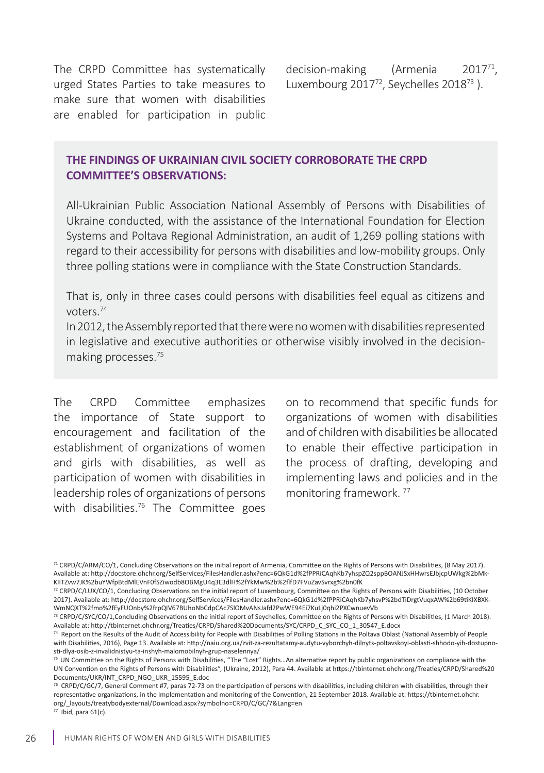The CRPD Committee has systematically urged States Parties to take measures to make sure that women with disabilities are enabled for participation in public

decision-making (Armenia 201771, Luxembourg 2017<sup>72</sup>, Seychelles 2018<sup>73</sup>).

#### **THE FINDINGS OF UKRAINIAN CIVIL SOCIETY CORROBORATE THE CRPD COMMITTEE'S OBSERVATIONS:**

All-Ukrainian Public Association National Assembly of Persons with Disabilities of Ukraine conducted, with the assistance of the International Foundation for Election Systems and Poltava Regional Administration, an audit of 1,269 polling stations with regard to their accessibility for persons with disabilities and low-mobility groups. Only three polling stations were in compliance with the State Construction Standards.

That is, only in three cases could persons with disabilities feel equal as citizens and voters.74

In 2012, the Assembly reported that there were no women with disabilities represented in legislative and executive authorities or otherwise visibly involved in the decisionmaking processes.75

The CRPD Committee emphasizes the importance of State support to encouragement and facilitation of the establishment of organizations of women and girls with disabilities, as well as participation of women with disabilities in leadership roles of organizations of persons with disabilities.<sup>76</sup> The Committee goes

on to recommend that specific funds for organizations of women with disabilities and of children with disabilities be allocated to enable their effective participation in the process of drafting, developing and implementing laws and policies and in the monitoring framework. 77

71 CRPD/C/ARM/CO/1, Concluding Observations on the initial report of Armenia, Committee on the Rights of Persons with Disabilities, (8 May 2017). Available at: http://docstore.ohchr.org/SelfServices/FilesHandler.ashx?enc=6QkG1d%2fPPRiCAqhKb7yhspZQ2sppBOANJSxHHwrsEJbjcpUWkg%2bMk-KIITZvw7JK%2buYWfpBtdMlEVnF0fSZiwodb8OBMgU4q3E3dlH%2fYkMw%2b%2flfD7FVuZavSvrxg%2bn0fK

72 CRPD/C/LUX/CO/1, Concluding Observations on the initial report of Luxembourg, Committee on the Rights of Persons with Disabilities, (10 October 2017). Available at: http://docstore.ohchr.org/SelfServices/FilesHandler.ashx?enc=6QkG1d%2fPPRiCAqhKb7yhsvP%2bdTiDrgtVuqxAW%2b69tiKIXBXK-WmNQXT%2fmo%2fEyFUOnby%2frpQIV67BUhoNbCdpCAc7SlOMvANsJafd2PwWE94Ei7KuLj0qhi2PXCwnuevVb

<sup>73</sup> CRPD/C/SYC/CO/1, Concluding Observations on the initial report of Seychelles, Committee on the Rights of Persons with Disabilities, (1 March 2018). Available at: http://tbinternet.ohchr.org/Treaties/CRPD/Shared%20Documents/SYC/CRPD\_C\_SYC\_CO\_1\_30547\_E.docx

74 Report on the Results of the Audit of Accessibility for People with Disabilities of Polling Stations in the Poltava Oblast (National Assembly of People with Disabilities, 2016), Page 13. Available at: http://naiu.org.ua/zvit-za-rezultatamy-audytu-vyborchyh-dilnyts-poltavskoyi-oblasti-shhodo-yih-dostupnosti-dlya-osib-z-invalidnistyu-ta-inshyh-malomobilnyh-grup-naselennya/

75 UN Committee on the Rights of Persons with Disabilities, "The "Lost" Rights...An alternative report by public organizations on compliance with the UN Convention on the Rights of Persons with Disabilities", (Ukraine, 2012), Para 44. Available at https://tbinternet.ohchr.org/Treaties/CRPD/Shared%20 Documents/UKR/INT\_CRPD\_NGO\_UKR\_15595\_E.doc

 $76$  CRPD/C/GC/7, General Comment #7, paras 72-73 on the participation of persons with disabilities, including children with disabilities, through their representative organizations, in the implementation and monitoring of the Convention, 21 September 2018. Available at: https://tbinternet.ohchr. org/\_layouts/treatybodyexternal/Download.aspx?symbolno=CRPD/C/GC/7&Lang=en

 $77$  Ibid, para  $61(c)$ .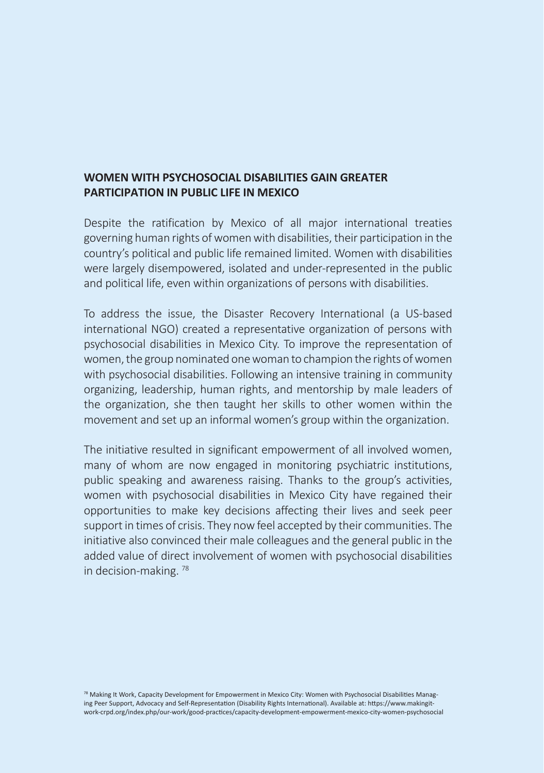#### **WOMEN WITH PSYCHOSOCIAL DISABILITIES GAIN GREATER PARTICIPATION IN PUBLIC LIFE IN MEXICO**

Despite the ratification by Mexico of all major international treaties governing human rights of women with disabilities, their participation in the country's political and public life remained limited. Women with disabilities were largely disempowered, isolated and under-represented in the public and political life, even within organizations of persons with disabilities.

To address the issue, the Disaster Recovery International (a US-based international NGO) created a representative organization of persons with psychosocial disabilities in Mexico City. To improve the representation of women, the group nominated one woman to champion the rights of women with psychosocial disabilities. Following an intensive training in community organizing, leadership, human rights, and mentorship by male leaders of the organization, she then taught her skills to other women within the movement and set up an informal women's group within the organization.

The initiative resulted in significant empowerment of all involved women, many of whom are now engaged in monitoring psychiatric institutions, public speaking and awareness raising. Thanks to the group's activities, women with psychosocial disabilities in Mexico City have regained their opportunities to make key decisions affecting their lives and seek peer support in times of crisis. They now feel accepted by their communities. The initiative also convinced their male colleagues and the general public in the added value of direct involvement of women with psychosocial disabilities in decision-making. 78

78 Making It Work, Capacity Development for Empowerment in Mexico City: Women with Psychosocial Disabilities Managing Peer Support, Advocacy and Self-Representation (Disability Rights International). Available at: https://www.makingitwork-crpd.org/index.php/our-work/good-practices/capacity-development-empowerment-mexico-city-women-psychosocial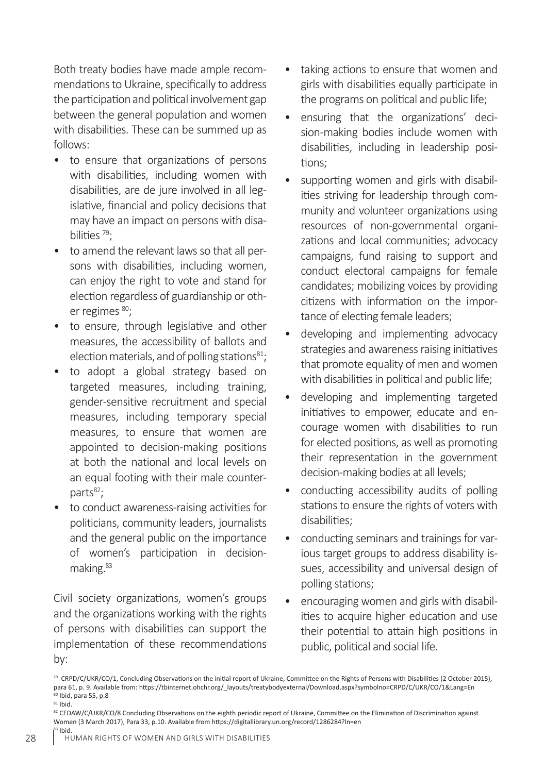Both treaty bodies have made ample recommendations to Ukraine, specifically to address the participation and political involvement gap between the general population and women with disabilities. These can be summed up as follows:

- to ensure that organizations of persons with disabilities, including women with disabilities, are de jure involved in all legislative, financial and policy decisions that may have an impact on persons with disabilities<sup>79</sup>;
- to amend the relevant laws so that all persons with disabilities, including women, can enjoy the right to vote and stand for election regardless of guardianship or other regimes 80;
- to ensure, through legislative and other measures, the accessibility of ballots and election materials, and of polling stations $81$ ;
- to adopt a global strategy based on targeted measures, including training, gender-sensitive recruitment and special measures, including temporary special measures, to ensure that women are appointed to decision-making positions at both the national and local levels on an equal footing with their male counterparts $82$ ;
- to conduct awareness-raising activities for politicians, community leaders, journalists and the general public on the importance of women's participation in decisionmaking.<sup>83</sup>

Civil society organizations, women's groups and the organizations working with the rights of persons with disabilities can support the implementation of these recommendations by:

- taking actions to ensure that women and girls with disabilities equally participate in the programs on political and public life;
- ensuring that the organizations' decision-making bodies include women with disabilities, including in leadership positions;
- supporting women and girls with disabilities striving for leadership through community and volunteer organizations using resources of non-governmental organizations and local communities; advocacy campaigns, fund raising to support and conduct electoral campaigns for female candidates; mobilizing voices by providing citizens with information on the importance of electing female leaders;
- developing and implementing advocacy strategies and awareness raising initiatives that promote equality of men and women with disabilities in political and public life;
- developing and implementing targeted initiatives to empower, educate and encourage women with disabilities to run for elected positions, as well as promoting their representation in the government decision-making bodies at all levels;
- conducting accessibility audits of polling stations to ensure the rights of voters with disabilities;
- conducting seminars and trainings for various target groups to address disability issues, accessibility and universal design of polling stations;
- encouraging women and girls with disabilities to acquire higher education and use their potential to attain high positions in public, political and social life.

<sup>&</sup>lt;sup>79</sup> CRPD/C/UKR/CO/1, Concluding Observations on the initial report of Ukraine, Committee on the Rights of Persons with Disabilities (2 October 2015), para 61, p. 9. Available from: https://tbinternet.ohchr.org/\_layouts/treatybodyexternal/Download.aspx?symbolno=CRPD/C/UKR/CO/1&Lang=En <sup>80</sup> Ibid, para 55, p.8

 $81$  Ibid.

<sup>82</sup> CEDAW/C/UKR/CO/8 Concluding Observations on the eighth periodic report of Ukraine, Committee on the Elimination of Discrimination against Women (3 March 2017), Para 33, p.10. Available from https://digitallibrary.un.org/record/1286284?ln=en  $83$  Ihid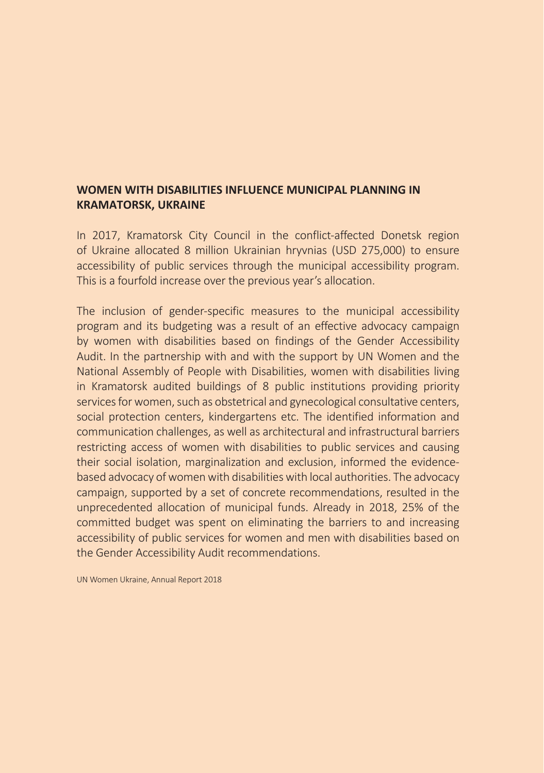#### **WOMEN WITH DISABILITIES INFLUENCE MUNICIPAL PLANNING IN KRAMATORSK, UKRAINE**

In 2017, Kramatorsk City Council in the conflict-affected Donetsk region of Ukraine allocated 8 million Ukrainian hryvnias (USD 275,000) to ensure accessibility of public services through the municipal accessibility program. This is a fourfold increase over the previous year's allocation.

The inclusion of gender-specific measures to the municipal accessibility program and its budgeting was a result of an effective advocacy campaign by women with disabilities based on findings of the Gender Accessibility Audit. In the partnership with and with the support by UN Women and the National Assembly of People with Disabilities, women with disabilities living in Kramatorsk audited buildings of 8 public institutions providing priority services for women, such as obstetrical and gynecological consultative centers, social protection centers, kindergartens etc. The identified information and communication challenges, as well as architectural and infrastructural barriers restricting access of women with disabilities to public services and causing their social isolation, marginalization and exclusion, informed the evidencebased advocacy of women with disabilities with local authorities. The advocacy campaign, supported by a set of concrete recommendations, resulted in the unprecedented allocation of municipal funds. Already in 2018, 25% of the committed budget was spent on eliminating the barriers to and increasing accessibility of public services for women and men with disabilities based on the Gender Accessibility Audit recommendations.

UN Women Ukraine, Annual Report 2018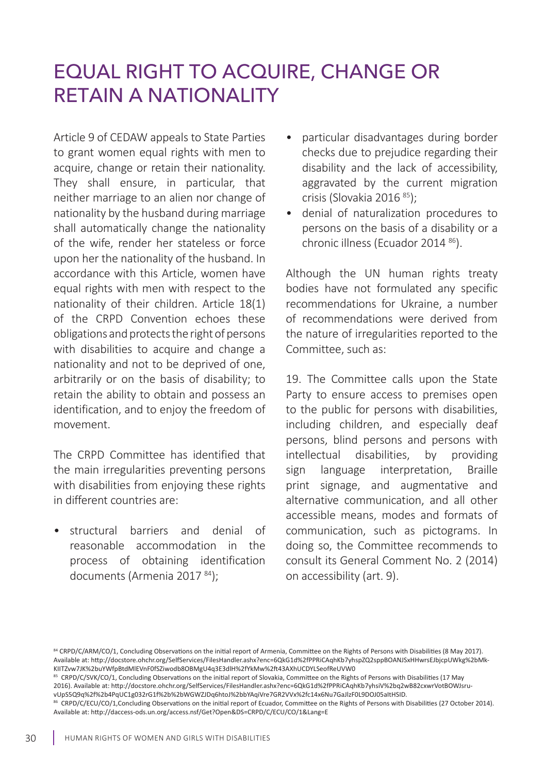## EQUAL RIGHT TO ACQUIRE, CHANGE OR RETAIN A NATIONALITY

Article 9 of CEDAW appeals to State Parties to grant women equal rights with men to acquire, change or retain their nationality. They shall ensure, in particular, that neither marriage to an alien nor change of nationality by the husband during marriage shall automatically change the nationality of the wife, render her stateless or force upon her the nationality of the husband. In accordance with this Article, women have equal rights with men with respect to the nationality of their children. Article 18(1) of the CRPD Convention echoes these obligations and protects the right of persons with disabilities to acquire and change a nationality and not to be deprived of one, arbitrarily or on the basis of disability; to retain the ability to obtain and possess an identification, and to enjoy the freedom of movement.

The CRPD Committee has identified that the main irregularities preventing persons with disabilities from enjoying these rights in different countries are:

• structural barriers and denial of reasonable accommodation in the process of obtaining identification documents (Armenia 2017 84);

- particular disadvantages during border checks due to prejudice regarding their disability and the lack of accessibility, aggravated by the current migration crisis (Slovakia 2016 85);
- denial of naturalization procedures to persons on the basis of a disability or a chronic illness (Ecuador 2014<sup>86</sup>).

Although the UN human rights treaty bodies have not formulated any specific recommendations for Ukraine, a number of recommendations were derived from the nature of irregularities reported to the Committee, such as:

19. The Committee calls upon the State Party to ensure access to premises open to the public for persons with disabilities, including children, and especially deaf persons, blind persons and persons with intellectual disabilities, by providing sign language interpretation, Braille print signage, and augmentative and alternative communication, and all other accessible means, modes and formats of communication, such as pictograms. In doing so, the Committee recommends to consult its General Comment No. 2 (2014) on accessibility (art. 9).

<sup>84</sup> CRPD/C/ARM/CO/1, Concluding Observations on the initial report of Armenia, Committee on the Rights of Persons with Disabilities (8 May 2017). Available at: http://docstore.ohchr.org/SelfServices/FilesHandler.ashx?enc=6QkG1d%2fPPRiCAqhKb7yhspZQ2sppBOANJSxHHwrsEJbjcpUWkg%2bMk-KIITZvw7JK%2buYWfpBtdMlEVnF0fSZiwodb8OBMgU4q3E3dlH%2fYkMw%2ft43AXhUCDYLSeofReUVW0

<sup>85</sup> CRPD/C/SVK/CO/1, Concluding Observations on the initial report of Slovakia, Committee on the Rights of Persons with Disabilities (17 May 2016). Available at: http://docstore.ohchr.org/SelfServices/FilesHandler.ashx?enc=6QkG1d%2fPPRiCAqhKb7yhsiV%2bq2wB82cxwrVotBOWJsruvUpS5Q9q%2f%2b4PqUC1g032rG1f%2b%2bWGWZJDq6htoJ%2bbYAqiVre7GR2VVx%2fc14x6Nu7GaJlzF0L9DOJ05aItHSID.

<sup>86</sup> CRPD/C/ECU/CO/1,Concluding Observations on the initial report of Ecuador, Committee on the Rights of Persons with Disabilities (27 October 2014). Available at: http://daccess-ods.un.org/access.nsf/Get?Open&DS=CRPD/C/ECU/CO/1&Lang=E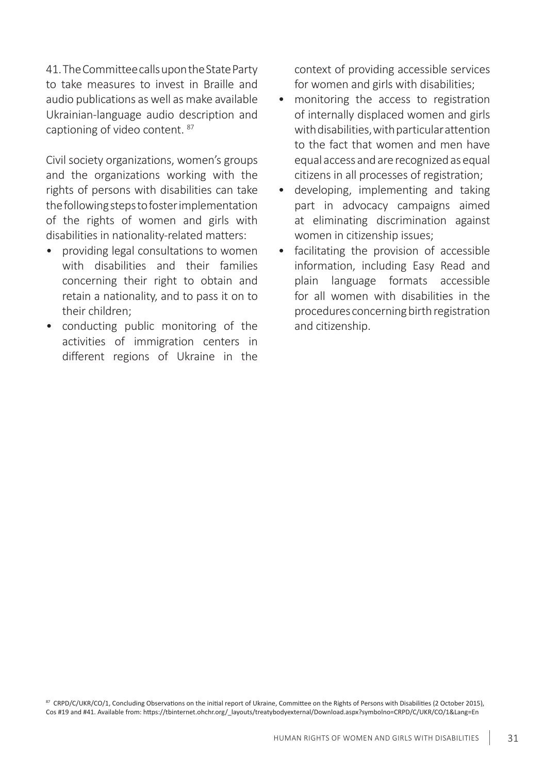41. The Committee calls upon the State Party to take measures to invest in Braille and audio publications as well as make available Ukrainian-language audio description and captioning of video content. 87

Civil society organizations, women's groups and the organizations working with the rights of persons with disabilities can take the following steps to foster implementation of the rights of women and girls with disabilities in nationality-related matters:

- providing legal consultations to women with disabilities and their families concerning their right to obtain and retain a nationality, and to pass it on to their children;
- conducting public monitoring of the activities of immigration centers in different regions of Ukraine in the

context of providing accessible services for women and girls with disabilities;

- monitoring the access to registration of internally displaced women and girls with disabilities, with particular attention to the fact that women and men have equal access and are recognized as equal citizens in all processes of registration;
- developing, implementing and taking part in advocacy campaigns aimed at eliminating discrimination against women in citizenship issues;
- facilitating the provision of accessible information, including Easy Read and plain language formats accessible for all women with disabilities in the procedures concerning birth registration and citizenship.

87 CRPD/C/UKR/CO/1, Concluding Observations on the initial report of Ukraine, Committee on the Rights of Persons with Disabilities (2 October 2015), Cos #19 and #41. Available from: https://tbinternet.ohchr.org/\_layouts/treatybodyexternal/Download.aspx?symbolno=CRPD/C/UKR/CO/1&Lang=En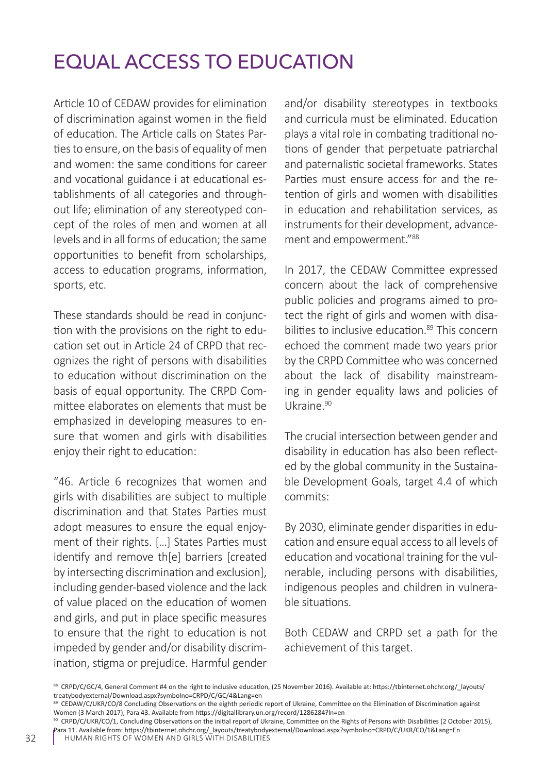# EQUAL ACCESS TO EDUCATION

Article 10 of CEDAW provides for elimination of discrimination against women in the field of education. The Article calls on States Parties to ensure, on the basis of equality of men and women: the same conditions for career and vocational guidance i at educational establishments of all categories and throughout life; elimination of any stereotyped concept of the roles of men and women at all levels and in all forms of education; the same opportunities to benefit from scholarships, access to education programs, information, sports, etc.

These standards should be read in conjunction with the provisions on the right to education set out in Article 24 of CRPD that recognizes the right of persons with disabilities to education without discrimination on the basis of equal opportunity. The CRPD Committee elaborates on elements that must be emphasized in developing measures to ensure that women and girls with disabilities enjoy their right to education:

"46. Article 6 recognizes that women and girls with disabilities are subject to multiple discrimination and that States Parties must adopt measures to ensure the equal enjoyment of their rights. […] States Parties must identify and remove th[e] barriers [created by intersecting discrimination and exclusion], including gender-based violence and the lack of value placed on the education of women and girls, and put in place specific measures to ensure that the right to education is not impeded by gender and/or disability discrimination, stigma or prejudice. Harmful gender

and/or disability stereotypes in textbooks and curricula must be eliminated. Education plays a vital role in combating traditional notions of gender that perpetuate patriarchal and paternalistic societal frameworks. States Parties must ensure access for and the retention of girls and women with disabilities in education and rehabilitation services, as instruments for their development, advancement and empowerment."88

In 2017, the CEDAW Committee expressed concern about the lack of comprehensive public policies and programs aimed to protect the right of girls and women with disabilities to inclusive education.<sup>89</sup> This concern echoed the comment made two years prior by the CRPD Committee who was concerned about the lack of disability mainstreaming in gender equality laws and policies of Ukraine.<sup>90</sup>

The crucial intersection between gender and disability in education has also been reflected by the global community in the Sustainable Development Goals, target 4.4 of which commits:

By 2030, eliminate gender disparities in education and ensure equal access to all levels of education and vocational training for the vulnerable, including persons with disabilities, indigenous peoples and children in vulnerable situations.

Both CEDAW and CRPD set a path for the achievement of this target.

<sup>88</sup> CRPD/C/GC/4, General Comment #4 on the right to inclusive education, (25 November 2016). Available at: https://tbinternet.ohchr.org/\_layouts/ treatybodyexternal/Download.aspx?symbolno=CRPD/C/GC/4&Lang=en

<sup>89</sup> CEDAW/C/UKR/CO/8 Concluding Observations on the eighth periodic report of Ukraine, Committee on the Elimination of Discrimination against Women (3 March 2017), Para 43. Available from https://digitallibrary.un.org/record/1286284?ln=en

<sup>32</sup> HUMAN RIGHTS OF WOMEN AND GIRLS WITH DISABILITIES Para 11. Available from: https://tbinternet.ohchr.org/\_layouts/treatybodyexternal/Download.aspx?symbolno=CRPD/C/UKR/CO/1&Lang=En 90 CRPD/C/UKR/CO/1, Concluding Observations on the initial report of Ukraine, Committee on the Rights of Persons with Disabilities (2 October 2015),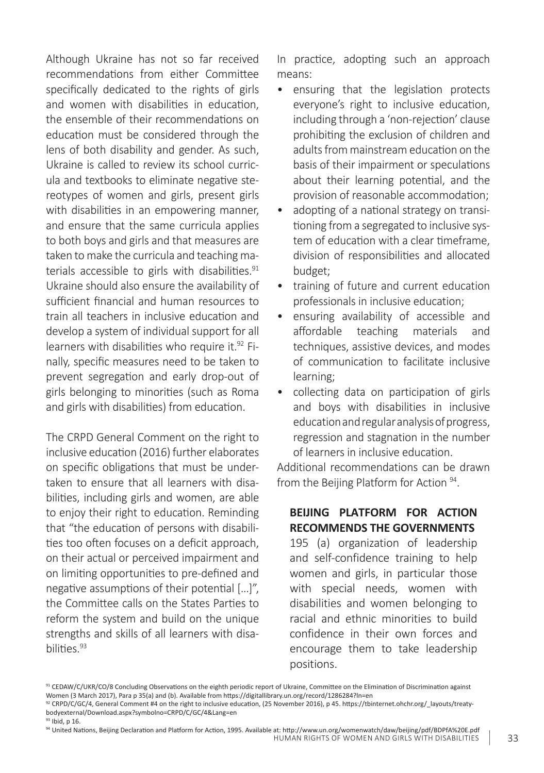Although Ukraine has not so far received recommendations from either Committee specifically dedicated to the rights of girls and women with disabilities in education, the ensemble of their recommendations on education must be considered through the lens of both disability and gender. As such, Ukraine is called to review its school curricula and textbooks to eliminate negative stereotypes of women and girls, present girls with disabilities in an empowering manner, and ensure that the same curricula applies to both boys and girls and that measures are taken to make the curricula and teaching materials accessible to girls with disabilities. $91$ Ukraine should also ensure the availability of sufficient financial and human resources to train all teachers in inclusive education and develop a system of individual support for all learners with disabilities who require it. $92$  Finally, specific measures need to be taken to prevent segregation and early drop-out of girls belonging to minorities (such as Roma and girls with disabilities) from education.

The CRPD General Comment on the right to inclusive education (2016) further elaborates on specific obligations that must be undertaken to ensure that all learners with disabilities, including girls and women, are able to enjoy their right to education. Reminding that "the education of persons with disabilities too often focuses on a deficit approach, on their actual or perceived impairment and on limiting opportunities to pre-defined and negative assumptions of their potential […]", the Committee calls on the States Parties to reform the system and build on the unique strengths and skills of all learners with disabilities.<sup>93</sup>

In practice, adopting such an approach means:

- ensuring that the legislation protects everyone's right to inclusive education, including through a 'non-rejection' clause prohibiting the exclusion of children and adults from mainstream education on the basis of their impairment or speculations about their learning potential, and the provision of reasonable accommodation;
- adopting of a national strategy on transitioning from a segregated to inclusive system of education with a clear timeframe, division of responsibilities and allocated budget;
- training of future and current education professionals in inclusive education;
- ensuring availability of accessible and affordable teaching materials and techniques, assistive devices, and modes of communication to facilitate inclusive learning;
- collecting data on participation of girls and boys with disabilities in inclusive education and regular analysis of progress, regression and stagnation in the number of learners in inclusive education.

Additional recommendations can be drawn from the Beijing Platform for Action <sup>94</sup>.

#### **BEIJING PLATFORM FOR ACTION RECOMMENDS THE GOVERNMENTS**

195 (a) organization of leadership and self-confidence training to help women and girls, in particular those with special needs, women with disabilities and women belonging to racial and ethnic minorities to build confidence in their own forces and encourage them to take leadership positions.

HUMAN RIGHTS OF WOMEN AND GIRLS WITH DISABILITIES | 33 94 United Nations, Beijing Declaration and Platform for Action, 1995. Available at: http://www.un.org/womenwatch/daw/beijing/pdf/BDPfA%20E.pdf

<sup>91</sup> CEDAW/C/UKR/CO/8 Concluding Observations on the eighth periodic report of Ukraine, Committee on the Elimination of Discrimination against Women (3 March 2017), Para p 35(a) and (b). Available from https://digitallibrary.un.org/record/1286284?ln=en

<sup>92</sup> CRPD/C/GC/4, General Comment #4 on the right to inclusive education, (25 November 2016), p 45. https://tbinternet.ohchr.org/\_layouts/treatybodyexternal/Download.aspx?symbolno=CRPD/C/GC/4&Lang=en 93 Ibid, p 16.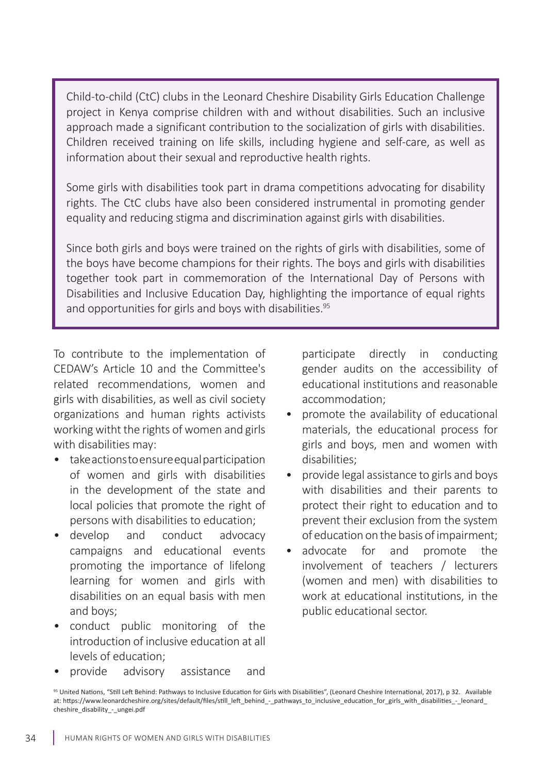Child-to-child (CtC) clubs in the Leonard Cheshire Disability Girls Education Challenge project in Kenya comprise children with and without disabilities. Such an inclusive approach made a significant contribution to the socialization of girls with disabilities. Children received training on life skills, including hygiene and self-care, as well as information about their sexual and reproductive health rights.

Some girls with disabilities took part in drama competitions advocating for disability rights. The CtC clubs have also been considered instrumental in promoting gender equality and reducing stigma and discrimination against girls with disabilities.

Since both girls and boys were trained on the rights of girls with disabilities, some of the boys have become champions for their rights. The boys and girls with disabilities together took part in commemoration of the International Day of Persons with Disabilities and Inclusive Education Day, highlighting the importance of equal rights and opportunities for girls and boys with disabilities.<sup>95</sup>

To contribute to the implementation of CEDAW's Article 10 and the Committee's related recommendations, women and girls with disabilities, as well as civil society organizations and human rights activists working witht the rights of women and girls with disabilities may:

- take actions to ensure equal participation of women and girls with disabilities in the development of the state and local policies that promote the right of persons with disabilities to education;
- develop and conduct advocacy campaigns and educational events promoting the importance of lifelong learning for women and girls with disabilities on an equal basis with men and boys;
- conduct public monitoring of the introduction of inclusive education at all levels of education;
- provide advisory assistance and

participate directly in conducting gender audits on the accessibility of educational institutions and reasonable accommodation;

- promote the availability of educational materials, the educational process for girls and boys, men and women with disabilities;
- provide legal assistance to girls and boys with disabilities and their parents to protect their right to education and to prevent their exclusion from the system of education on the basis of impairment;
- advocate for and promote the involvement of teachers / lecturers (women and men) with disabilities to work at educational institutions, in the public educational sector.

<sup>95</sup> United Nations, "Still Left Behind: Pathways to Inclusive Education for Girls with Disabilities", (Leonard Cheshire International, 2017), p 32. Available at: https://www.leonardcheshire.org/sites/default/files/still\_left\_behind\_-\_pathways\_to\_inclusive\_education\_for\_girls\_with\_disabilities\_-\_leonard\_ cheshire\_disability\_-\_ungei.pdf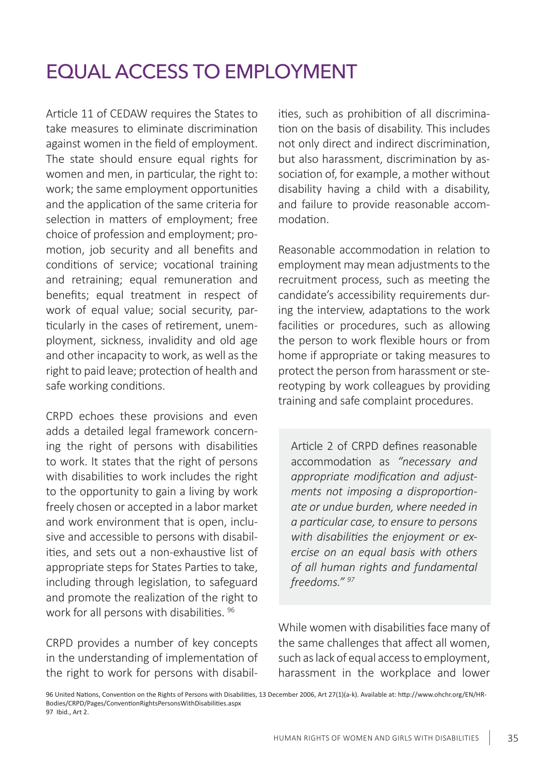# EQUAL ACCESS TO EMPLOYMENT

Article 11 of CEDAW requires the States to take measures to eliminate discrimination against women in the field of employment. The state should ensure equal rights for women and men, in particular, the right to: work; the same employment opportunities and the application of the same criteria for selection in matters of employment; free choice of profession and employment; promotion, job security and all benefits and conditions of service; vocational training and retraining; equal remuneration and benefits; equal treatment in respect of work of equal value; social security, particularly in the cases of retirement, unemployment, sickness, invalidity and old age and other incapacity to work, as well as the right to paid leave; protection of health and safe working conditions.

CRPD echoes these provisions and even adds a detailed legal framework concerning the right of persons with disabilities to work. It states that the right of persons with disabilities to work includes the right to the opportunity to gain a living by work freely chosen or accepted in a labor market and work environment that is open, inclusive and accessible to persons with disabilities, and sets out a non-exhaustive list of appropriate steps for States Parties to take, including through legislation, to safeguard and promote the realization of the right to work for all persons with disabilities. <sup>96</sup>

CRPD provides a number of key concepts in the understanding of implementation of the right to work for persons with disabilities, such as prohibition of all discrimination on the basis of disability. This includes not only direct and indirect discrimination, but also harassment, discrimination by association of, for example, a mother without disability having a child with a disability, and failure to provide reasonable accommodation.

Reasonable accommodation in relation to employment may mean adjustments to the recruitment process, such as meeting the candidate's accessibility requirements during the interview, adaptations to the work facilities or procedures, such as allowing the person to work flexible hours or from home if appropriate or taking measures to protect the person from harassment or stereotyping by work colleagues by providing training and safe complaint procedures.

Article 2 of CRPD defines reasonable accommodation as *"necessary and appropriate modification and adjustments not imposing a disproportionate or undue burden, where needed in a particular case, to ensure to persons with disabilities the enjoyment or exercise on an equal basis with others of all human rights and fundamental freedoms." <sup>97</sup>*

While women with disabilities face many of the same challenges that affect all women, such as lack of equal access to employment, harassment in the workplace and lower

96 United Nations, Convention on the Rights of Persons with Disabilities, 13 December 2006, Art 27(1)(a-k). Available at: http://www.ohchr.org/EN/HR-Bodies/CRPD/Pages/ConventionRightsPersonsWithDisabilities.aspx 97 Ibid., Art 2.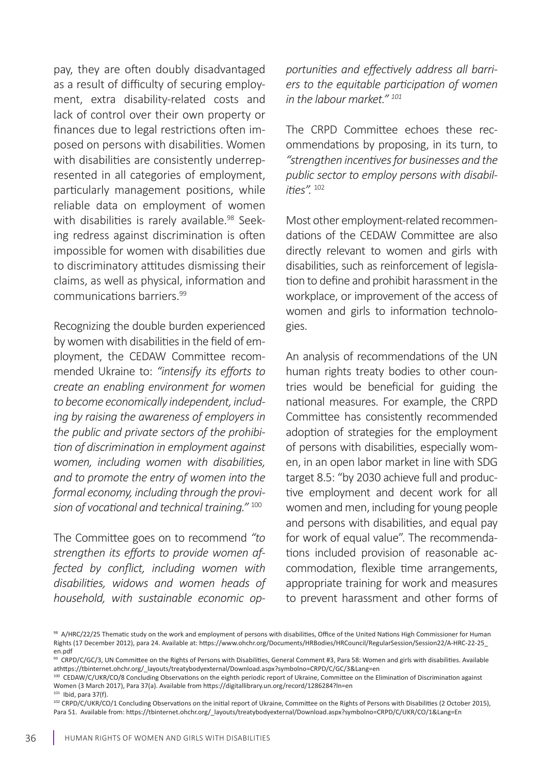pay, they are often doubly disadvantaged as a result of difficulty of securing employment, extra disability-related costs and lack of control over their own property or finances due to legal restrictions often imposed on persons with disabilities. Women with disabilities are consistently underrepresented in all categories of employment, particularly management positions, while reliable data on employment of women with disabilities is rarely available.<sup>98</sup> Seeking redress against discrimination is often impossible for women with disabilities due to discriminatory attitudes dismissing their claims, as well as physical, information and communications barriers.<sup>99</sup>

Recognizing the double burden experienced by women with disabilities in the field of employment, the CEDAW Committee recommended Ukraine to: *"intensify its efforts to create an enabling environment for women to become economically independent, including by raising the awareness of employers in the public and private sectors of the prohibition of discrimination in employment against women, including women with disabilities, and to promote the entry of women into the formal economy, including through the provision of vocational and technical training."* <sup>100</sup>

The Committee goes on to recommend *"to strengthen its efforts to provide women affected by conflict, including women with disabilities, widows and women heads of household, with sustainable economic op-* *portunities and effectively address all barriers to the equitable participation of women in the labour market." <sup>101</sup>*

The CRPD Committee echoes these recommendations by proposing, in its turn, to *"strengthen incentives for businesses and the public sector to employ persons with disabilities".* <sup>102</sup>

Most other employment-related recommendations of the CEDAW Committee are also directly relevant to women and girls with disabilities, such as reinforcement of legislation to define and prohibit harassment in the workplace, or improvement of the access of women and girls to information technologies.

An analysis of recommendations of the UN human rights treaty bodies to other countries would be beneficial for guiding the national measures. For example, the CRPD Committee has consistently recommended adoption of strategies for the employment of persons with disabilities, especially women, in an open labor market in line with SDG target 8.5: "by 2030 achieve full and productive employment and decent work for all women and men, including for young people and persons with disabilities, and equal pay for work of equal value". The recommendations included provision of reasonable accommodation, flexible time arrangements, appropriate training for work and measures to prevent harassment and other forms of

<sup>&</sup>lt;sup>98</sup> A/HRC/22/25 Thematic study on the work and employment of persons with disabilities, Office of the United Nations High Commissioner for Human Rights (17 December 2012), para 24. Available at: https://www.ohchr.org/Documents/HRBodies/HRCouncil/RegularSession/Session22/A-HRC-22-25\_ en.pdf

<sup>99</sup> CRPD/C/GC/3, UN Committee on the Rights of Persons with Disabilities, General Comment #3, Para 58: Women and girls with disabilities. Available athttps://tbinternet.ohchr.org/\_layouts/treatybodyexternal/Download.aspx?symbolno=CRPD/C/GC/3&Lang=en

<sup>100</sup> CEDAW/C/UKR/CO/8 Concluding Observations on the eighth periodic report of Ukraine, Committee on the Elimination of Discrimination against Women (3 March 2017), Para 37(a). Available from https://digitallibrary.un.org/record/1286284?ln=en

 $101$  Ibid, para 37(f).

<sup>102</sup> CRPD/C/UKR/CO/1 Concluding Observations on the initial report of Ukraine, Committee on the Rights of Persons with Disabilities (2 October 2015), Para 51. Available from: https://tbinternet.ohchr.org/\_layouts/treatybodyexternal/Download.aspx?symbolno=CRPD/C/UKR/CO/1&Lang=En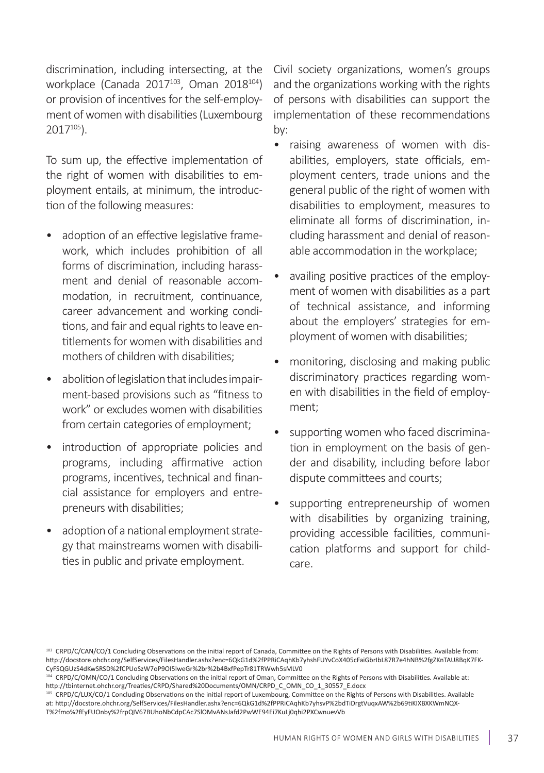discrimination, including intersecting, at the workplace (Canada 2017<sup>103</sup>, Oman 2018<sup>104</sup>) or provision of incentives for the self-employment of women with disabilities (Luxembourg 2017105).

To sum up, the effective implementation of the right of women with disabilities to employment entails, at minimum, the introduction of the following measures:

- adoption of an effective legislative framework, which includes prohibition of all forms of discrimination, including harassment and denial of reasonable accommodation, in recruitment, continuance, career advancement and working conditions, and fair and equal rights to leave entitlements for women with disabilities and mothers of children with disabilities;
- abolition of legislation that includes impairment-based provisions such as "fitness to work" or excludes women with disabilities from certain categories of employment;
- introduction of appropriate policies and programs, including affirmative action programs, incentives, technical and financial assistance for employers and entrepreneurs with disabilities;
- adoption of a national employment strategy that mainstreams women with disabilities in public and private employment.

Civil society organizations, women's groups and the organizations working with the rights of persons with disabilities can support the implementation of these recommendations by:

- raising awareness of women with disabilities, employers, state officials, employment centers, trade unions and the general public of the right of women with disabilities to employment, measures to eliminate all forms of discrimination, including harassment and denial of reasonable accommodation in the workplace;
- availing positive practices of the employment of women with disabilities as a part of technical assistance, and informing about the employers' strategies for employment of women with disabilities;
- monitoring, disclosing and making public discriminatory practices regarding women with disabilities in the field of employment;
- supporting women who faced discrimination in employment on the basis of gender and disability, including before labor dispute committees and courts;
- supporting entrepreneurship of women with disabilities by organizing training, providing accessible facilities, communication platforms and support for childcare.

<sup>103</sup> CRPD/C/CAN/CO/1 Concluding Observations on the initial report of Canada, Committee on the Rights of Persons with Disabilities. Available from: http://docstore.ohchr.org/SelfServices/FilesHandler.ashx?enc=6QkG1d%2fPPRiCAqhKb7yhshFUYvCoX405cFaiGbrIbL87R7e4hNB%2fgZKnTAU8BqK7FK-CyFSQGUzS4dKwSRSD%2fCPUoSzW7oP9OI5lweGr%2br%2b4BxfPepTr81TRWwh5sMLV0

<sup>104</sup> CRPD/C/OMN/CO/1 Concluding Observations on the initial report of Oman, Committee on the Rights of Persons with Disabilities. Available at: http://tbinternet.ohchr.org/Treaties/CRPD/Shared%20Documents/OMN/CRPD\_C\_OMN\_CO\_1\_30557\_E.docx

<sup>105</sup> CRPD/C/LUX/CO/1 Concluding Observations on the initial report of Luxembourg, Committee on the Rights of Persons with Disabilities. Available at: http://docstore.ohchr.org/SelfServices/FilesHandler.ashx?enc=6QkG1d%2fPPRiCAqhKb7yhsvP%2bdTiDrgtVuqxAW%2b69tiKIXBXKWmNQX-T%2fmo%2fEyFUOnby%2frpQIV67BUhoNbCdpCAc7SlOMvANsJafd2PwWE94Ei7KuLj0qhi2PXCwnuevVb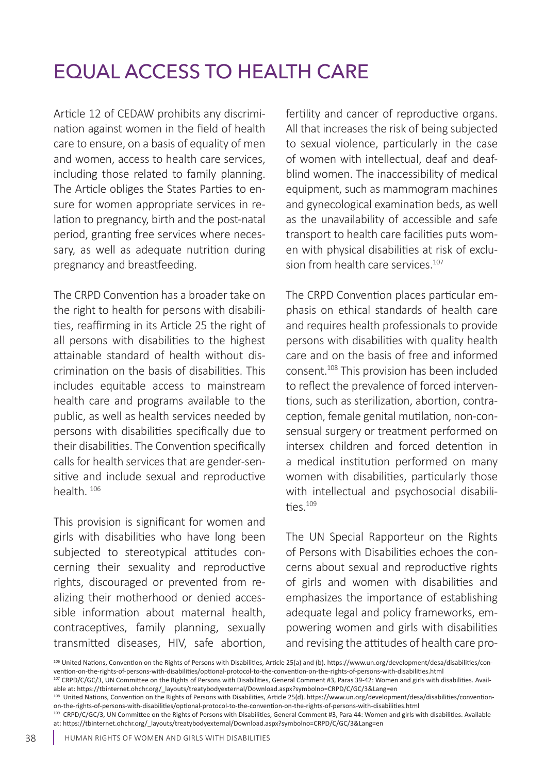# EQUAL ACCESS TO HEALTH CARE

Article 12 of CEDAW prohibits any discrimination against women in the field of health care to ensure, on a basis of equality of men and women, access to health care services, including those related to family planning. The Article obliges the States Parties to ensure for women appropriate services in relation to pregnancy, birth and the post-natal period, granting free services where necessary, as well as adequate nutrition during pregnancy and breastfeeding.

The CRPD Convention has a broader take on the right to health for persons with disabilities, reaffirming in its Article 25 the right of all persons with disabilities to the highest attainable standard of health without discrimination on the basis of disabilities. This includes equitable access to mainstream health care and programs available to the public, as well as health services needed by persons with disabilities specifically due to their disabilities. The Convention specifically calls for health services that are gender-sensitive and include sexual and reproductive health. 106

This provision is significant for women and girls with disabilities who have long been subjected to stereotypical attitudes concerning their sexuality and reproductive rights, discouraged or prevented from realizing their motherhood or denied accessible information about maternal health, contraceptives, family planning, sexually transmitted diseases, HIV, safe abortion, fertility and cancer of reproductive organs. All that increases the risk of being subjected to sexual violence, particularly in the case of women with intellectual, deaf and deafblind women. The inaccessibility of medical equipment, such as mammogram machines and gynecological examination beds, as well as the unavailability of accessible and safe transport to health care facilities puts women with physical disabilities at risk of exclusion from health care services.<sup>107</sup>

The CRPD Convention places particular emphasis on ethical standards of health care and requires health professionals to provide persons with disabilities with quality health care and on the basis of free and informed consent.108 This provision has been included to reflect the prevalence of forced interventions, such as sterilization, abortion, contraception, female genital mutilation, non-consensual surgery or treatment performed on intersex children and forced detention in a medical institution performed on many women with disabilities, particularly those with intellectual and psychosocial disabilities. $109$ 

The UN Special Rapporteur on the Rights of Persons with Disabilities echoes the concerns about sexual and reproductive rights of girls and women with disabilities and emphasizes the importance of establishing adequate legal and policy frameworks, empowering women and girls with disabilities and revising the attitudes of health care pro-

<sup>106</sup> United Nations, Convention on the Rights of Persons with Disabilities, Article 25(a) and (b). https://www.un.org/development/desa/disabilities/convention-on-the-rights-of-persons-with-disabilities/optional-protocol-to-the-convention-on-the-rights-of-persons-with-disabilities.html 107 CRPD/C/GC/3, UN Committee on the Rights of Persons with Disabilities, General Comment #3, Paras 39-42: Women and girls with disabilities. Avail-

able at: https://tbinternet.ohchr.org/\_layouts/treatybodyexternal/Download.aspx?symbolno=CRPD/C/GC/3&Lang=en

<sup>108</sup> United Nations, Convention on the Rights of Persons with Disabilities, Article 25(d). https://www.un.org/development/desa/disabilities/conventionon-the-rights-of-persons-with-disabilities/optional-protocol-to-the-convention-on-the-rights-of-persons-with-disabilities.html

<sup>109</sup> CRPD/C/GC/3, UN Committee on the Rights of Persons with Disabilities, General Comment #3, Para 44: Women and girls with disabilities. Available at: https://tbinternet.ohchr.org/\_layouts/treatybodyexternal/Download.aspx?symbolno=CRPD/C/GC/3&Lang=en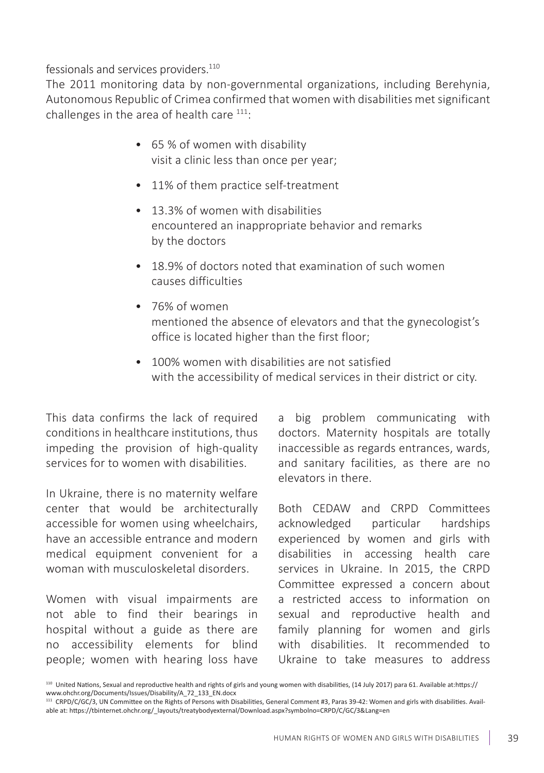fessionals and services providers.<sup>110</sup>

The 2011 monitoring data by non-governmental organizations, including Berehynia, Autonomous Republic of Crimea confirmed that women with disabilities met significant challenges in the area of health care  $111$ :

- 65 % of women with disability visit a clinic less than once per year;
- 11% of them practice self-treatment
- 13.3% of women with disabilities encountered an inappropriate behavior and remarks by the doctors
- 18.9% of doctors noted that examination of such women causes difficulties
- 76% of women mentioned the absence of elevators and that the gynecologist's office is located higher than the first floor;
- 100% women with disabilities are not satisfied with the accessibility of medical services in their district or city.

This data confirms the lack of required conditions in healthcare institutions, thus impeding the provision of high-quality services for to women with disabilities.

In Ukraine, there is no maternity welfare center that would be architecturally accessible for women using wheelchairs, have an accessible entrance and modern medical equipment convenient for a woman with musculoskeletal disorders.

Women with visual impairments are not able to find their bearings in hospital without a guide as there are no accessibility elements for blind people; women with hearing loss have

a big problem communicating with doctors. Maternity hospitals are totally inaccessible as regards entrances, wards, and sanitary facilities, as there are no elevators in there.

Both CEDAW and CRPD Committees acknowledged particular hardships experienced by women and girls with disabilities in accessing health care services in Ukraine. In 2015, the CRPD Committee expressed a concern about a restricted access to information on sexual and reproductive health and family planning for women and girls with disabilities. It recommended to Ukraine to take measures to address

111 CRPD/C/GC/3, UN Committee on the Rights of Persons with Disabilities, General Comment #3, Paras 39-42: Women and girls with disabilities. Available at: https://tbinternet.ohchr.org/\_layouts/treatybodyexternal/Download.aspx?symbolno=CRPD/C/GC/3&Lang=en

<sup>110</sup> United Nations, Sexual and reproductive health and rights of girls and young women with disabilities, (14 July 2017) para 61. Available at:https:// www.ohchr.org/Documents/Issues/Disability/A\_72\_133\_EN.docx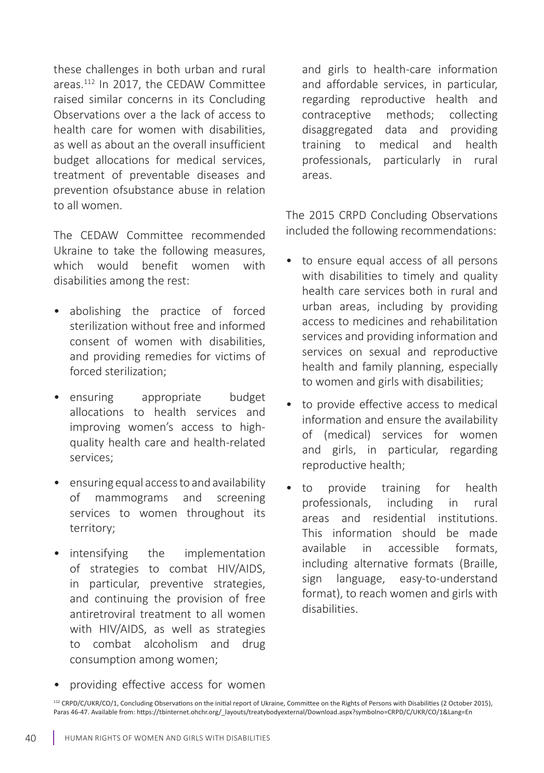these challenges in both urban and rural areas.112 In 2017, the CEDAW Committee raised similar concerns in its Concluding Observations over a the lack of access to health care for women with disabilities, as well as about an the overall insufficient budget allocations for medical services, treatment of preventable diseases and prevention ofsubstance abuse in relation to all women.

The CEDAW Committee recommended Ukraine to take the following measures, which would benefit women with disabilities among the rest:

- abolishing the practice of forced sterilization without free and informed consent of women with disabilities, and providing remedies for victims of forced sterilization;
- ensuring appropriate budget allocations to health services and improving women's access to highquality health care and health-related services;
- ensuring equal access to and availability of mammograms and screening services to women throughout its territory;
- intensifying the implementation of strategies to combat HIV/AIDS, in particular, preventive strategies, and continuing the provision of free antiretroviral treatment to all women with HIV/AIDS, as well as strategies to combat alcoholism and drug consumption among women;

and girls to health-care information and affordable services, in particular, regarding reproductive health and contraceptive methods; collecting disaggregated data and providing training to medical and health professionals, particularly in rural areas.

The 2015 CRPD Concluding Observations included the following recommendations:

- to ensure equal access of all persons with disabilities to timely and quality health care services both in rural and urban areas, including by providing access to medicines and rehabilitation services and providing information and services on sexual and reproductive health and family planning, especially to women and girls with disabilities;
- to provide effective access to medical information and ensure the availability of (medical) services for women and girls, in particular, regarding reproductive health;
- to provide training for health professionals, including in rural areas and residential institutions. This information should be made available in accessible formats, including alternative formats (Braille, sign language, easy-to-understand format), to reach women and girls with disabilities.
- providing effective access for women

<sup>112</sup> CRPD/C/UKR/CO/1, Concluding Observations on the initial report of Ukraine, Committee on the Rights of Persons with Disabilities (2 October 2015), Paras 46-47. Available from: https://tbinternet.ohchr.org/\_layouts/treatybodyexternal/Download.aspx?symbolno=CRPD/C/UKR/CO/1&Lang=En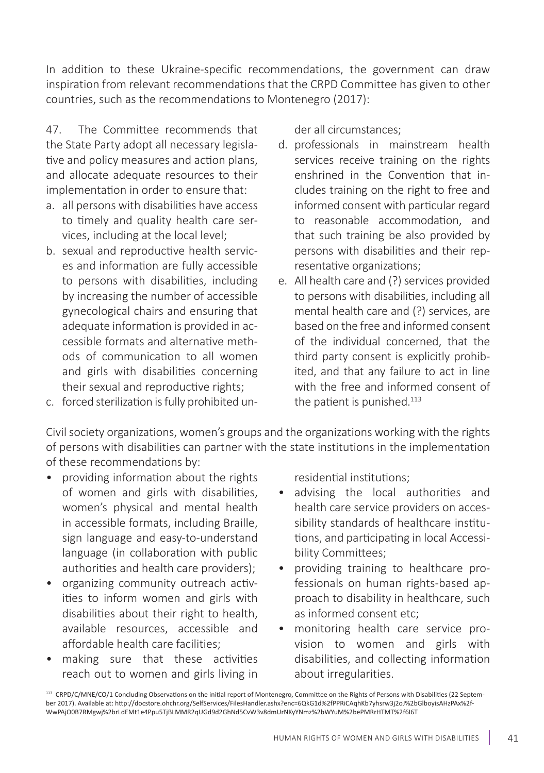In addition to these Ukraine-specific recommendations, the government can draw inspiration from relevant recommendations that the CRPD Committee has given to other countries, such as the recommendations to Montenegro (2017):

47. The Committee recommends that the State Party adopt all necessary legislative and policy measures and action plans, and allocate adequate resources to their implementation in order to ensure that:

- a. all persons with disabilities have access to timely and quality health care services, including at the local level;
- b. sexual and reproductive health services and information are fully accessible to persons with disabilities, including by increasing the number of accessible gynecological chairs and ensuring that adequate information is provided in accessible formats and alternative methods of communication to all women and girls with disabilities concerning their sexual and reproductive rights;
- c. forced sterilization is fully prohibited un-

der all circumstances;

- d. professionals in mainstream health services receive training on the rights enshrined in the Convention that includes training on the right to free and informed consent with particular regard to reasonable accommodation, and that such training be also provided by persons with disabilities and their representative organizations;
- e. All health care and (?) services provided to persons with disabilities, including all mental health care and (?) services, are based on the free and informed consent of the individual concerned, that the third party consent is explicitly prohibited, and that any failure to act in line with the free and informed consent of the patient is punished.<sup>113</sup>

Civil society organizations, women's groups and the organizations working with the rights of persons with disabilities can partner with the state institutions in the implementation of these recommendations by:

- providing information about the rights of women and girls with disabilities, women's physical and mental health in accessible formats, including Braille, sign language and easy-to-understand language (in collaboration with public authorities and health care providers);
- organizing community outreach activities to inform women and girls with disabilities about their right to health, available resources, accessible and affordable health care facilities;
- making sure that these activities reach out to women and girls living in

residential institutions;

- advising the local authorities and health care service providers on accessibility standards of healthcare institutions, and participating in local Accessibility Committees;
- providing training to healthcare professionals on human rights-based approach to disability in healthcare, such as informed consent etc;
- monitoring health care service provision to women and girls with disabilities, and collecting information about irregularities.

<sup>113</sup> CRPD/C/MNE/CO/1 Concluding Observations on the initial report of Montenegro, Committee on the Rights of Persons with Disabilities (22 September 2017). Available at: http://docstore.ohchr.org/SelfServices/FilesHandler.ashx?enc=6QkG1d%2fPPRiCAqhKb7yhsrw3j2oJ%2bGlboyisAHzPAx%2f-WwPAjO0B7RMgwj%2brLdEMt1e4Ppu5TjBLMMR2qUGd9d2GhNd5CvW3v8dmUrNKyYNmz%2bWYuM%2bePMRrHTMT%2f6I6T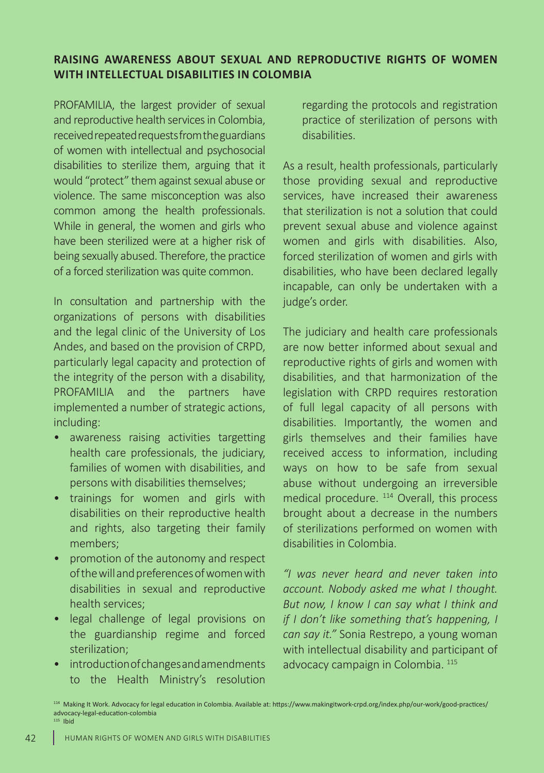#### **RAISING AWARENESS ABOUT SEXUAL AND REPRODUCTIVE RIGHTS OF WOMEN WITH INTELLECTUAL DISABILITIES IN COLOMBIA**

PROFAMILIA, the largest provider of sexual and reproductive health services in Colombia, received repeated requests from the guardians of women with intellectual and psychosocial disabilities to sterilize them, arguing that it would "protect" them against sexual abuse or violence. The same misconception was also common among the health professionals. While in general, the women and girls who have been sterilized were at a higher risk of being sexually abused. Therefore, the practice of a forced sterilization was quite common.

In consultation and partnership with the organizations of persons with disabilities and the legal clinic of the University of Los Andes, and based on the provision of CRPD, particularly legal capacity and protection of the integrity of the person with a disability, PROFAMILIA and the partners have implemented a number of strategic actions, including:

- awareness raising activities targetting health care professionals, the judiciary, families of women with disabilities, and persons with disabilities themselves;
- trainings for women and girls with disabilities on their reproductive health and rights, also targeting their family members;
- promotion of the autonomy and respect of the will and preferences of women with disabilities in sexual and reproductive health services;
- legal challenge of legal provisions on the guardianship regime and forced sterilization;
- introduction of changes and amendments to the Health Ministry's resolution

regarding the protocols and registration practice of sterilization of persons with disabilities.

As a result, health professionals, particularly those providing sexual and reproductive services, have increased their awareness that sterilization is not a solution that could prevent sexual abuse and violence against women and girls with disabilities. Also, forced sterilization of women and girls with disabilities, who have been declared legally incapable, can only be undertaken with a judge's order.

The judiciary and health care professionals are now better informed about sexual and reproductive rights of girls and women with disabilities, and that harmonization of the legislation with CRPD requires restoration of full legal capacity of all persons with disabilities. Importantly, the women and girls themselves and their families have received access to information, including ways on how to be safe from sexual abuse without undergoing an irreversible medical procedure. <sup>114</sup> Overall, this process brought about a decrease in the numbers of sterilizations performed on women with disabilities in Colombia.

*"I was never heard and never taken into account. Nobody asked me what I thought. But now, I know I can say what I think and if I don't like something that's happening, I can say it."* Sonia Restrepo, a young woman with intellectual disability and participant of advocacy campaign in Colombia. 115

<sup>114</sup> Making It Work. Advocacy for legal education in Colombia. Available at: https://www.makingitwork-crpd.org/index.php/our-work/good-practices/ advocacy-legal-education-colombia  $115$  Ibid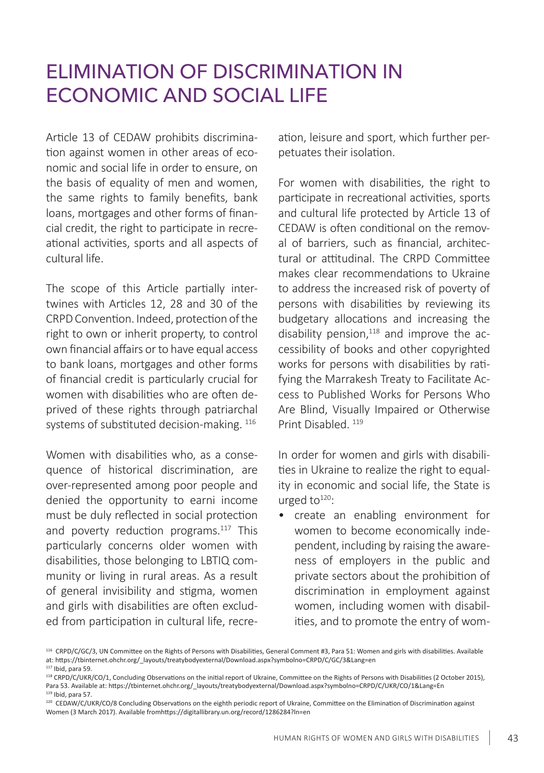## ELIMINATION OF DISCRIMINATION IN ECONOMIC AND SOCIAL LIFE

Article 13 of CEDAW prohibits discrimination against women in other areas of economic and social life in order to ensure, on the basis of equality of men and women, the same rights to family benefits, bank loans, mortgages and other forms of financial credit, the right to participate in recreational activities, sports and all aspects of cultural life.

The scope of this Article partially intertwines with Articles 12, 28 and 30 of the CRPD Convention. Indeed, protection of the right to own or inherit property, to control own financial affairs or to have equal access to bank loans, mortgages and other forms of financial credit is particularly crucial for women with disabilities who are often deprived of these rights through patriarchal systems of substituted decision-making.<sup>116</sup>

Women with disabilities who, as a consequence of historical discrimination, are over-represented among poor people and denied the opportunity to earni income must be duly reflected in social protection and poverty reduction programs. $117$  This particularly concerns older women with disabilities, those belonging to LBTIQ community or living in rural areas. As a result of general invisibility and stigma, women and girls with disabilities are often excluded from participation in cultural life, recreation, leisure and sport, which further perpetuates their isolation.

For women with disabilities, the right to participate in recreational activities, sports and cultural life protected by Article 13 of CEDAW is often conditional on the removal of barriers, such as financial, architectural or attitudinal. The CRPD Committee makes clear recommendations to Ukraine to address the increased risk of poverty of persons with disabilities by reviewing its budgetary allocations and increasing the disability pension, $118$  and improve the accessibility of books and other copyrighted works for persons with disabilities by ratifying the Marrakesh Treaty to Facilitate Access to Published Works for Persons Who Are Blind, Visually Impaired or Otherwise Print Disabled.<sup>119</sup>

In order for women and girls with disabilities in Ukraine to realize the right to equality in economic and social life, the State is urged to $120$ :

create an enabling environment for women to become economically independent, including by raising the awareness of employers in the public and private sectors about the prohibition of discrimination in employment against women, including women with disabilities, and to promote the entry of wom-

<sup>116</sup> CRPD/C/GC/3, UN Committee on the Rights of Persons with Disabilities, General Comment #3, Para 51: Women and girls with disabilities. Available at: https://tbinternet.ohchr.org/\_layouts/treatybodyexternal/Download.aspx?symbolno=CRPD/C/GC/3&Lang=en

<sup>117</sup> Ibid, para 59.

<sup>118</sup> CRPD/C/UKR/CO/1, Concluding Observations on the initial report of Ukraine, Committee on the Rights of Persons with Disabilities (2 October 2015), Para 53. Available at: https://tbinternet.ohchr.org/\_layouts/treatybodyexternal/Download.aspx?symbolno=CRPD/C/UKR/CO/1&Lang=En 119 Ibid, para 57.

<sup>120</sup> CEDAW/C/UKR/CO/8 Concluding Observations on the eighth periodic report of Ukraine, Committee on the Elimination of Discrimination against Women (3 March 2017). Available fromhttps://digitallibrary.un.org/record/1286284?ln=en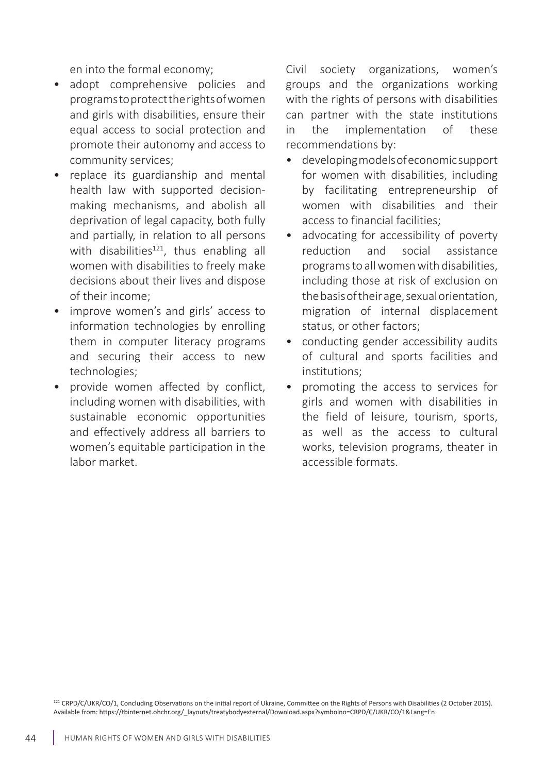en into the formal economy;

- adopt comprehensive policies and programs to protect the rights of women and girls with disabilities, ensure their equal access to social protection and promote their autonomy and access to community services;
- replace its guardianship and mental health law with supported decisionmaking mechanisms, and abolish all deprivation of legal capacity, both fully and partially, in relation to all persons with disabilities $121$ , thus enabling all women with disabilities to freely make decisions about their lives and dispose of their income;
- improve women's and girls' access to information technologies by enrolling them in computer literacy programs and securing their access to new technologies;
- provide women affected by conflict, including women with disabilities, with sustainable economic opportunities and effectively address all barriers to women's equitable participation in the labor market.

Civil society organizations, women's groups and the organizations working with the rights of persons with disabilities can partner with the state institutions in the implementation of these recommendations by:

- developing models of economic support for women with disabilities, including by facilitating entrepreneurship of women with disabilities and their access to financial facilities;
- advocating for accessibility of poverty reduction and social assistance programs to all women with disabilities, including those at risk of exclusion on the basis of their age, sexual orientation, migration of internal displacement status, or other factors;
- conducting gender accessibility audits of cultural and sports facilities and institutions;
- promoting the access to services for girls and women with disabilities in the field of leisure, tourism, sports, as well as the access to cultural works, television programs, theater in accessible formats.

121 CRPD/C/UKR/CO/1, Concluding Observations on the initial report of Ukraine, Committee on the Rights of Persons with Disabilities (2 October 2015). Available from: https://tbinternet.ohchr.org/\_layouts/treatybodyexternal/Download.aspx?symbolno=CRPD/C/UKR/CO/1&Lang=En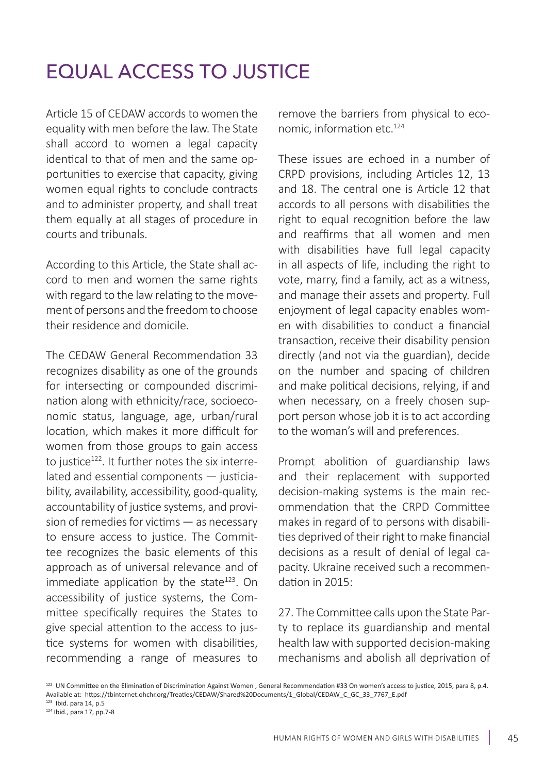# EQUAL ACCESS TO JUSTICE

Article 15 of CEDAW accords to women the equality with men before the law. The State shall accord to women a legal capacity identical to that of men and the same opportunities to exercise that capacity, giving women equal rights to conclude contracts and to administer property, and shall treat them equally at all stages of procedure in courts and tribunals.

According to this Article, the State shall accord to men and women the same rights with regard to the law relating to the movement of persons and the freedom to choose their residence and domicile.

The CEDAW General Recommendation 33 recognizes disability as one of the grounds for intersecting or compounded discrimination along with ethnicity/race, socioeconomic status, language, age, urban/rural location, which makes it more difficult for women from those groups to gain access to justice<sup>122</sup>. It further notes the six interrelated and essential components — justiciability, availability, accessibility, good-quality, accountability of justice systems, and provision of remedies for victims — as necessary to ensure access to justice. The Committee recognizes the basic elements of this approach as of universal relevance and of immediate application by the state $123$ . On accessibility of justice systems, the Committee specifically requires the States to give special attention to the access to justice systems for women with disabilities, recommending a range of measures to remove the barriers from physical to economic, information etc.<sup>124</sup>

These issues are echoed in a number of CRPD provisions, including Articles 12, 13 and 18. The central one is Article 12 that accords to all persons with disabilities the right to equal recognition before the law and reaffirms that all women and men with disabilities have full legal capacity in all aspects of life, including the right to vote, marry, find a family, act as a witness, and manage their assets and property. Full enjoyment of legal capacity enables women with disabilities to conduct a financial transaction, receive their disability pension directly (and not via the guardian), decide on the number and spacing of children and make political decisions, relying, if and when necessary, on a freely chosen support person whose job it is to act according to the woman's will and preferences.

Prompt abolition of guardianship laws and their replacement with supported decision-making systems is the main recommendation that the CRPD Committee makes in regard of to persons with disabilities deprived of their right to make financial decisions as a result of denial of legal capacity. Ukraine received such a recommendation in 2015:

27. The Committee calls upon the State Party to replace its guardianship and mental health law with supported decision-making mechanisms and abolish all deprivation of

<sup>&</sup>lt;sup>122</sup> UN Committee on the Elimination of Discrimination Against Women, General Recommendation #33 On women's access to justice, 2015, para 8, p.4. Available at: https://tbinternet.ohchr.org/Treaties/CEDAW/Shared%20Documents/1\_Global/CEDAW\_C\_GC\_33\_7767\_E.pdf <sup>123</sup> Ibid. para 14, p.5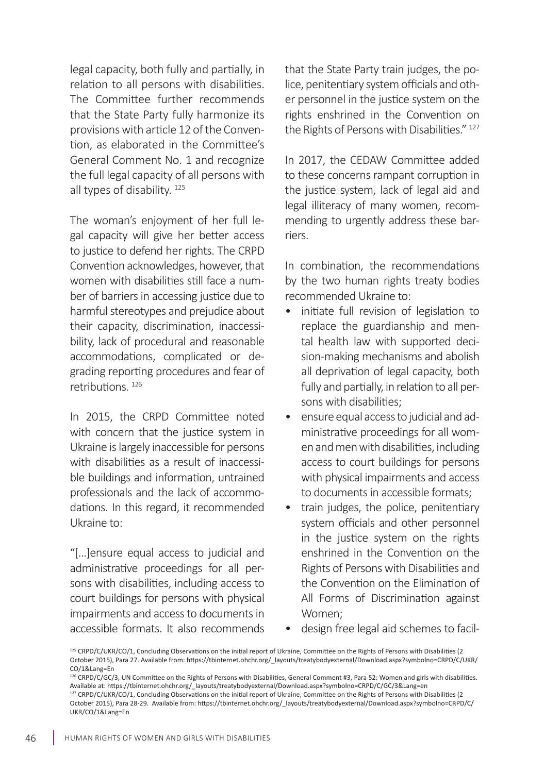legal capacity, both fully and partially, in relation to all persons with disabilities. The Committee further recommends that the State Party fully harmonize its provisions with article 12 of the Convention, as elaborated in the Committee's General Comment No. 1 and recognize the full legal capacity of all persons with all types of disability. 125

The woman's enjoyment of her full legal capacity will give her better access to justice to defend her rights. The CRPD Convention acknowledges, however, that women with disabilities still face a number of barriers in accessing justice due to harmful stereotypes and prejudice about their capacity, discrimination, inaccessibility, lack of procedural and reasonable accommodations, complicated or degrading reporting procedures and fear of retributions. <sup>126</sup>

In 2015, the CRPD Committee noted with concern that the justice system in Ukraine is largely inaccessible for persons with disabilities as a result of inaccessible buildings and information, untrained professionals and the lack of accommodations. In this regard, it recommended Ukraine to:

"[…]ensure equal access to judicial and administrative proceedings for all persons with disabilities, including access to court buildings for persons with physical impairments and access to documents in accessible formats. It also recommends that the State Party train judges, the police, penitentiary system officials and other personnel in the justice system on the rights enshrined in the Convention on the Rights of Persons with Disabilities." <sup>127</sup>

In 2017, the CEDAW Committee added to these concerns rampant corruption in the justice system, lack of legal aid and legal illiteracy of many women, recommending to urgently address these barriers.

In combination, the recommendations by the two human rights treaty bodies recommended Ukraine to:

- initiate full revision of legislation to replace the guardianship and mental health law with supported decision-making mechanisms and abolish all deprivation of legal capacity, both fully and partially, in relation to all persons with disabilities;
- ensure equal access to judicial and administrative proceedings for all women and men with disabilities, including access to court buildings for persons with physical impairments and access to documents in accessible formats;
- train judges, the police, penitentiary system officials and other personnel in the justice system on the rights enshrined in the Convention on the Rights of Persons with Disabilities and the Convention on the Elimination of All Forms of Discrimination against Women;
- design free legal aid schemes to facil-

<sup>125</sup> CRPD/C/UKR/CO/1, Concluding Observations on the initial report of Ukraine, Committee on the Rights of Persons with Disabilities (2 October 2015), Para 27. Available from: https://tbinternet.ohchr.org/\_layouts/treatybodyexternal/Download.aspx?symbolno=CRPD/C/UKR/ CO/1&Lang=En

<sup>126</sup> CRPD/C/GC/3, UN Committee on the Rights of Persons with Disabilities, General Comment #3, Para 52: Women and girls with disabilities. Available at: https://tbinternet.ohchr.org/\_layouts/treatybodyexternal/Download.aspx?symbolno=CRPD/C/GC/3&Lang=en 127 CRPD/C/UKR/CO/1, Concluding Observations on the initial report of Ukraine, Committee on the Rights of Persons with Disabilities (2 October 2015), Para 28-29. Available from: https://tbinternet.ohchr.org/\_layouts/treatybodyexternal/Download.aspx?symbolno=CRPD/C/ UKR/CO/1&Lang=En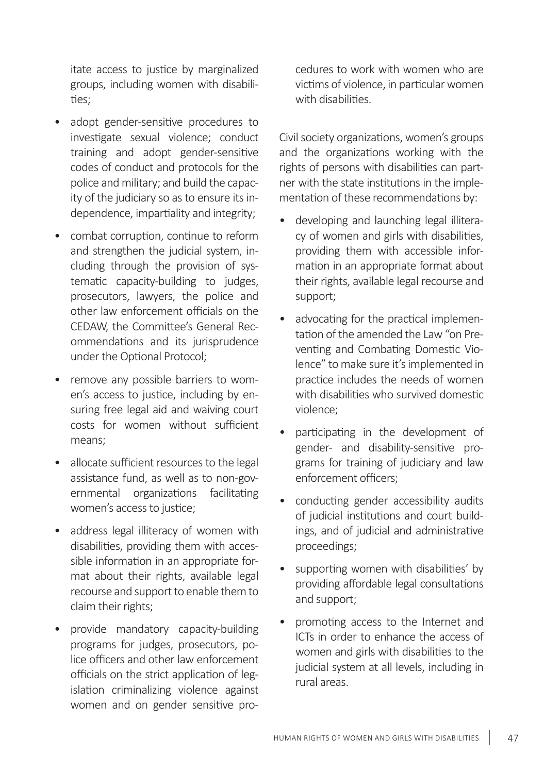itate access to justice by marginalized groups, including women with disabilities;

- adopt gender-sensitive procedures to investigate sexual violence; conduct training and adopt gender-sensitive codes of conduct and protocols for the police and military; and build the capacity of the judiciary so as to ensure its independence, impartiality and integrity;
- combat corruption, continue to reform and strengthen the judicial system, including through the provision of systematic capacity-building to judges, prosecutors, lawyers, the police and other law enforcement officials on the CEDAW, the Committee's General Recommendations and its jurisprudence under the Optional Protocol;
- remove any possible barriers to women's access to justice, including by ensuring free legal aid and waiving court costs for women without sufficient means;
- allocate sufficient resources to the legal assistance fund, as well as to non-governmental organizations facilitating women's access to justice;
- address legal illiteracy of women with disabilities, providing them with accessible information in an appropriate format about their rights, available legal recourse and support to enable them to claim their rights;
- provide mandatory capacity-building programs for judges, prosecutors, police officers and other law enforcement officials on the strict application of legislation criminalizing violence against women and on gender sensitive pro-

cedures to work with women who are victims of violence, in particular women with disabilities.

Civil society organizations, women's groups and the organizations working with the rights of persons with disabilities can partner with the state institutions in the implementation of these recommendations by:

- developing and launching legal illiteracy of women and girls with disabilities, providing them with accessible information in an appropriate format about their rights, available legal recourse and support;
- advocating for the practical implementation of the amended the Law "on Preventing and Combating Domestic Violence" to make sure it's implemented in practice includes the needs of women with disabilities who survived domestic violence;
- participating in the development of gender- and disability-sensitive programs for training of judiciary and law enforcement officers;
- conducting gender accessibility audits of judicial institutions and court buildings, and of judicial and administrative proceedings;
- supporting women with disabilities' by providing affordable legal consultations and support;
- promoting access to the Internet and ICTs in order to enhance the access of women and girls with disabilities to the judicial system at all levels, including in rural areas.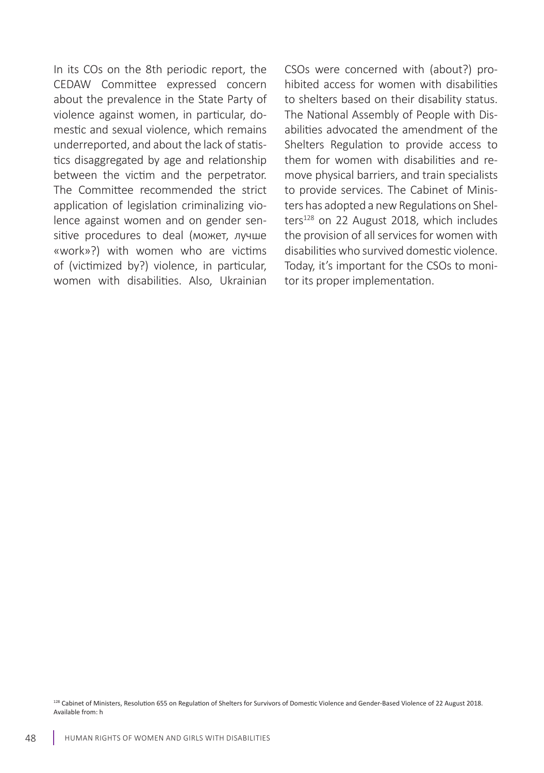In its COs on the 8th periodic report, the CEDAW Committee expressed concern about the prevalence in the State Party of violence against women, in particular, domestic and sexual violence, which remains underreported, and about the lack of statistics disaggregated by age and relationship between the victim and the perpetrator. The Committee recommended the strict application of legislation criminalizing violence against women and on gender sensitive procedures to deal (может, лучше «work»?) with women who are victims of (victimized by?) violence, in particular, women with disabilities. Also, Ukrainian

CSOs were concerned with (about?) prohibited access for women with disabilities to shelters based on their disability status. The National Assembly of People with Disabilities advocated the amendment of the Shelters Regulation to provide access to them for women with disabilities and remove physical barriers, and train specialists to provide services. The Cabinet of Ministers has adopted a new Regulations on Shelters<sup>128</sup> on 22 August 2018, which includes the provision of all services for women with disabilities who survived domestic violence. Today, it's important for the CSOs to monitor its proper implementation.

128 Cabinet of Ministers, Resolution 655 on Regulation of Shelters for Survivors of Domestic Violence and Gender-Based Violence of 22 August 2018. Available from: h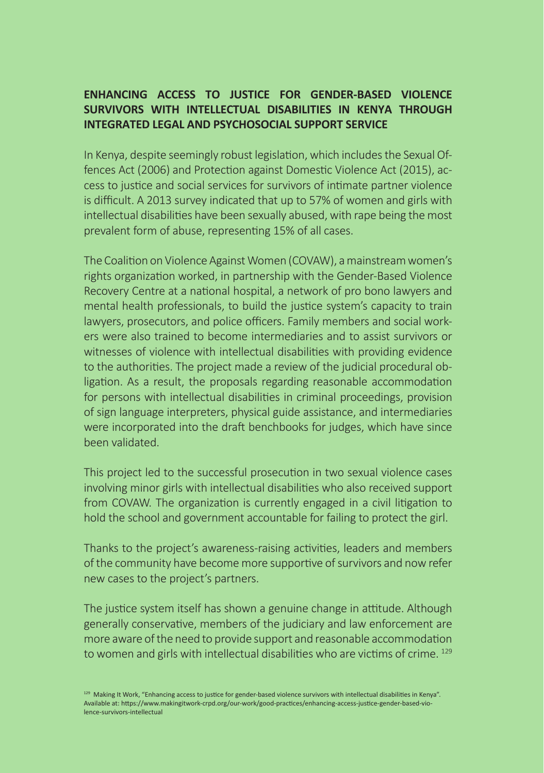#### **ENHANCING ACCESS TO JUSTICE FOR GENDER-BASED VIOLENCE SURVIVORS WITH INTELLECTUAL DISABILITIES IN KENYA THROUGH INTEGRATED LEGAL AND PSYCHOSOCIAL SUPPORT SERVICE**

In Kenya, despite seemingly robust legislation, which includes the Sexual Offences Act (2006) and Protection against Domestic Violence Act (2015), access to justice and social services for survivors of intimate partner violence is difficult. A 2013 survey indicated that up to 57% of women and girls with intellectual disabilities have been sexually abused, with rape being the most prevalent form of abuse, representing 15% of all cases.

The Coalition on Violence Against Women (COVAW), a mainstream women's rights organization worked, in partnership with the Gender-Based Violence Recovery Centre at a national hospital, a network of pro bono lawyers and mental health professionals, to build the justice system's capacity to train lawyers, prosecutors, and police officers. Family members and social workers were also trained to become intermediaries and to assist survivors or witnesses of violence with intellectual disabilities with providing evidence to the authorities. The project made a review of the judicial procedural obligation. As a result, the proposals regarding reasonable accommodation for persons with intellectual disabilities in criminal proceedings, provision of sign language interpreters, physical guide assistance, and intermediaries were incorporated into the draft benchbooks for judges, which have since been validated.

This project led to the successful prosecution in two sexual violence cases involving minor girls with intellectual disabilities who also received support from COVAW. The organization is currently engaged in a civil litigation to hold the school and government accountable for failing to protect the girl.

Thanks to the project's awareness-raising activities, leaders and members of the community have become more supportive of survivors and now refer new cases to the project's partners.

The justice system itself has shown a genuine change in attitude. Although generally conservative, members of the judiciary and law enforcement are more aware of the need to provide support and reasonable accommodation to women and girls with intellectual disabilities who are victims of crime.<sup>129</sup>

<sup>129</sup> Making It Work, "Enhancing access to justice for gender-based violence survivors with intellectual disabilities in Kenya". Available at: https://www.makingitwork-crpd.org/our-work/good-practices/enhancing-access-justice-gender-based-violence-survivors-intellectual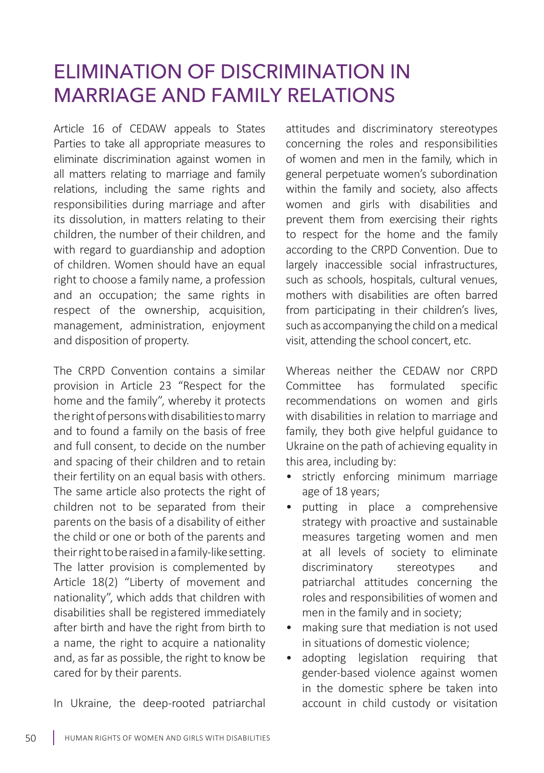## ELIMINATION OF DISCRIMINATION IN MARRIAGE AND FAMILY RELATIONS

Article 16 of CEDAW appeals to States Parties to take all appropriate measures to eliminate discrimination against women in all matters relating to marriage and family relations, including the same rights and responsibilities during marriage and after its dissolution, in matters relating to their children, the number of their children, and with regard to guardianship and adoption of children. Women should have an equal right to choose a family name, a profession and an occupation; the same rights in respect of the ownership, acquisition, management, administration, enjoyment and disposition of property.

The CRPD Convention contains a similar provision in Article 23 "Respect for the home and the family", whereby it protects the right of persons with disabilities to marry and to found a family on the basis of free and full consent, to decide on the number and spacing of their children and to retain their fertility on an equal basis with others. The same article also protects the right of children not to be separated from their parents on the basis of a disability of either the child or one or both of the parents and their right to be raised in a family-like setting. The latter provision is complemented by Article 18(2) "Liberty of movement and nationality", which adds that children with disabilities shall be registered immediately after birth and have the right from birth to a name, the right to acquire a nationality and, as far as possible, the right to know be cared for by their parents.

In Ukraine, the deep-rooted patriarchal

attitudes and discriminatory stereotypes concerning the roles and responsibilities of women and men in the family, which in general perpetuate women's subordination within the family and society, also affects women and girls with disabilities and prevent them from exercising their rights to respect for the home and the family according to the CRPD Convention. Due to largely inaccessible social infrastructures, such as schools, hospitals, cultural venues, mothers with disabilities are often barred from participating in their children's lives, such as accompanying the child on a medical visit, attending the school concert, etc.

Whereas neither the CEDAW nor CRPD Committee has formulated specific recommendations on women and girls with disabilities in relation to marriage and family, they both give helpful guidance to Ukraine on the path of achieving equality in this area, including by:

- strictly enforcing minimum marriage age of 18 years;
- putting in place a comprehensive strategy with proactive and sustainable measures targeting women and men at all levels of society to eliminate discriminatory stereotypes and patriarchal attitudes concerning the roles and responsibilities of women and men in the family and in society;
- making sure that mediation is not used in situations of domestic violence;
- adopting legislation requiring that gender-based violence against women in the domestic sphere be taken into account in child custody or visitation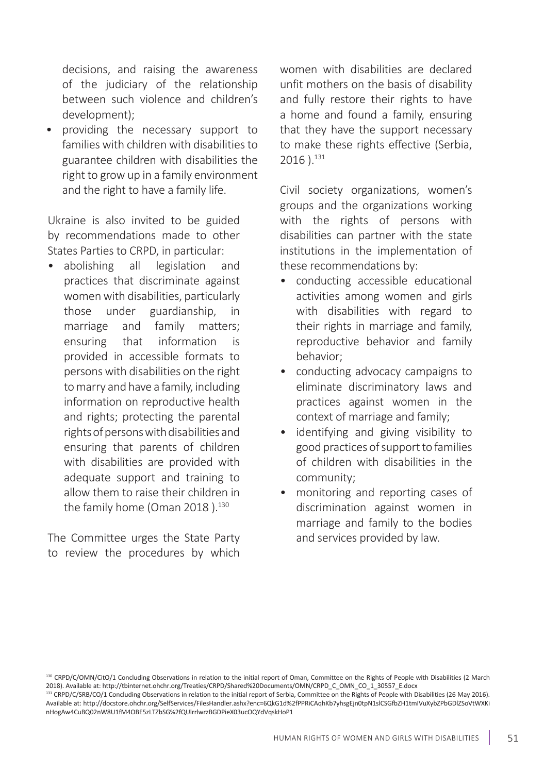decisions, and raising the awareness of the judiciary of the relationship between such violence and children's development);

• providing the necessary support to families with children with disabilities to guarantee children with disabilities the right to grow up in a family environment and the right to have a family life.

Ukraine is also invited to be guided by recommendations made to other States Parties to CRPD, in particular:

• abolishing all legislation and practices that discriminate against women with disabilities, particularly those under guardianship, in marriage and family matters; ensuring that information is provided in accessible formats to persons with disabilities on the right to marry and have a family, including information on reproductive health and rights; protecting the parental rights of persons with disabilities and ensuring that parents of children with disabilities are provided with adequate support and training to allow them to raise their children in the family home (Oman 2018). $130$ 

The Committee urges the State Party to review the procedures by which

women with disabilities are declared unfit mothers on the basis of disability and fully restore their rights to have a home and found a family, ensuring that they have the support necessary to make these rights effective (Serbia, 2016 ).131

Civil society organizations, women's groups and the organizations working with the rights of persons with disabilities can partner with the state institutions in the implementation of these recommendations by:

- conducting accessible educational activities among women and girls with disabilities with regard to their rights in marriage and family, reproductive behavior and family behavior;
- conducting advocacy campaigns to eliminate discriminatory laws and practices against women in the context of marriage and family;
- identifying and giving visibility to good practices of support to families of children with disabilities in the community;
- monitoring and reporting cases of discrimination against women in marriage and family to the bodies and services provided by law.

<sup>130</sup> CRPD/C/OMN/CitO/1 Concluding Observations in relation to the initial report of Oman, Committee on the Rights of People with Disabilities (2 March 2018). Available at: http://tbinternet.ohchr.org/Treaties/CRPD/Shared%20Documents/OMN/CRPD\_C\_OMN\_CO\_1\_30557\_E.docx

<sup>131</sup> CRPD/C/SRB/CO/1 Concluding Observations in relation to the initial report of Serbia, Committee on the Rights of People with Disabilities (26 May 2016). Available at: http://docstore.ohchr.org/SelfServices/FilesHandler.ashx?enc=6QkG1d%2fPPRiCAqhKb7yhsgEjn0tpN1slCSGfbZH1tmIVuXybZPbGDlZSoVtWXKi nHogAw4CuBQ02nW8U1fM4OBE5zLTZbSG%2fQUlrrlwrzBGDPieX03ucOQYdVqskHoP1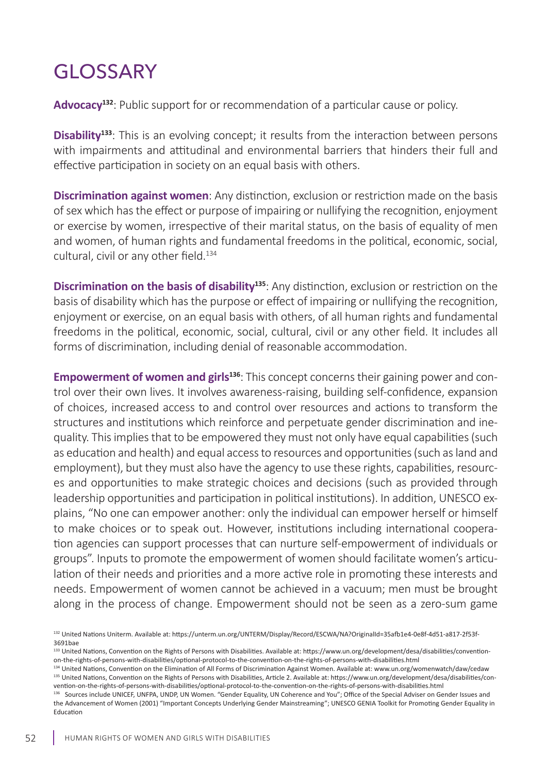# **GLOSSARY**

Advocacy<sup>132</sup>: Public support for or recommendation of a particular cause or policy.

**Disability<sup>133</sup>:** This is an evolving concept; it results from the interaction between persons with impairments and attitudinal and environmental barriers that hinders their full and effective participation in society on an equal basis with others.

**Discrimination against women**: Any distinction, exclusion or restriction made on the basis of sex which has the effect or purpose of impairing or nullifying the recognition, enjoyment or exercise by women, irrespective of their marital status, on the basis of equality of men and women, of human rights and fundamental freedoms in the political, economic, social, cultural, civil or any other field.<sup>134</sup>

**Discrimination on the basis of disability<sup>135</sup>:** Any distinction, exclusion or restriction on the basis of disability which has the purpose or effect of impairing or nullifying the recognition, enjoyment or exercise, on an equal basis with others, of all human rights and fundamental freedoms in the political, economic, social, cultural, civil or any other field. It includes all forms of discrimination, including denial of reasonable accommodation.

**Empowerment of women and girls<sup>136</sup>**: This concept concerns their gaining power and control over their own lives. It involves awareness-raising, building self-confidence, expansion of choices, increased access to and control over resources and actions to transform the structures and institutions which reinforce and perpetuate gender discrimination and inequality. This implies that to be empowered they must not only have equal capabilities (such as education and health) and equal access to resources and opportunities (such as land and employment), but they must also have the agency to use these rights, capabilities, resources and opportunities to make strategic choices and decisions (such as provided through leadership opportunities and participation in political institutions). In addition, UNESCO explains, "No one can empower another: only the individual can empower herself or himself to make choices or to speak out. However, institutions including international cooperation agencies can support processes that can nurture self-empowerment of individuals or groups". Inputs to promote the empowerment of women should facilitate women's articulation of their needs and priorities and a more active role in promoting these interests and needs. Empowerment of women cannot be achieved in a vacuum; men must be brought along in the process of change. Empowerment should not be seen as a zero-sum game

<sup>132</sup> United Nations Uniterm. Available at: https://unterm.un.org/UNTERM/Display/Record/ESCWA/NA?OriginalId=35afb1e4-0e8f-4d51-a817-2f53f-3691bae

<sup>133</sup> United Nations, Convention on the Rights of Persons with Disabilities. Available at: https://www.un.org/development/desa/disabilities/conventionon-the-rights-of-persons-with-disabilities/optional-protocol-to-the-convention-on-the-rights-of-persons-with-disabilities.html

<sup>134</sup> United Nations, Convention on the Elimination of All Forms of Discrimination Against Women. Available at: www.un.org/womenwatch/daw/cedaw 135 United Nations, Convention on the Rights of Persons with Disabilities, Article 2. Available at: https://www.un.org/development/desa/disabilities/convention-on-the-rights-of-persons-with-disabilities/optional-protocol-to-the-convention-on-the-rights-of-persons-with-disabilities.html

<sup>136</sup> Sources include UNICEF, UNFPA, UNDP, UN Women. "Gender Equality, UN Coherence and You"; Office of the Special Adviser on Gender Issues and the Advancement of Women (2001) "Important Concepts Underlying Gender Mainstreaming"; UNESCO GENIA Toolkit for Promoting Gender Equality in Education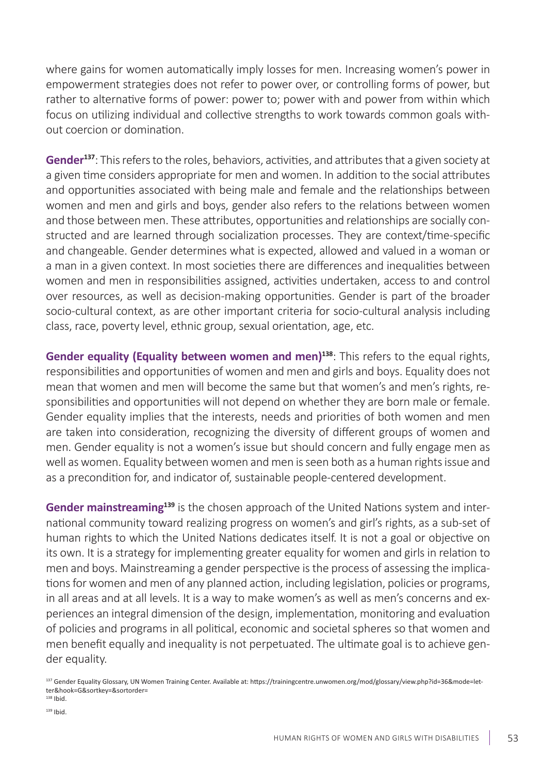where gains for women automatically imply losses for men. Increasing women's power in empowerment strategies does not refer to power over, or controlling forms of power, but rather to alternative forms of power: power to; power with and power from within which focus on utilizing individual and collective strengths to work towards common goals without coercion or domination.

**Gender137**: This refers to the roles, behaviors, activities, and attributes that a given society at a given time considers appropriate for men and women. In addition to the social attributes and opportunities associated with being male and female and the relationships between women and men and girls and boys, gender also refers to the relations between women and those between men. These attributes, opportunities and relationships are socially constructed and are learned through socialization processes. They are context/time-specific and changeable. Gender determines what is expected, allowed and valued in a woman or a man in a given context. In most societies there are differences and inequalities between women and men in responsibilities assigned, activities undertaken, access to and control over resources, as well as decision-making opportunities. Gender is part of the broader socio-cultural context, as are other important criteria for socio-cultural analysis including class, race, poverty level, ethnic group, sexual orientation, age, etc.

**Gender equality (Equality between women and men)<sup>138</sup>: This refers to the equal rights,** responsibilities and opportunities of women and men and girls and boys. Equality does not mean that women and men will become the same but that women's and men's rights, responsibilities and opportunities will not depend on whether they are born male or female. Gender equality implies that the interests, needs and priorities of both women and men are taken into consideration, recognizing the diversity of different groups of women and men. Gender equality is not a women's issue but should concern and fully engage men as well as women. Equality between women and men is seen both as a human rights issue and as a precondition for, and indicator of, sustainable people-centered development.

Gender mainstreaming<sup>139</sup> is the chosen approach of the United Nations system and international community toward realizing progress on women's and girl's rights, as a sub-set of human rights to which the United Nations dedicates itself. It is not a goal or objective on its own. It is a strategy for implementing greater equality for women and girls in relation to men and boys. Mainstreaming a gender perspective is the process of assessing the implications for women and men of any planned action, including legislation, policies or programs, in all areas and at all levels. It is a way to make women's as well as men's concerns and experiences an integral dimension of the design, implementation, monitoring and evaluation of policies and programs in all political, economic and societal spheres so that women and men benefit equally and inequality is not perpetuated. The ultimate goal is to achieve gender equality.

137 Gender Equality Glossary, UN Women Training Center. Available at: https://trainingcentre.unwomen.org/mod/glossary/view.php?id=36&mode=letter&hook=G&sortkey=&sortorder=

 $138$  Ibid.

139 Ibid.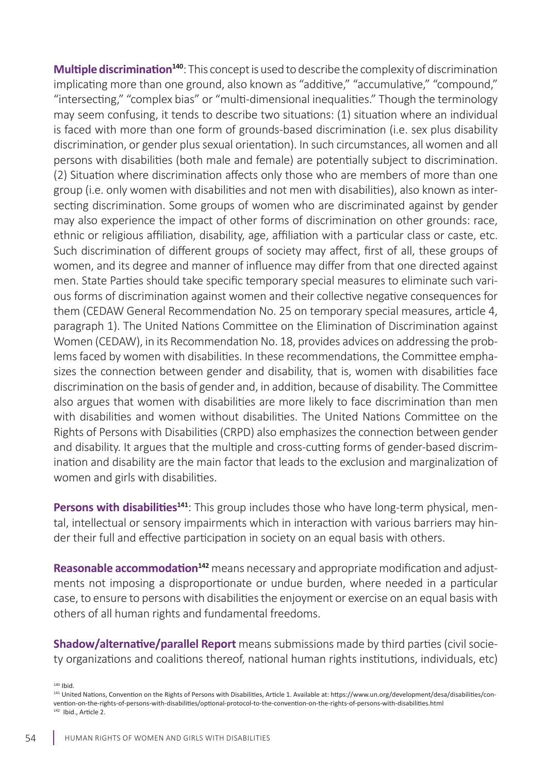**Multiple discrimination<sup>140</sup>:** This concept is used to describe the complexity of discrimination implicating more than one ground, also known as "additive," "accumulative," "compound," "intersecting," "complex bias" or "multi-dimensional inequalities." Though the terminology may seem confusing, it tends to describe two situations: (1) situation where an individual is faced with more than one form of grounds-based discrimination (i.e. sex plus disability discrimination, or gender plus sexual orientation). In such circumstances, all women and all persons with disabilities (both male and female) are potentially subject to discrimination. (2) Situation where discrimination affects only those who are members of more than one group (i.e. only women with disabilities and not men with disabilities), also known as intersecting discrimination. Some groups of women who are discriminated against by gender may also experience the impact of other forms of discrimination on other grounds: race, ethnic or religious affiliation, disability, age, affiliation with a particular class or caste, etc. Such discrimination of different groups of society may affect, first of all, these groups of women, and its degree and manner of influence may differ from that one directed against men. State Parties should take specific temporary special measures to eliminate such various forms of discrimination against women and their collective negative consequences for them (CEDAW General Recommendation No. 25 on temporary special measures, article 4, paragraph 1). The United Nations Committee on the Elimination of Discrimination against Women (CEDAW), in its Recommendation No. 18, provides advices on addressing the problems faced by women with disabilities. In these recommendations, the Committee emphasizes the connection between gender and disability, that is, women with disabilities face discrimination on the basis of gender and, in addition, because of disability. The Committee also argues that women with disabilities are more likely to face discrimination than men with disabilities and women without disabilities. The United Nations Committee on the Rights of Persons with Disabilities (CRPD) also emphasizes the connection between gender and disability. It argues that the multiple and cross-cutting forms of gender-based discrimination and disability are the main factor that leads to the exclusion and marginalization of women and girls with disabilities.

**Persons with disabilities<sup>141</sup>:** This group includes those who have long-term physical, mental, intellectual or sensory impairments which in interaction with various barriers may hinder their full and effective participation in society on an equal basis with others.

**Reasonable accommodation<sup>142</sup>** means necessary and appropriate modification and adjustments not imposing a disproportionate or undue burden, where needed in a particular case, to ensure to persons with disabilities the enjoyment or exercise on an equal basis with others of all human rights and fundamental freedoms.

**Shadow/alternative/parallel Report** means submissions made by third parties (civil society organizations and coalitions thereof, national human rights institutions, individuals, etc)

140 Ibid.

<sup>141</sup> United Nations, Convention on the Rights of Persons with Disabilities, Article 1. Available at: https://www.un.org/development/desa/disabilities/convention-on-the-rights-of-persons-with-disabilities/optional-protocol-to-the-convention-on-the-rights-of-persons-with-disabilities.html 142 Ibid., Article 2.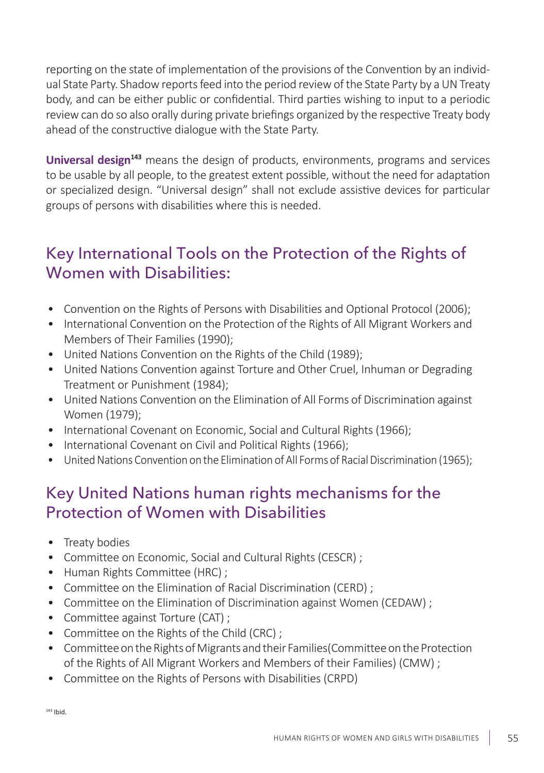reporting on the state of implementation of the provisions of the Convention by an individual State Party. Shadow reports feed into the period review of the State Party by a UN Treaty body, and can be either public or confidential. Third parties wishing to input to a periodic review can do so also orally during private briefings organized by the respective Treaty body ahead of the constructive dialogue with the State Party.

**Universal design<sup>143</sup>** means the design of products, environments, programs and services to be usable by all people, to the greatest extent possible, without the need for adaptation or specialized design. "Universal design" shall not exclude assistive devices for particular groups of persons with disabilities where this is needed.

## Key International Tools on the Protection of the Rights of Women with Disabilities:

- Convention on the Rights of Persons with Disabilities and Optional Protocol (2006);
- International Convention on the Protection of the Rights of All Migrant Workers and Members of Their Families (1990);
- United Nations Convention on the Rights of the Child (1989);
- United Nations Convention against Torture and Other Cruel, Inhuman or Degrading Treatment or Punishment (1984);
- United Nations Convention on the Elimination of All Forms of Discrimination against Women (1979);
- International Covenant on Economic, Social and Cultural Rights (1966);
- International Covenant on Civil and Political Rights (1966);
- United Nations Convention on the Elimination of All Forms of Racial Discrimination (1965);

### Key United Nations human rights mechanisms for the Protection of Women with Disabilities

- Treaty bodies
- Committee on Economic, Social and Cultural Rights (CESCR) ;
- Human Rights Committee (HRC) ;
- Committee on the Elimination of Racial Discrimination (CERD) ;
- Committee on the Elimination of Discrimination against Women (CEDAW) ;
- Committee against Torture (CAT) ;
- Committee on the Rights of the Child (CRC) ;
- Committee on the Rights of Migrants and their Families(Committee on the Protection of the Rights of All Migrant Workers and Members of their Families) (CMW) ;
- Committee on the Rights of Persons with Disabilities (CRPD)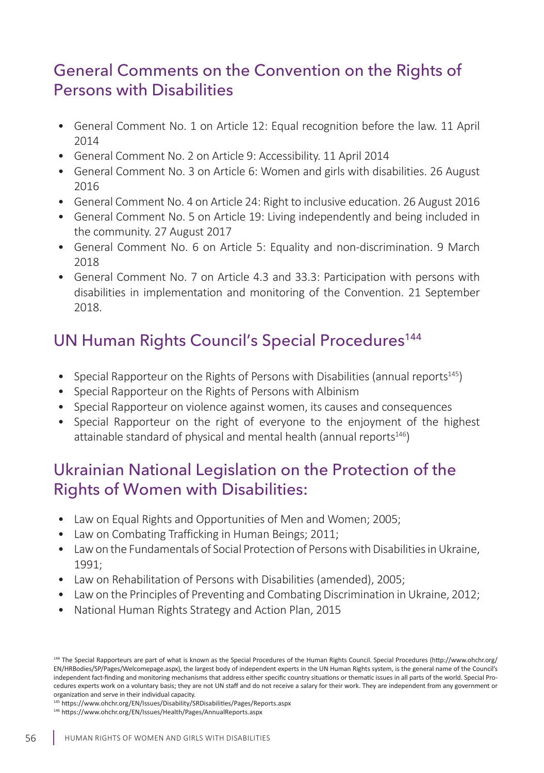## General Comments on the Convention on the Rights of Persons with Disabilities

- General Comment No. 1 on Article 12: Equal recognition before the law. 11 April 2014
- General Comment No. 2 on Article 9: Accessibility. 11 April 2014
- General Comment No. 3 on Article 6: Women and girls with disabilities. 26 August 2016
- General Comment No. 4 on Article 24: Right to inclusive education. 26 August 2016
- General Comment No. 5 on Article 19: Living independently and being included in the community. 27 August 2017
- General Comment No. 6 on Article 5: Equality and non-discrimination. 9 March 2018
- General Comment No. 7 on Article 4.3 and 33.3: Participation with persons with disabilities in implementation and monitoring of the Convention. 21 September 2018.

## UN Human Rights Council's Special Procedures<sup>144</sup>

- Special Rapporteur on the Rights of Persons with Disabilities (annual reports $145$ )
- Special Rapporteur on the Rights of Persons with Albinism
- Special Rapporteur on violence against women, its causes and consequences
- Special Rapporteur on the right of everyone to the enjoyment of the highest attainable standard of physical and mental health (annual reports<sup>146</sup>)

## Ukrainian National Legislation on the Protection of the Rights of Women with Disabilities:

- Law on Equal Rights and Opportunities of Men and Women; 2005;
- Law on Combating Trafficking in Human Beings; 2011;
- Law on the Fundamentals of Social Protection of Persons with Disabilities in Ukraine, 1991;
- Law on Rehabilitation of Persons with Disabilities (amended), 2005;
- Law on the Principles of Preventing and Combating Discrimination in Ukraine, 2012;
- National Human Rights Strategy and Action Plan, 2015

145 https://www.ohchr.org/EN/Issues/Disability/SRDisabilities/Pages/Reports.aspx

<sup>146</sup> https://www.ohchr.org/EN/Issues/Health/Pages/AnnualReports.aspx

<sup>144</sup> The Special Rapporteurs are part of what is known as the Special Procedures of the Human Rights Council. Special Procedures (http://www.ohchr.org/ EN/HRBodies/SP/Pages/Welcomepage.aspx), the largest body of independent experts in the UN Human Rights system, is the general name of the Council's independent fact-finding and monitoring mechanisms that address either specific country situations or thematic issues in all parts of the world. Special Procedures experts work on a voluntary basis; they are not UN staff and do not receive a salary for their work. They are independent from any government or organization and serve in their individual capacity.